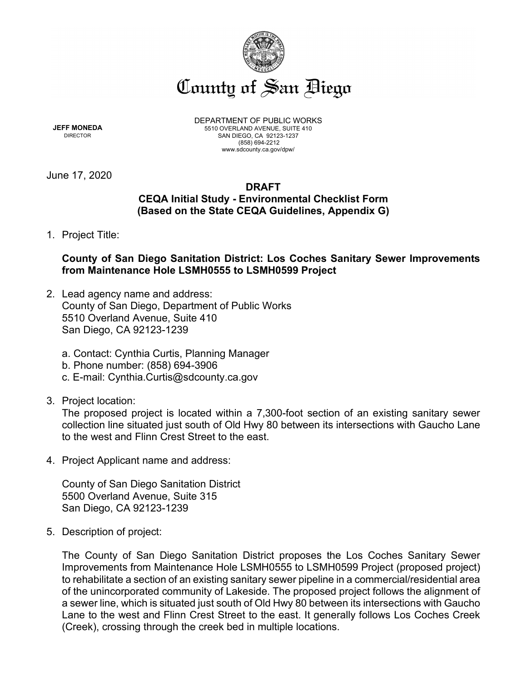

**JEFF MONEDA** DIRECTOR

DEPARTMENT OF PUBLIC WORKS 5510 OVERLAND AVENUE, SUITE 410 SAN DIEGO, CA 92123-1237 (858) 694-2212 www.sdcounty.ca.gov/dpw/

June 17, 2020

# **DRAFT CEQA Initial Study - Environmental Checklist Form (Based on the State CEQA Guidelines, Appendix G)**

1. Project Title:

# **County of San Diego Sanitation District: Los Coches Sanitary Sewer Improvements from Maintenance Hole LSMH0555 to LSMH0599 Project**

- 2. Lead agency name and address: County of San Diego, Department of Public Works 5510 Overland Avenue, Suite 410 San Diego, CA 92123-1239
	- a. Contact: Cynthia Curtis, Planning Manager
	- b. Phone number: (858) 694-3906
	- c. E-mail: Cynthia.Curtis@sdcounty.ca.gov
- 3. Project location:

The proposed project is located within a 7,300-foot section of an existing sanitary sewer collection line situated just south of Old Hwy 80 between its intersections with Gaucho Lane to the west and Flinn Crest Street to the east.

4. Project Applicant name and address:

County of San Diego Sanitation District 5500 Overland Avenue, Suite 315 San Diego, CA 92123-1239

5. Description of project:

The County of San Diego Sanitation District proposes the Los Coches Sanitary Sewer Improvements from Maintenance Hole LSMH0555 to LSMH0599 Project (proposed project) to rehabilitate a section of an existing sanitary sewer pipeline in a commercial/residential area of the unincorporated community of Lakeside. The proposed project follows the alignment of a sewer line, which is situated just south of Old Hwy 80 between its intersections with Gaucho Lane to the west and Flinn Crest Street to the east. It generally follows Los Coches Creek (Creek), crossing through the creek bed in multiple locations.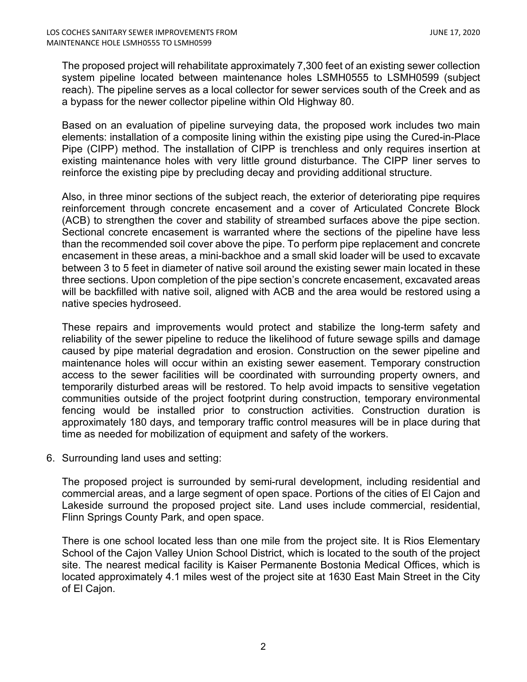The proposed project will rehabilitate approximately 7,300 feet of an existing sewer collection system pipeline located between maintenance holes LSMH0555 to LSMH0599 (subject reach). The pipeline serves as a local collector for sewer services south of the Creek and as a bypass for the newer collector pipeline within Old Highway 80.

Based on an evaluation of pipeline surveying data, the proposed work includes two main elements: installation of a composite lining within the existing pipe using the Cured-in-Place Pipe (CIPP) method. The installation of CIPP is trenchless and only requires insertion at existing maintenance holes with very little ground disturbance. The CIPP liner serves to reinforce the existing pipe by precluding decay and providing additional structure.

Also, in three minor sections of the subject reach, the exterior of deteriorating pipe requires reinforcement through concrete encasement and a cover of Articulated Concrete Block (ACB) to strengthen the cover and stability of streambed surfaces above the pipe section. Sectional concrete encasement is warranted where the sections of the pipeline have less than the recommended soil cover above the pipe. To perform pipe replacement and concrete encasement in these areas, a mini-backhoe and a small skid loader will be used to excavate between 3 to 5 feet in diameter of native soil around the existing sewer main located in these three sections. Upon completion of the pipe section's concrete encasement, excavated areas will be backfilled with native soil, aligned with ACB and the area would be restored using a native species hydroseed.

These repairs and improvements would protect and stabilize the long-term safety and reliability of the sewer pipeline to reduce the likelihood of future sewage spills and damage caused by pipe material degradation and erosion. Construction on the sewer pipeline and maintenance holes will occur within an existing sewer easement. Temporary construction access to the sewer facilities will be coordinated with surrounding property owners, and temporarily disturbed areas will be restored. To help avoid impacts to sensitive vegetation communities outside of the project footprint during construction, temporary environmental fencing would be installed prior to construction activities. Construction duration is approximately 180 days, and temporary traffic control measures will be in place during that time as needed for mobilization of equipment and safety of the workers.

6. Surrounding land uses and setting:

The proposed project is surrounded by semi-rural development, including residential and commercial areas, and a large segment of open space. Portions of the cities of El Cajon and Lakeside surround the proposed project site. Land uses include commercial, residential, Flinn Springs County Park, and open space.

There is one school located less than one mile from the project site. It is Rios Elementary School of the Cajon Valley Union School District, which is located to the south of the project site. The nearest medical facility is Kaiser Permanente Bostonia Medical Offices, which is located approximately 4.1 miles west of the project site at 1630 East Main Street in the City of El Cajon.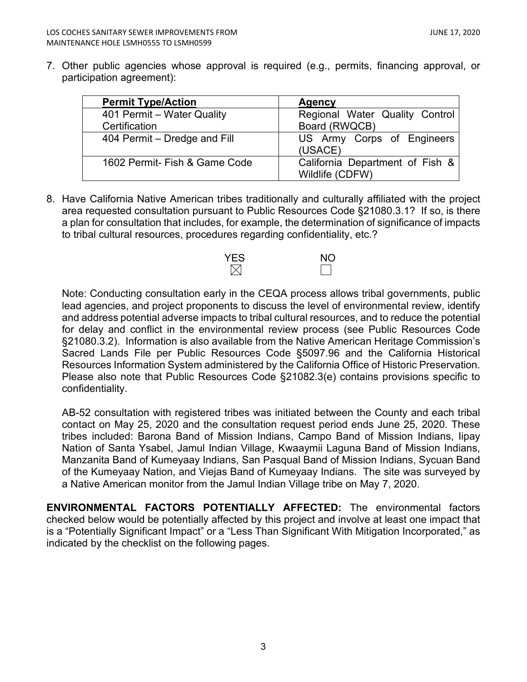7. Other public agencies whose approval is required (e.g., permits, financing approval, or participation agreement):

| <b>Permit Type/Action</b>     | <b>Agency</b>                                      |
|-------------------------------|----------------------------------------------------|
| 401 Permit – Water Quality    | Regional Water Quality Control                     |
| Certification                 | Board (RWQCB)                                      |
| 404 Permit – Dredge and Fill  | US Army Corps of Engineers<br>(USACE)              |
| 1602 Permit- Fish & Game Code | California Department of Fish &<br>Wildlife (CDFW) |

8. Have California Native American tribes traditionally and culturally affiliated with the project area requested consultation pursuant to Public Resources Code §21080.3.1? If so, is there a plan for consultation that includes, for example, the determination of significance of impacts to tribal cultural resources, procedures regarding confidentiality, etc.?



Note: Conducting consultation early in the CEQA process allows tribal governments, public lead agencies, and project proponents to discuss the level of environmental review, identify and address potential adverse impacts to tribal cultural resources, and to reduce the potential for delay and conflict in the environmental review process (see Public Resources Code §21080.3.2). Information is also available from the Native American Heritage Commission's Sacred Lands File per Public Resources Code §5097.96 and the California Historical Resources Information System administered by the California Office of Historic Preservation. Please also note that Public Resources Code §21082.3(e) contains provisions specific to confidentiality.

AB-52 consultation with registered tribes was initiated between the County and each tribal contact on May 25, 2020 and the consultation request period ends June 25, 2020. These tribes included: Barona Band of Mission Indians, Campo Band of Mission Indians, Iipay Nation of Santa Ysabel, Jamul Indian Village, Kwaaymii Laguna Band of Mission Indians, Manzanita Band of Kumeyaay Indians, San Pasqual Band of Mission Indians, Sycuan Band of the Kumeyaay Nation, and Viejas Band of Kumeyaay Indians. The site was surveyed by a Native American monitor from the Jamul Indian Village tribe on May 7, 2020.

**ENVIRONMENTAL FACTORS POTENTIALLY AFFECTED:** The environmental factors checked below would be potentially affected by this project and involve at least one impact that is a "Potentially Significant Impact" or a "Less Than Significant With Mitigation Incorporated," as indicated by the checklist on the following pages.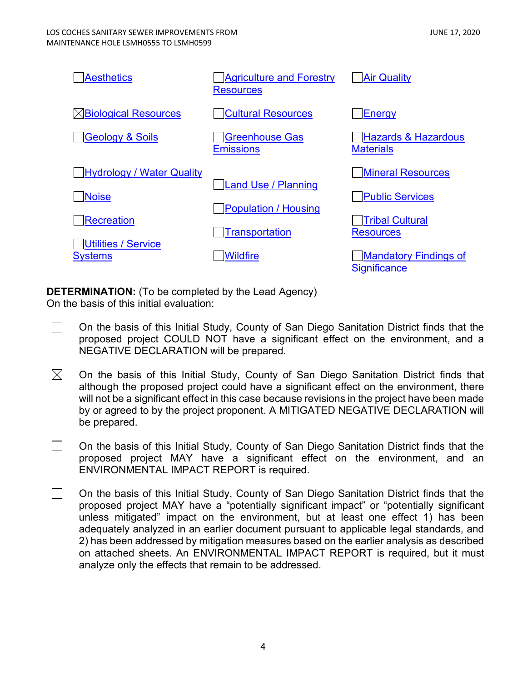| <b>Aesthetics</b>                            | <b>Agriculture and Forestry</b><br><b>Resources</b> | <b>Air Quality</b>                                  |
|----------------------------------------------|-----------------------------------------------------|-----------------------------------------------------|
| <b>Biological Resources</b>                  | <b>Cultural Resources</b>                           | <b>Energy</b>                                       |
| <b>Geology &amp; Soils</b>                   | Greenhouse Gas<br><b>Emissions</b>                  | <b>Hazards &amp; Hazardous</b><br><b>Materials</b>  |
| <b>Hydrology / Water Quality</b>             |                                                     | <b>Mineral Resources</b>                            |
| <b>Noise</b>                                 | <b>Land Use / Planning</b>                          | <b>Public Services</b>                              |
| <b>Recreation</b>                            | Population / Housing<br><b>Transportation</b>       | <b>Tribal Cultural</b><br><b>Resources</b>          |
| <b>Utilities / Service</b><br><b>Systems</b> | <b>Wildfire</b>                                     | <b>Mandatory Findings of</b><br><b>Significance</b> |

**DETERMINATION:** (To be completed by the Lead Agency) On the basis of this initial evaluation:

- $\Box$ On the basis of this Initial Study, County of San Diego Sanitation District finds that the proposed project COULD NOT have a significant effect on the environment, and a NEGATIVE DECLARATION will be prepared.
- $\boxtimes$ On the basis of this Initial Study, County of San Diego Sanitation District finds that although the proposed project could have a significant effect on the environment, there will not be a significant effect in this case because revisions in the project have been made by or agreed to by the project proponent. A MITIGATED NEGATIVE DECLARATION will be prepared.
- $\Box$ On the basis of this Initial Study, County of San Diego Sanitation District finds that the proposed project MAY have a significant effect on the environment, and an ENVIRONMENTAL IMPACT REPORT is required.
- $\Box$ On the basis of this Initial Study, County of San Diego Sanitation District finds that the proposed project MAY have a "potentially significant impact" or "potentially significant unless mitigated" impact on the environment, but at least one effect 1) has been adequately analyzed in an earlier document pursuant to applicable legal standards, and 2) has been addressed by mitigation measures based on the earlier analysis as described on attached sheets. An ENVIRONMENTAL IMPACT REPORT is required, but it must analyze only the effects that remain to be addressed.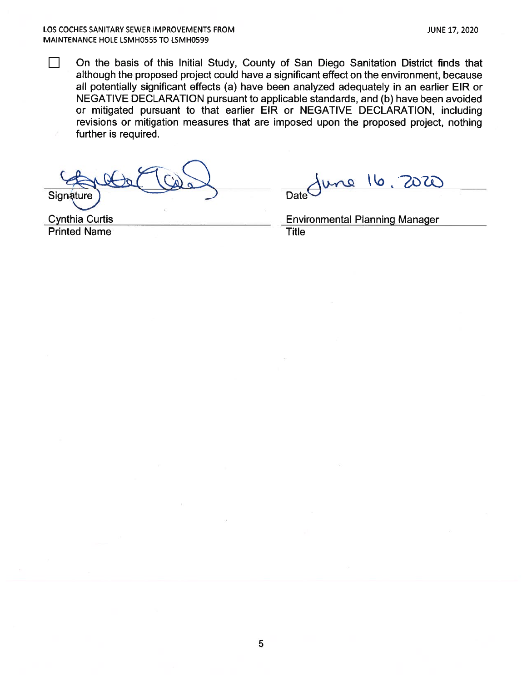П On the basis of this Initial Study, County of San Diego Sanitation District finds that although the proposed project could have a significant effect on the environment, because all potentially significant effects (a) have been analyzed adequately in an earlier EIR or NEGATIVE DECLARATION pursuant to applicable standards, and (b) have been avoided or mitigated pursuant to that earlier EIR or NEGATIVE DECLARATION, including revisions or mitigation measures that are imposed upon the proposed project, nothing further is required.

Signature

une 16 20TO **Date** 

**Cynthia Curtis Printed Name** 

**Environmental Planning Manager** 

**Title**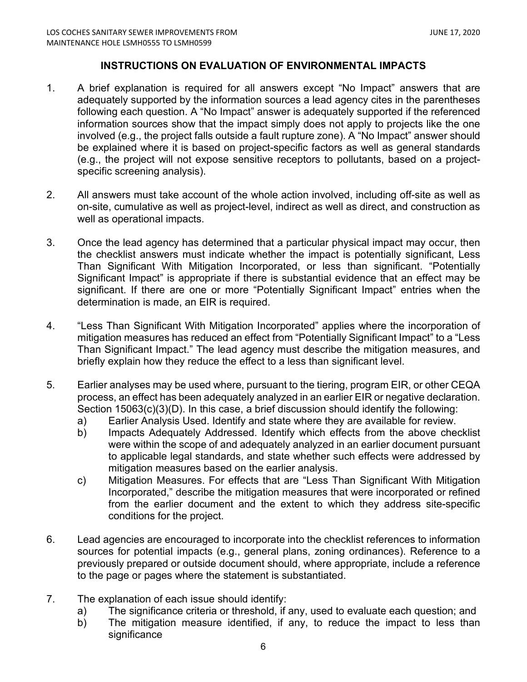# **INSTRUCTIONS ON EVALUATION OF ENVIRONMENTAL IMPACTS**

- 1. A brief explanation is required for all answers except "No Impact" answers that are adequately supported by the information sources a lead agency cites in the parentheses following each question. A "No Impact" answer is adequately supported if the referenced information sources show that the impact simply does not apply to projects like the one involved (e.g., the project falls outside a fault rupture zone). A "No Impact" answer should be explained where it is based on project-specific factors as well as general standards (e.g., the project will not expose sensitive receptors to pollutants, based on a projectspecific screening analysis).
- 2. All answers must take account of the whole action involved, including off-site as well as on-site, cumulative as well as project-level, indirect as well as direct, and construction as well as operational impacts.
- 3. Once the lead agency has determined that a particular physical impact may occur, then the checklist answers must indicate whether the impact is potentially significant, Less Than Significant With Mitigation Incorporated, or less than significant. "Potentially Significant Impact" is appropriate if there is substantial evidence that an effect may be significant. If there are one or more "Potentially Significant Impact" entries when the determination is made, an EIR is required.
- 4. "Less Than Significant With Mitigation Incorporated" applies where the incorporation of mitigation measures has reduced an effect from "Potentially Significant Impact" to a "Less Than Significant Impact." The lead agency must describe the mitigation measures, and briefly explain how they reduce the effect to a less than significant level.
- 5. Earlier analyses may be used where, pursuant to the tiering, program EIR, or other CEQA process, an effect has been adequately analyzed in an earlier EIR or negative declaration. Section 15063(c)(3)(D). In this case, a brief discussion should identify the following:
	- a) Earlier Analysis Used. Identify and state where they are available for review.
	- b) Impacts Adequately Addressed. Identify which effects from the above checklist were within the scope of and adequately analyzed in an earlier document pursuant to applicable legal standards, and state whether such effects were addressed by mitigation measures based on the earlier analysis.
	- c) Mitigation Measures. For effects that are "Less Than Significant With Mitigation Incorporated," describe the mitigation measures that were incorporated or refined from the earlier document and the extent to which they address site-specific conditions for the project.
- 6. Lead agencies are encouraged to incorporate into the checklist references to information sources for potential impacts (e.g., general plans, zoning ordinances). Reference to a previously prepared or outside document should, where appropriate, include a reference to the page or pages where the statement is substantiated.
- 7. The explanation of each issue should identify:
	- a) The significance criteria or threshold, if any, used to evaluate each question; and
	- b) The mitigation measure identified, if any, to reduce the impact to less than significance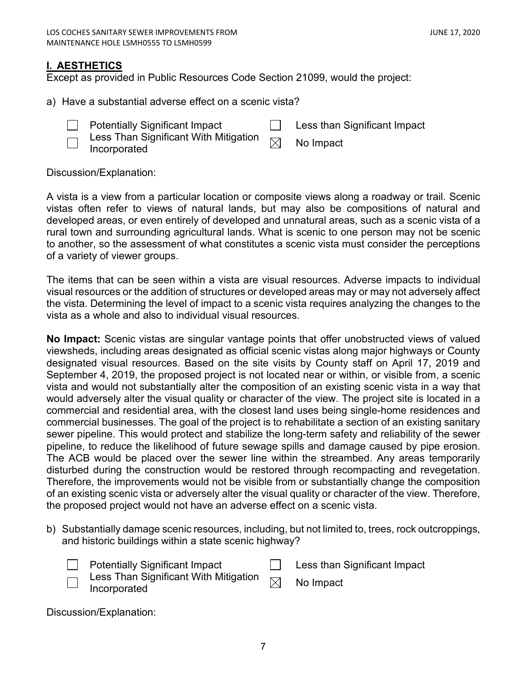# <span id="page-6-0"></span>**I. AESTHETICS**

Except as provided in Public Resources Code Section 21099, would the project:

- a) Have a substantial adverse effect on a scenic vista?
	-
- Potentially Significant Impact **Less** than Significant Impact
- Less Than Significant With Mitigation  $\quad \Join \quad$  No Impact<br>Incorporated

Discussion/Explanation:

A vista is a view from a particular location or composite views along a roadway or trail. Scenic vistas often refer to views of natural lands, but may also be compositions of natural and developed areas, or even entirely of developed and unnatural areas, such as a scenic vista of a rural town and surrounding agricultural lands. What is scenic to one person may not be scenic to another, so the assessment of what constitutes a scenic vista must consider the perceptions of a variety of viewer groups.

The items that can be seen within a vista are visual resources. Adverse impacts to individual visual resources or the addition of structures or developed areas may or may not adversely affect the vista. Determining the level of impact to a scenic vista requires analyzing the changes to the vista as a whole and also to individual visual resources.

**No Impact:** Scenic vistas are singular vantage points that offer unobstructed views of valued viewsheds, including areas designated as official scenic vistas along major highways or County designated visual resources. Based on the site visits by County staff on April 17, 2019 and September 4, 2019, the proposed project is not located near or within, or visible from, a scenic vista and would not substantially alter the composition of an existing scenic vista in a way that would adversely alter the visual quality or character of the view. The project site is located in a commercial and residential area, with the closest land uses being single-home residences and commercial businesses. The goal of the project is to rehabilitate a section of an existing sanitary sewer pipeline. This would protect and stabilize the long-term safety and reliability of the sewer pipeline, to reduce the likelihood of future sewage spills and damage caused by pipe erosion. The ACB would be placed over the sewer line within the streambed. Any areas temporarily disturbed during the construction would be restored through recompacting and revegetation. Therefore, the improvements would not be visible from or substantially change the composition of an existing scenic vista or adversely alter the visual quality or character of the view. Therefore, the proposed project would not have an adverse effect on a scenic vista.

b) Substantially damage scenic resources, including, but not limited to, trees, rock outcroppings, and historic buildings within a state scenic highway?

| <b>Potentially Significant Impact</b> | Less than Significant Impact |
|---------------------------------------|------------------------------|
|                                       |                              |

| Less Than Significant With Mitigation $\boxtimes$ | No Impact |  |
|---------------------------------------------------|-----------|--|
| Incorporated                                      |           |  |

Discussion/Explanation: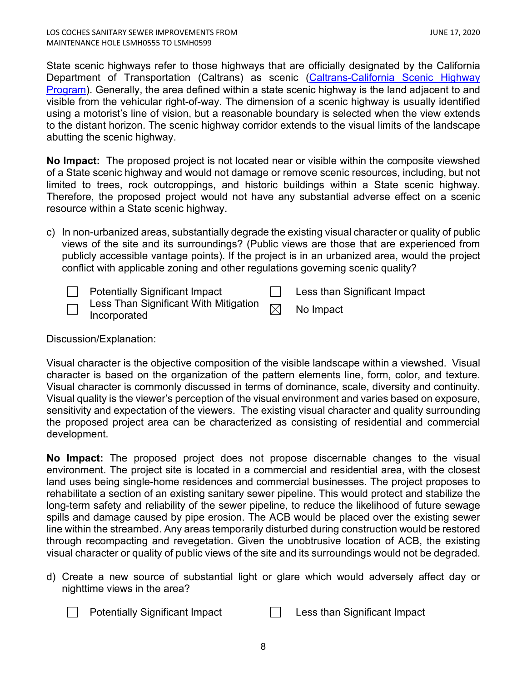State scenic highways refer to those highways that are officially designated by the California Department of Transportation (Caltrans) as scenic (Caltrans-California Scenic Highway [Program\)](http://www.dot.ca.gov/hq/LandArch/scenic/scpr.htm). Generally, the area defined within a state scenic highway is the land adjacent to and visible from the vehicular right-of-way. The dimension of a scenic highway is usually identified using a motorist's line of vision, but a reasonable boundary is selected when the view extends to the distant horizon. The scenic highway corridor extends to the visual limits of the landscape abutting the scenic highway.

**No Impact:** The proposed project is not located near or visible within the composite viewshed of a State scenic highway and would not damage or remove scenic resources, including, but not limited to trees, rock outcroppings, and historic buildings within a State scenic highway. Therefore, the proposed project would not have any substantial adverse effect on a scenic resource within a State scenic highway.

- c) In non-urbanized areas, substantially degrade the existing visual character or quality of public views of the site and its surroundings? (Public views are those that are experienced from publicly accessible vantage points). If the project is in an urbanized area, would the project conflict with applicable zoning and other regulations governing scenic quality?
	- Potentially Significant Impact **Less than Significant Impact** Less Than Significant With Mitigation  $\textsf{Less}$  Trian Significant with Mitigation  $\boxtimes$  No Impact Incorporated

Discussion/Explanation:

Visual character is the objective composition of the visible landscape within a viewshed. Visual character is based on the organization of the pattern elements line, form, color, and texture. Visual character is commonly discussed in terms of dominance, scale, diversity and continuity. Visual quality is the viewer's perception of the visual environment and varies based on exposure, sensitivity and expectation of the viewers. The existing visual character and quality surrounding the proposed project area can be characterized as consisting of residential and commercial development.

**No Impact:** The proposed project does not propose discernable changes to the visual environment. The project site is located in a commercial and residential area, with the closest land uses being single-home residences and commercial businesses. The project proposes to rehabilitate a section of an existing sanitary sewer pipeline. This would protect and stabilize the long-term safety and reliability of the sewer pipeline, to reduce the likelihood of future sewage spills and damage caused by pipe erosion. The ACB would be placed over the existing sewer line within the streambed. Any areas temporarily disturbed during construction would be restored through recompacting and revegetation. Given the unobtrusive location of ACB, the existing visual character or quality of public views of the site and its surroundings would not be degraded.

- d) Create a new source of substantial light or glare which would adversely affect day or nighttime views in the area?
	- Potentially Significant Impact **Less than Significant Impact**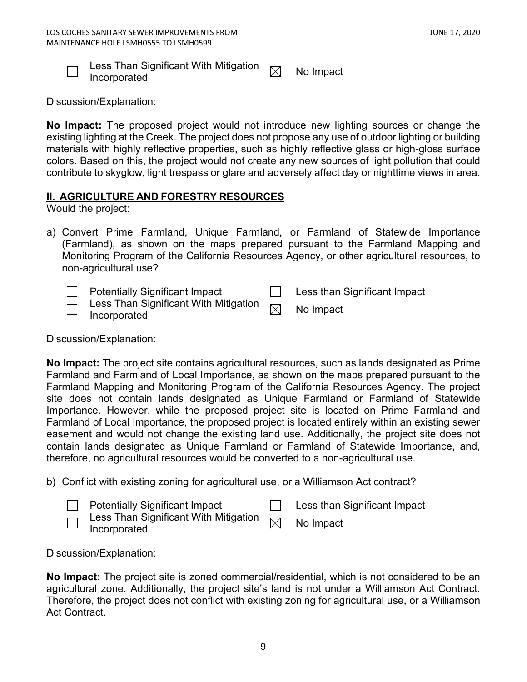

Less Than Significant With Mitigation  $\quad \Join \quad$  No Impact<br>Incorporated

Discussion/Explanation:

**No Impact:** The proposed project would not introduce new lighting sources or change the existing lighting at the Creek. The project does not propose any use of outdoor lighting or building materials with highly reflective properties, such as highly reflective glass or high-gloss surface colors. Based on this, the project would not create any new sources of light pollution that could contribute to skyglow, light trespass or glare and adversely affect day or nighttime views in area.

# <span id="page-8-0"></span>**II. AGRICULTURE AND FORESTRY RESOURCES**

Would the project:

- a) Convert Prime Farmland, Unique Farmland, or Farmland of Statewide Importance (Farmland), as shown on the maps prepared pursuant to the Farmland Mapping and Monitoring Program of the California Resources Agency, or other agricultural resources, to non-agricultural use?
	- $\perp$

Potentially Significant Impact **Less than Significant Impact** 

Less Than Significant With Mitigation  $\textsf{Less}$  Trian Significant with Mitigation  $\boxtimes$  No Impact Incorporated

Discussion/Explanation:

**No Impact:** The project site contains agricultural resources, such as lands designated as Prime Farmland and Farmland of Local Importance, as shown on the maps prepared pursuant to the Farmland Mapping and Monitoring Program of the California Resources Agency. The project site does not contain lands designated as Unique Farmland or Farmland of Statewide Importance. However, while the proposed project site is located on Prime Farmland and Farmland of Local Importance, the proposed project is located entirely within an existing sewer easement and would not change the existing land use. Additionally, the project site does not contain lands designated as Unique Farmland or Farmland of Statewide Importance, and, therefore, no agricultural resources would be converted to a non-agricultural use.

b) Conflict with existing zoning for agricultural use, or a Williamson Act contract?

Potentially Significant Impact **Less than Significant Impact** Less Than Significant With Mitigation Less Trian Significant with Mitigation  $\boxtimes$  No Impact Incorporated

Discussion/Explanation:

**No Impact:** The project site is zoned commercial/residential, which is not considered to be an agricultural zone. Additionally, the project site's land is not under a Williamson Act Contract. Therefore, the project does not conflict with existing zoning for agricultural use, or a Williamson Act Contract.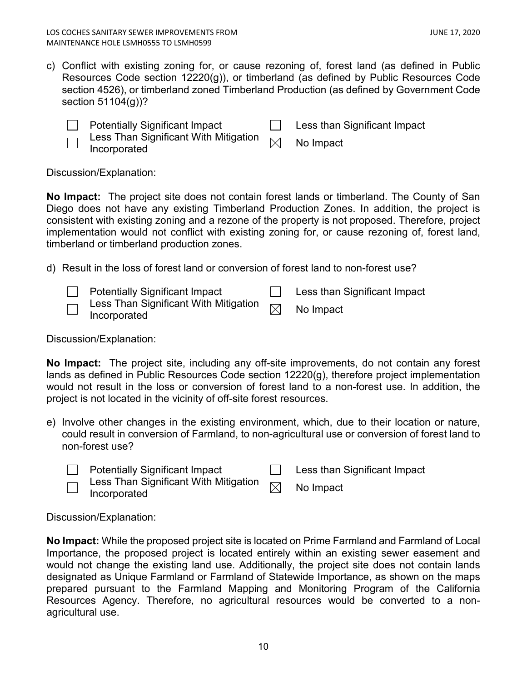c) Conflict with existing zoning for, or cause rezoning of, forest land (as defined in Public Resources Code section 12220(g)), or timberland (as defined by Public Resources Code section 4526), or timberland zoned Timberland Production (as defined by Government Code section 51104(g))?

| <b>Potentially Significant Impact</b> | Less than Significant Impact |
|---------------------------------------|------------------------------|
| $\blacksquare$                        |                              |

Less Than Significant With Mitigation  $\quad \Join \quad$  No Impact<br>Incorporated

Discussion/Explanation:

**No Impact:** The project site does not contain forest lands or timberland. The County of San Diego does not have any existing Timberland Production Zones. In addition, the project is consistent with existing zoning and a rezone of the property is not proposed. Therefore, project implementation would not conflict with existing zoning for, or cause rezoning of, forest land, timberland or timberland production zones.

d) Result in the loss of forest land or conversion of forest land to non-forest use?

|                          | <b>Potentially Significant Impact</b>                                                                   | Less than Significant Impact |
|--------------------------|---------------------------------------------------------------------------------------------------------|------------------------------|
| $\overline{\phantom{a}}$ | $\overline{\phantom{a}}$ Less Than Significant With Mitigation $\overline{\phantom{a}}$<br>Incorporated | No Impact                    |

Discussion/Explanation:

**No Impact:** The project site, including any off-site improvements, do not contain any forest lands as defined in Public Resources Code section 12220(g), therefore project implementation would not result in the loss or conversion of forest land to a non-forest use. In addition, the project is not located in the vicinity of off-site forest resources.

e) Involve other changes in the existing environment, which, due to their location or nature, could result in conversion of Farmland, to non-agricultural use or conversion of forest land to non-forest use?

|                          | <b>Potentially Significant Impact</b> | Less than Significant Impact |
|--------------------------|---------------------------------------|------------------------------|
| $\overline{\phantom{0}}$ | Incorporated                          | No Impact                    |

Discussion/Explanation:

**No Impact:** While the proposed project site is located on Prime Farmland and Farmland of Local Importance, the proposed project is located entirely within an existing sewer easement and would not change the existing land use. Additionally, the project site does not contain lands designated as Unique Farmland or Farmland of Statewide Importance, as shown on the maps prepared pursuant to the Farmland Mapping and Monitoring Program of the California Resources Agency. Therefore, no agricultural resources would be converted to a nonagricultural use.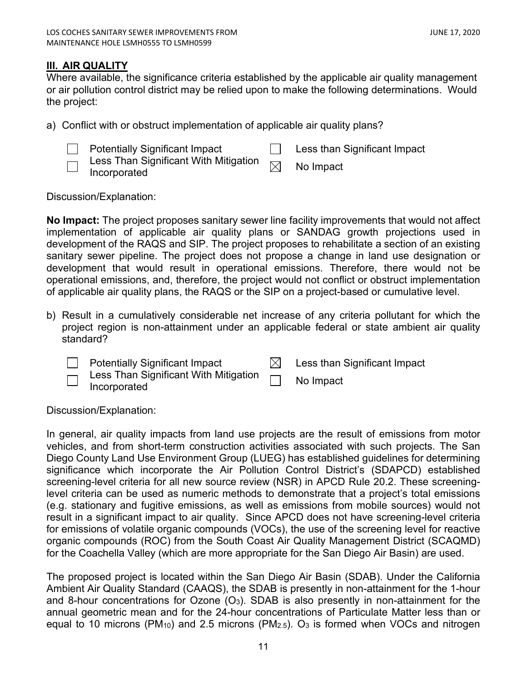# <span id="page-10-0"></span>**III. AIR QUALITY**

Where available, the significance criteria established by the applicable air quality management or air pollution control district may be relied upon to make the following determinations. Would the project:

a) Conflict with or obstruct implementation of applicable air quality plans?

Potentially Significant Impact **Less than Significant Impact** 

Less Than Significant With Mitigation  $\text{Less}$  Trian Significant With Mitigation  $\boxtimes$  No Impact Incorporated

Discussion/Explanation:

**No Impact:** The project proposes sanitary sewer line facility improvements that would not affect implementation of applicable air quality plans or SANDAG growth projections used in development of the RAQS and SIP. The project proposes to rehabilitate a section of an existing sanitary sewer pipeline. The project does not propose a change in land use designation or development that would result in operational emissions. Therefore, there would not be operational emissions, and, therefore, the project would not conflict or obstruct implementation of applicable air quality plans, the RAQS or the SIP on a project-based or cumulative level.

b) Result in a cumulatively considerable net increase of any criteria pollutant for which the project region is non-attainment under an applicable federal or state ambient air quality standard?

Potentially Significant Impact  $\boxtimes$  Less than Significant Impact  $\Box$ 

Less Than Significant With Mitigation Less Than Significant With Mitigation **No Impact**<br>Incorporated

Discussion/Explanation:

In general, air quality impacts from land use projects are the result of emissions from motor vehicles, and from short-term construction activities associated with such projects. The San Diego County Land Use Environment Group (LUEG) has established guidelines for determining significance which incorporate the Air Pollution Control District's (SDAPCD) established screening-level criteria for all new source review (NSR) in APCD Rule 20.2. These screeninglevel criteria can be used as numeric methods to demonstrate that a project's total emissions (e.g. stationary and fugitive emissions, as well as emissions from mobile sources) would not result in a significant impact to air quality. Since APCD does not have screening-level criteria for emissions of volatile organic compounds (VOCs), the use of the screening level for reactive organic compounds (ROC) from the South Coast Air Quality Management District (SCAQMD) for the Coachella Valley (which are more appropriate for the San Diego Air Basin) are used.

The proposed project is located within the San Diego Air Basin (SDAB). Under the California Ambient Air Quality Standard (CAAQS), the SDAB is presently in non-attainment for the 1-hour and 8-hour concentrations for Ozone  $(O_3)$ . SDAB is also presently in non-attainment for the annual geometric mean and for the 24-hour concentrations of Particulate Matter less than or equal to 10 microns (PM<sub>10</sub>) and 2.5 microns (PM<sub>2.5</sub>). O<sub>3</sub> is formed when VOCs and nitrogen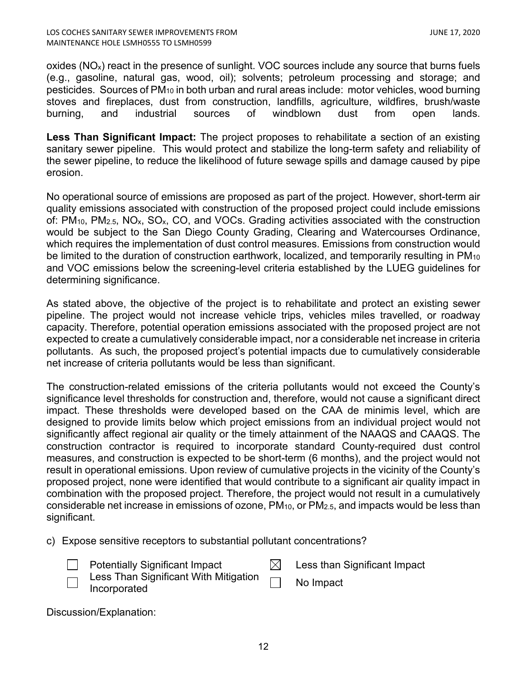oxides ( $NO<sub>x</sub>$ ) react in the presence of sunlight. VOC sources include any source that burns fuels (e.g., gasoline, natural gas, wood, oil); solvents; petroleum processing and storage; and pesticides. Sources of PM10 in both urban and rural areas include: motor vehicles, wood burning stoves and fireplaces, dust from construction, landfills, agriculture, wildfires, brush/waste burning, and industrial sources of windblown dust from open lands.

**Less Than Significant Impact:** The project proposes to rehabilitate a section of an existing sanitary sewer pipeline. This would protect and stabilize the long-term safety and reliability of the sewer pipeline, to reduce the likelihood of future sewage spills and damage caused by pipe erosion.

No operational source of emissions are proposed as part of the project. However, short-term air quality emissions associated with construction of the proposed project could include emissions of: PM<sub>10</sub>, PM<sub>2.5</sub>, NO<sub>x</sub>, SO<sub>x</sub>, CO, and VOCs. Grading activities associated with the construction would be subject to the San Diego County Grading, Clearing and Watercourses Ordinance, which requires the implementation of dust control measures. Emissions from construction would be limited to the duration of construction earthwork, localized, and temporarily resulting in PM<sub>10</sub> and VOC emissions below the screening-level criteria established by the LUEG guidelines for determining significance.

As stated above, the objective of the project is to rehabilitate and protect an existing sewer pipeline. The project would not increase vehicle trips, vehicles miles travelled, or roadway capacity. Therefore, potential operation emissions associated with the proposed project are not expected to create a cumulatively considerable impact, nor a considerable net increase in criteria pollutants. As such, the proposed project's potential impacts due to cumulatively considerable net increase of criteria pollutants would be less than significant.

The construction-related emissions of the criteria pollutants would not exceed the County's significance level thresholds for construction and, therefore, would not cause a significant direct impact. These thresholds were developed based on the CAA de minimis level, which are designed to provide limits below which project emissions from an individual project would not significantly affect regional air quality or the timely attainment of the NAAQS and CAAQS. The construction contractor is required to incorporate standard County-required dust control measures, and construction is expected to be short-term (6 months), and the project would not result in operational emissions. Upon review of cumulative projects in the vicinity of the County's proposed project, none were identified that would contribute to a significant air quality impact in combination with the proposed project. Therefore, the project would not result in a cumulatively considerable net increase in emissions of ozone,  $PM_{10}$ , or  $PM_{2.5}$ , and impacts would be less than significant.

c) Expose sensitive receptors to substantial pollutant concentrations?

Potentially Significant Impact  $\boxtimes$  Less than Significant Impact

Less Than Significant With Mitigation Incorporated **Incorporated** 

Discussion/Explanation: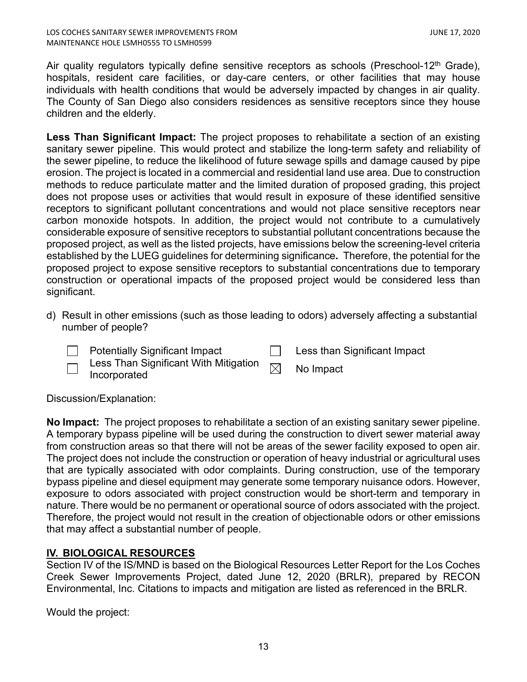Air quality regulators typically define sensitive receptors as schools (Preschool-12<sup>th</sup> Grade), hospitals, resident care facilities, or day-care centers, or other facilities that may house individuals with health conditions that would be adversely impacted by changes in air quality. The County of San Diego also considers residences as sensitive receptors since they house children and the elderly.

**Less Than Significant Impact:** The project proposes to rehabilitate a section of an existing sanitary sewer pipeline. This would protect and stabilize the long-term safety and reliability of the sewer pipeline, to reduce the likelihood of future sewage spills and damage caused by pipe erosion. The project is located in a commercial and residential land use area. Due to construction methods to reduce particulate matter and the limited duration of proposed grading, this project does not propose uses or activities that would result in exposure of these identified sensitive receptors to significant pollutant concentrations and would not place sensitive receptors near carbon monoxide hotspots. In addition, the project would not contribute to a cumulatively considerable exposure of sensitive receptors to substantial pollutant concentrations because the proposed project, as well as the listed projects, have emissions below the screening-level criteria established by the LUEG guidelines for determining significance**.** Therefore, the potential for the proposed project to expose sensitive receptors to substantial concentrations due to temporary construction or operational impacts of the proposed project would be considered less than significant.

- d) Result in other emissions (such as those leading to odors) adversely affecting a substantial number of people?
	- Potentially Significant Impact **Less than Significant Impact** 
		- Less Than Significant With Mitigation  $L$  ess Trian Significant With Mitigation  $\boxtimes$  No Impact Incorporated

Discussion/Explanation:

**No Impact:** The project proposes to rehabilitate a section of an existing sanitary sewer pipeline. A temporary bypass pipeline will be used during the construction to divert sewer material away from construction areas so that there will not be areas of the sewer facility exposed to open air. The project does not include the construction or operation of heavy industrial or agricultural uses that are typically associated with odor complaints. During construction, use of the temporary bypass pipeline and diesel equipment may generate some temporary nuisance odors. However, exposure to odors associated with project construction would be short-term and temporary in nature. There would be no permanent or operational source of odors associated with the project. Therefore, the project would not result in the creation of objectionable odors or other emissions that may affect a substantial number of people.

# <span id="page-12-0"></span>**IV. BIOLOGICAL RESOURCES**

Section IV of the IS/MND is based on the Biological Resources Letter Report for the Los Coches Creek Sewer Improvements Project, dated June 12, 2020 (BRLR), prepared by RECON Environmental, Inc. Citations to impacts and mitigation are listed as referenced in the BRLR.

Would the project: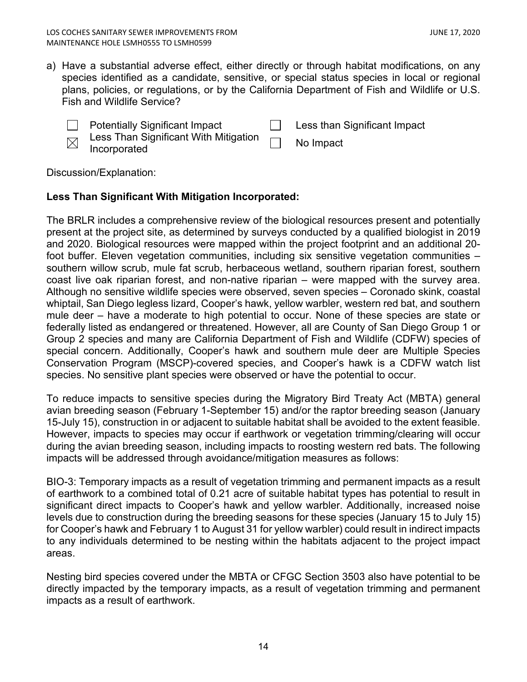- a) Have a substantial adverse effect, either directly or through habitat modifications, on any species identified as a candidate, sensitive, or special status species in local or regional plans, policies, or regulations, or by the California Department of Fish and Wildlife or U.S. Fish and Wildlife Service?
	- Potentially Significant Impact **Less than Significant Impact**
	- Less Than Significant With Mitigation Incorporated No Impact  $\boxtimes$

Discussion/Explanation:

# **Less Than Significant With Mitigation Incorporated:**

The BRLR includes a comprehensive review of the biological resources present and potentially present at the project site, as determined by surveys conducted by a qualified biologist in 2019 and 2020. Biological resources were mapped within the project footprint and an additional 20 foot buffer. Eleven vegetation communities, including six sensitive vegetation communities – southern willow scrub, mule fat scrub, herbaceous wetland, southern riparian forest, southern coast live oak riparian forest, and non-native riparian – were mapped with the survey area. Although no sensitive wildlife species were observed, seven species – Coronado skink, coastal whiptail, San Diego legless lizard, Cooper's hawk, yellow warbler, western red bat, and southern mule deer – have a moderate to high potential to occur. None of these species are state or federally listed as endangered or threatened. However, all are County of San Diego Group 1 or Group 2 species and many are California Department of Fish and Wildlife (CDFW) species of special concern. Additionally, Cooper's hawk and southern mule deer are Multiple Species Conservation Program (MSCP)-covered species, and Cooper's hawk is a CDFW watch list species. No sensitive plant species were observed or have the potential to occur.

To reduce impacts to sensitive species during the Migratory Bird Treaty Act (MBTA) general avian breeding season (February 1-September 15) and/or the raptor breeding season (January 15-July 15), construction in or adjacent to suitable habitat shall be avoided to the extent feasible. However, impacts to species may occur if earthwork or vegetation trimming/clearing will occur during the avian breeding season, including impacts to roosting western red bats. The following impacts will be addressed through avoidance/mitigation measures as follows:

BIO-3: Temporary impacts as a result of vegetation trimming and permanent impacts as a result of earthwork to a combined total of 0.21 acre of suitable habitat types has potential to result in significant direct impacts to Cooper's hawk and yellow warbler. Additionally, increased noise levels due to construction during the breeding seasons for these species (January 15 to July 15) for Cooper's hawk and February 1 to August 31 for yellow warbler) could result in indirect impacts to any individuals determined to be nesting within the habitats adjacent to the project impact areas.

Nesting bird species covered under the MBTA or CFGC Section 3503 also have potential to be directly impacted by the temporary impacts, as a result of vegetation trimming and permanent impacts as a result of earthwork.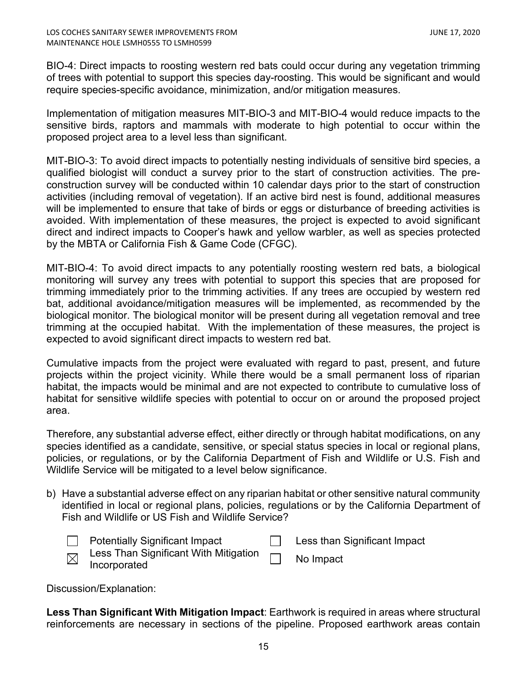BIO-4: Direct impacts to roosting western red bats could occur during any vegetation trimming of trees with potential to support this species day-roosting. This would be significant and would require species-specific avoidance, minimization, and/or mitigation measures.

Implementation of mitigation measures MIT-BIO-3 and MIT-BIO-4 would reduce impacts to the sensitive birds, raptors and mammals with moderate to high potential to occur within the proposed project area to a level less than significant.

MIT-BIO-3: To avoid direct impacts to potentially nesting individuals of sensitive bird species, a qualified biologist will conduct a survey prior to the start of construction activities. The preconstruction survey will be conducted within 10 calendar days prior to the start of construction activities (including removal of vegetation). If an active bird nest is found, additional measures will be implemented to ensure that take of birds or eggs or disturbance of breeding activities is avoided. With implementation of these measures, the project is expected to avoid significant direct and indirect impacts to Cooper's hawk and yellow warbler, as well as species protected by the MBTA or California Fish & Game Code (CFGC).

MIT-BIO-4: To avoid direct impacts to any potentially roosting western red bats, a biological monitoring will survey any trees with potential to support this species that are proposed for trimming immediately prior to the trimming activities. If any trees are occupied by western red bat, additional avoidance/mitigation measures will be implemented, as recommended by the biological monitor. The biological monitor will be present during all vegetation removal and tree trimming at the occupied habitat. With the implementation of these measures, the project is expected to avoid significant direct impacts to western red bat.

Cumulative impacts from the project were evaluated with regard to past, present, and future projects within the project vicinity. While there would be a small permanent loss of riparian habitat, the impacts would be minimal and are not expected to contribute to cumulative loss of habitat for sensitive wildlife species with potential to occur on or around the proposed project area.

Therefore, any substantial adverse effect, either directly or through habitat modifications, on any species identified as a candidate, sensitive, or special status species in local or regional plans, policies, or regulations, or by the California Department of Fish and Wildlife or U.S. Fish and Wildlife Service will be mitigated to a level below significance.

b) Have a substantial adverse effect on any riparian habitat or other sensitive natural community identified in local or regional plans, policies, regulations or by the California Department of Fish and Wildlife or US Fish and Wildlife Service?



Potentially Significant Impact **Less than Significant Impact** 

Less Than Significant With Mitigation <sub>[\_</sub>\_\_\_ No Impact<br>Incorporated

Discussion/Explanation:

**Less Than Significant With Mitigation Impact**: Earthwork is required in areas where structural reinforcements are necessary in sections of the pipeline. Proposed earthwork areas contain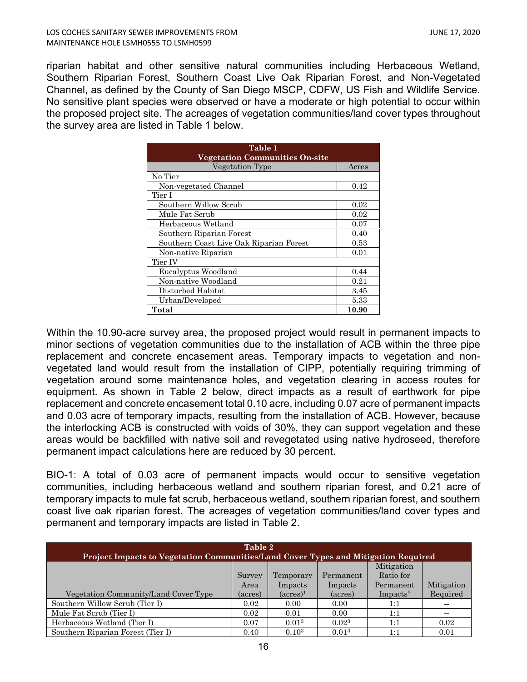riparian habitat and other sensitive natural communities including Herbaceous Wetland, Southern Riparian Forest, Southern Coast Live Oak Riparian Forest, and Non-Vegetated Channel, as defined by the County of San Diego MSCP, CDFW, US Fish and Wildlife Service. No sensitive plant species were observed or have a moderate or high potential to occur within the proposed project site. The acreages of vegetation communities/land cover types throughout the survey area are listed in Table 1 below.

| Table 1                                 |       |  |
|-----------------------------------------|-------|--|
| <b>Vegetation Communities On-site</b>   |       |  |
| Vegetation Type                         | Acres |  |
| No Tier                                 |       |  |
| Non-vegetated Channel                   | 0.42  |  |
| Tier I                                  |       |  |
| Southern Willow Scrub                   | 0.02  |  |
| Mule Fat Scrub                          | 0.02  |  |
| Herbaceous Wetland                      | 0.07  |  |
| Southern Riparian Forest                | 0.40  |  |
| Southern Coast Live Oak Riparian Forest | 0.53  |  |
| Non-native Riparian                     | 0.01  |  |
| Tier IV                                 |       |  |
| Eucalyptus Woodland                     | 0.44  |  |
| Non-native Woodland                     | 0.21  |  |
| Disturbed Habitat                       | 3.45  |  |
| Urban/Developed                         | 5.33  |  |
| Total                                   | 10.90 |  |

Within the 10.90-acre survey area, the proposed project would result in permanent impacts to minor sections of vegetation communities due to the installation of ACB within the three pipe replacement and concrete encasement areas. Temporary impacts to vegetation and nonvegetated land would result from the installation of CIPP, potentially requiring trimming of vegetation around some maintenance holes, and vegetation clearing in access routes for equipment. As shown in Table 2 below, direct impacts as a result of earthwork for pipe replacement and concrete encasement total 0.10 acre, including 0.07 acre of permanent impacts and 0.03 acre of temporary impacts, resulting from the installation of ACB. However, because the interlocking ACB is constructed with voids of 30%, they can support vegetation and these areas would be backfilled with native soil and revegetated using native hydroseed, therefore permanent impact calculations here are reduced by 30 percent.

BIO-1: A total of 0.03 acre of permanent impacts would occur to sensitive vegetation communities, including herbaceous wetland and southern riparian forest, and 0.21 acre of temporary impacts to mule fat scrub, herbaceous wetland, southern riparian forest, and southern coast live oak riparian forest. The acreages of vegetation communities/land cover types and permanent and temporary impacts are listed in Table 2.

| Table 2<br>Project Impacts to Vegetation Communities/Land Cover Types and Mitigation Required |         |                    |                   |                      |            |
|-----------------------------------------------------------------------------------------------|---------|--------------------|-------------------|----------------------|------------|
|                                                                                               |         |                    |                   | Mitigation           |            |
|                                                                                               | Survey  | Temporary          | Permanent         | Ratio for            |            |
|                                                                                               | Area    | Impacts            | Impacts           | Permanent            | Mitigation |
| Vegetation Community/Land Cover Type                                                          | (acres) | $(\text{acres})^1$ | (acres)           | Impacts <sup>2</sup> | Required   |
| Southern Willow Scrub (Tier I)                                                                | 0.02    | 0.00               | 0.00              | 1:1                  |            |
| Mule Fat Scrub (Tier I)                                                                       | 0.02    | 0.01               | 0.00              | 1:1                  | --         |
| Herbaceous Wetland (Tier I)                                                                   | 0.07    | 0.01 <sup>3</sup>  | 0.02 <sup>3</sup> | 1:1                  | 0.02       |
| Southern Riparian Forest (Tier I)                                                             | 0.40    | 0.10 <sup>3</sup>  | 0.01 <sup>3</sup> | 1:1                  | 0.01       |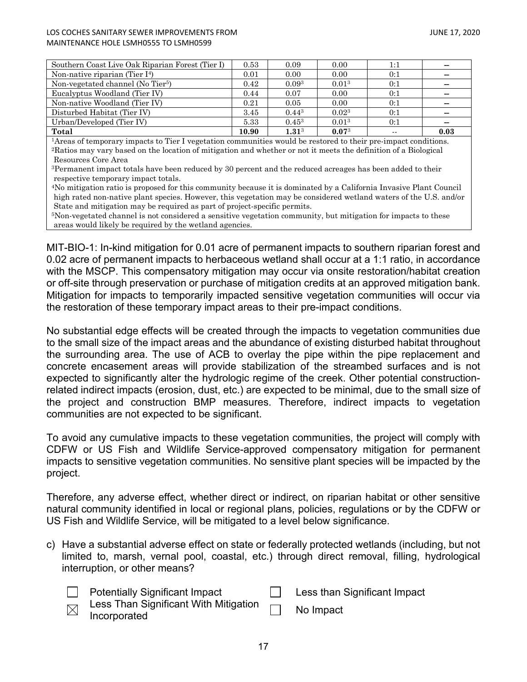### LOS COCHES SANITARY SEWER IMPROVEMENTS FROM JUNE 17, 2020 MAINTENANCE HOLE LSMH0555 TO LSMH0599

| Southern Coast Live Oak Riparian Forest (Tier I) | 0.53  | 0.09              | 0.00       | 1:1   | --   |
|--------------------------------------------------|-------|-------------------|------------|-------|------|
| Non-native riparian (Tier $I4$ )                 | 0.01  | 0.00              | 0.00       | 0:1   | --   |
| Non-vegetated channel (No Tier <sup>5</sup> )    | 0.42  | 0.09 <sup>3</sup> | $0.01^{3}$ | 0:1   |      |
| Eucalyptus Woodland (Tier IV)                    | 0.44  | 0.07              | 0.00       | 0:1   |      |
| Non-native Woodland (Tier IV)                    | 0.21  | 0.05              | 0.00       | 0:1   | --   |
| Disturbed Habitat (Tier IV)                      | 3.45  | $0.44^{3}$        | $0.02^{3}$ | 0:1   | --   |
| Urban/Developed (Tier IV)                        | 5.33  | $0.45^3$          | $0.01^{3}$ | 0:1   | --   |
| Total                                            | 10.90 | $1.31^{3}$        | $0.07^{3}$ | $- -$ | 0.03 |

1Areas of temporary impacts to Tier I vegetation communities would be restored to their pre-impact conditions. 2Ratios may vary based on the location of mitigation and whether or not it meets the definition of a Biological Resources Core Area

<sup>3</sup>Permanent impact totals have been reduced by 30 percent and the reduced acreages has been added to their respective temporary impact totals.

4No mitigation ratio is proposed for this community because it is dominated by a California Invasive Plant Council high rated non-native plant species. However, this vegetation may be considered wetland waters of the U.S. and/or State and mitigation may be required as part of project-specific permits.

5Non-vegetated channel is not considered a sensitive vegetation community, but mitigation for impacts to these areas would likely be required by the wetland agencies.

MIT-BIO-1: In-kind mitigation for 0.01 acre of permanent impacts to southern riparian forest and 0.02 acre of permanent impacts to herbaceous wetland shall occur at a 1:1 ratio, in accordance with the MSCP. This compensatory mitigation may occur via onsite restoration/habitat creation or off-site through preservation or purchase of mitigation credits at an approved mitigation bank. Mitigation for impacts to temporarily impacted sensitive vegetation communities will occur via the restoration of these temporary impact areas to their pre-impact conditions.

No substantial edge effects will be created through the impacts to vegetation communities due to the small size of the impact areas and the abundance of existing disturbed habitat throughout the surrounding area. The use of ACB to overlay the pipe within the pipe replacement and concrete encasement areas will provide stabilization of the streambed surfaces and is not expected to significantly alter the hydrologic regime of the creek. Other potential constructionrelated indirect impacts (erosion, dust, etc.) are expected to be minimal, due to the small size of the project and construction BMP measures. Therefore, indirect impacts to vegetation communities are not expected to be significant.

To avoid any cumulative impacts to these vegetation communities, the project will comply with CDFW or US Fish and Wildlife Service-approved compensatory mitigation for permanent impacts to sensitive vegetation communities. No sensitive plant species will be impacted by the project.

Therefore, any adverse effect, whether direct or indirect, on riparian habitat or other sensitive natural community identified in local or regional plans, policies, regulations or by the CDFW or US Fish and Wildlife Service, will be mitigated to a level below significance.

c) Have a substantial adverse effect on state or federally protected wetlands (including, but not limited to, marsh, vernal pool, coastal, etc.) through direct removal, filling, hydrological interruption, or other means?

| <b>Potentially Significant Impact</b>                                                                                                                                                                                                         | Less than Significant Impact |
|-----------------------------------------------------------------------------------------------------------------------------------------------------------------------------------------------------------------------------------------------|------------------------------|
| $\mathsf{L}$ and $\mathsf{L}$ and $\mathsf{C}$ is set in the set if $\mathsf{M}$ it is a set in the set in the set is set in the set in the set in the set in the set in the set in the set in the set in the set in the set in the set in th |                              |



Less Than Significant With Mitigation Incorporated No Impact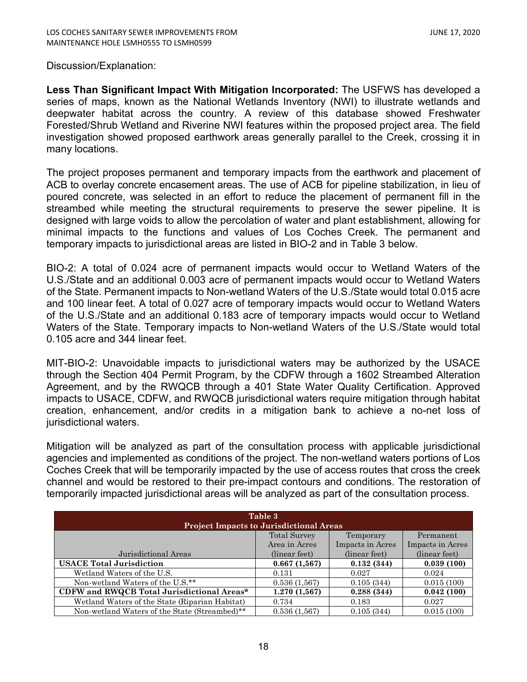## Discussion/Explanation:

**Less Than Significant Impact With Mitigation Incorporated:** The USFWS has developed a series of maps, known as the National Wetlands Inventory (NWI) to illustrate wetlands and deepwater habitat across the country. A review of this database showed Freshwater Forested/Shrub Wetland and Riverine NWI features within the proposed project area. The field investigation showed proposed earthwork areas generally parallel to the Creek, crossing it in many locations.

The project proposes permanent and temporary impacts from the earthwork and placement of ACB to overlay concrete encasement areas. The use of ACB for pipeline stabilization, in lieu of poured concrete, was selected in an effort to reduce the placement of permanent fill in the streambed while meeting the structural requirements to preserve the sewer pipeline. It is designed with large voids to allow the percolation of water and plant establishment, allowing for minimal impacts to the functions and values of Los Coches Creek. The permanent and temporary impacts to jurisdictional areas are listed in BIO-2 and in Table 3 below.

BIO-2: A total of 0.024 acre of permanent impacts would occur to Wetland Waters of the U.S./State and an additional 0.003 acre of permanent impacts would occur to Wetland Waters of the State. Permanent impacts to Non-wetland Waters of the U.S./State would total 0.015 acre and 100 linear feet. A total of 0.027 acre of temporary impacts would occur to Wetland Waters of the U.S./State and an additional 0.183 acre of temporary impacts would occur to Wetland Waters of the State. Temporary impacts to Non-wetland Waters of the U.S./State would total 0.105 acre and 344 linear feet.

MIT-BIO-2: Unavoidable impacts to jurisdictional waters may be authorized by the USACE through the Section 404 Permit Program, by the CDFW through a 1602 Streambed Alteration Agreement, and by the RWQCB through a 401 State Water Quality Certification. Approved impacts to USACE, CDFW, and RWQCB jurisdictional waters require mitigation through habitat creation, enhancement, and/or credits in a mitigation bank to achieve a no-net loss of jurisdictional waters.

Mitigation will be analyzed as part of the consultation process with applicable jurisdictional agencies and implemented as conditions of the project. The non-wetland waters portions of Los Coches Creek that will be temporarily impacted by the use of access routes that cross the creek channel and would be restored to their pre-impact contours and conditions. The restoration of temporarily impacted jurisdictional areas will be analyzed as part of the consultation process.

| Table 3<br><b>Project Impacts to Jurisdictional Areas</b> |                     |                  |                  |  |  |
|-----------------------------------------------------------|---------------------|------------------|------------------|--|--|
|                                                           | <b>Total Survey</b> | Temporary        | Permanent        |  |  |
|                                                           | Area in Acres       | Impacts in Acres | Impacts in Acres |  |  |
| Jurisdictional Areas                                      | (linear feet)       | (linear feet)    | (linear feet)    |  |  |
| <b>USACE Total Jurisdiction</b>                           | 0.667(1,567)        | 0.132(344)       | 0.039(100)       |  |  |
| Wetland Waters of the U.S.                                | 0.131               | 0.027            | 0.024            |  |  |
| Non-wetland Waters of the U.S.**                          | 0.536(1.567)        | 0.105(344)       | 0.015(100)       |  |  |
| CDFW and RWQCB Total Jurisdictional Areas*                | 1.270(1,567)        | 0.288(344)       | 0.042(100)       |  |  |
| Wetland Waters of the State (Riparian Habitat)            | 0.734               | 0.183            | 0.027            |  |  |
| Non-wetland Waters of the State (Streambed)**             | 0.536(1.567)        | 0.105(344)       | 0.015(100)       |  |  |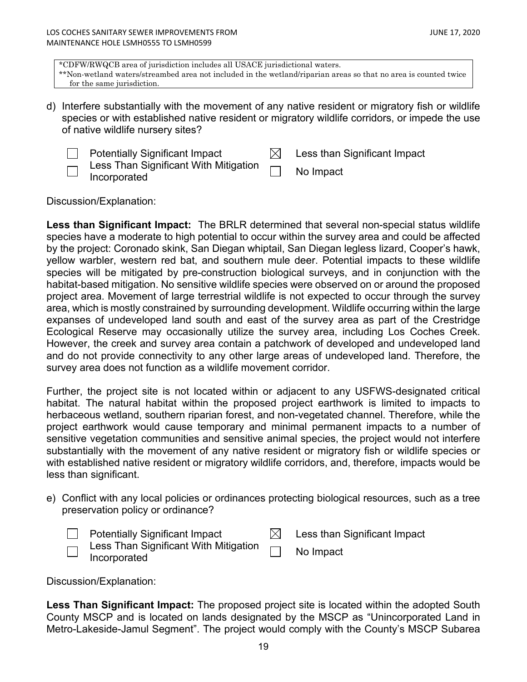\*CDFW/RWQCB area of jurisdiction includes all USACE jurisdictional waters. \*\*Non-wetland waters/streambed area not included in the wetland/riparian areas so that no area is counted twice for the same jurisdiction.

d) Interfere substantially with the movement of any native resident or migratory fish or wildlife species or with established native resident or migratory wildlife corridors, or impede the use of native wildlife nursery sites?

Potentially Significant Impact  $\boxtimes$  Less than Significant Impact Less Than Significant With Mitigation

Incorporated **Incorporated** No Impact

Discussion/Explanation:

**Less than Significant Impact:** The BRLR determined that several non-special status wildlife species have a moderate to high potential to occur within the survey area and could be affected by the project: Coronado skink, San Diegan whiptail, San Diegan legless lizard, Cooper's hawk, yellow warbler, western red bat, and southern mule deer. Potential impacts to these wildlife species will be mitigated by pre-construction biological surveys, and in conjunction with the habitat-based mitigation. No sensitive wildlife species were observed on or around the proposed project area. Movement of large terrestrial wildlife is not expected to occur through the survey area, which is mostly constrained by surrounding development. Wildlife occurring within the large expanses of undeveloped land south and east of the survey area as part of the Crestridge Ecological Reserve may occasionally utilize the survey area, including Los Coches Creek. However, the creek and survey area contain a patchwork of developed and undeveloped land and do not provide connectivity to any other large areas of undeveloped land. Therefore, the survey area does not function as a wildlife movement corridor.

Further, the project site is not located within or adjacent to any USFWS-designated critical habitat. The natural habitat within the proposed project earthwork is limited to impacts to herbaceous wetland, southern riparian forest, and non-vegetated channel. Therefore, while the project earthwork would cause temporary and minimal permanent impacts to a number of sensitive vegetation communities and sensitive animal species, the project would not interfere substantially with the movement of any native resident or migratory fish or wildlife species or with established native resident or migratory wildlife corridors, and, therefore, impacts would be less than significant.

e) Conflict with any local policies or ordinances protecting biological resources, such as a tree preservation policy or ordinance?

|   | <b>Potentially Significant Impact</b>                        | Less than Significant Impact |
|---|--------------------------------------------------------------|------------------------------|
| └ | $\Box$ Less Than Significant With Mitigation<br>Incorporated | No Impact                    |

Discussion/Explanation:

**Less Than Significant Impact:** The proposed project site is located within the adopted South County MSCP and is located on lands designated by the MSCP as "Unincorporated Land in Metro-Lakeside-Jamul Segment". The project would comply with the County's MSCP Subarea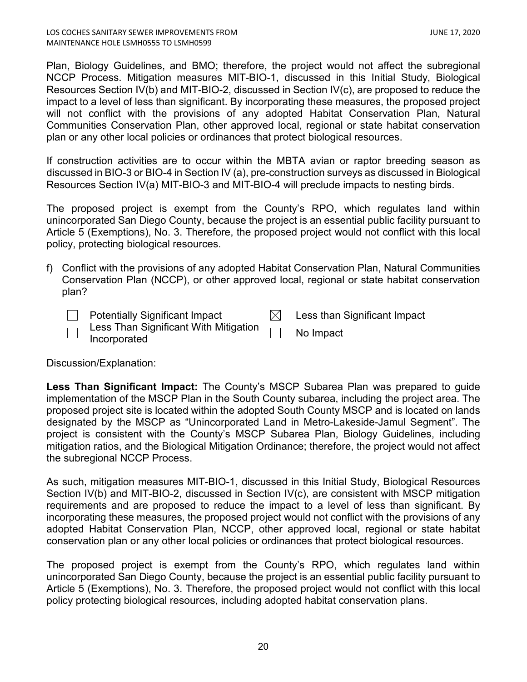Plan, Biology Guidelines, and BMO; therefore, the project would not affect the subregional NCCP Process. Mitigation measures MIT-BIO-1, discussed in this Initial Study, Biological Resources Section IV(b) and MIT-BIO-2, discussed in Section IV(c), are proposed to reduce the impact to a level of less than significant. By incorporating these measures, the proposed project will not conflict with the provisions of any adopted Habitat Conservation Plan, Natural Communities Conservation Plan, other approved local, regional or state habitat conservation plan or any other local policies or ordinances that protect biological resources.

If construction activities are to occur within the MBTA avian or raptor breeding season as discussed in BIO-3 or BIO-4 in Section IV (a), pre-construction surveys as discussed in Biological Resources Section IV(a) MIT-BIO-3 and MIT-BIO-4 will preclude impacts to nesting birds.

The proposed project is exempt from the County's RPO, which regulates land within unincorporated San Diego County, because the project is an essential public facility pursuant to Article 5 (Exemptions), No. 3. Therefore, the proposed project would not conflict with this local policy, protecting biological resources.

f) Conflict with the provisions of any adopted Habitat Conservation Plan, Natural Communities Conservation Plan (NCCP), or other approved local, regional or state habitat conservation plan?

| $\Box$ Potentially Significant Impact                                      | Less than Significant Impact |
|----------------------------------------------------------------------------|------------------------------|
| $\Box$ Less Than Significant With Mitigation $\Box$<br>$\Box$ Incorporated | No Impact                    |

Discussion/Explanation:

**Less Than Significant Impact:** The County's MSCP Subarea Plan was prepared to guide implementation of the MSCP Plan in the South County subarea, including the project area. The proposed project site is located within the adopted South County MSCP and is located on lands designated by the MSCP as "Unincorporated Land in Metro-Lakeside-Jamul Segment". The project is consistent with the County's MSCP Subarea Plan, Biology Guidelines, including mitigation ratios, and the Biological Mitigation Ordinance; therefore, the project would not affect the subregional NCCP Process.

As such, mitigation measures MIT-BIO-1, discussed in this Initial Study, Biological Resources Section IV(b) and MIT-BIO-2, discussed in Section IV(c), are consistent with MSCP mitigation requirements and are proposed to reduce the impact to a level of less than significant. By incorporating these measures, the proposed project would not conflict with the provisions of any adopted Habitat Conservation Plan, NCCP, other approved local, regional or state habitat conservation plan or any other local policies or ordinances that protect biological resources.

The proposed project is exempt from the County's RPO, which regulates land within unincorporated San Diego County, because the project is an essential public facility pursuant to Article 5 (Exemptions), No. 3. Therefore, the proposed project would not conflict with this local policy protecting biological resources, including adopted habitat conservation plans.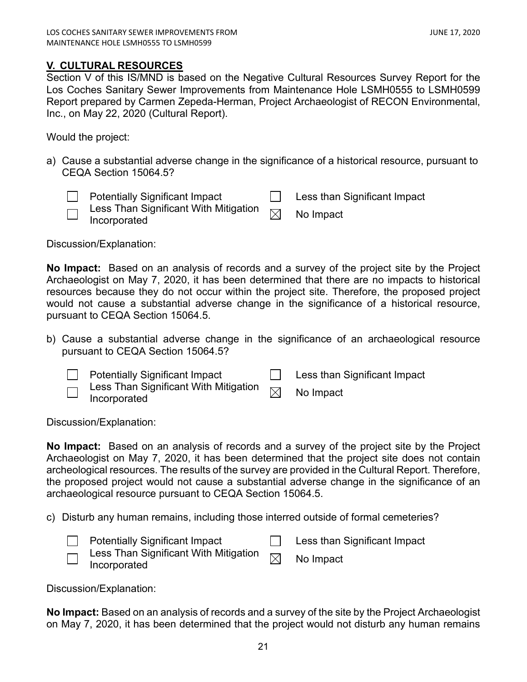# <span id="page-20-0"></span>**V. CULTURAL RESOURCES**

Section V of this IS/MND is based on the Negative Cultural Resources Survey Report for the Los Coches Sanitary Sewer Improvements from Maintenance Hole LSMH0555 to LSMH0599 Report prepared by Carmen Zepeda-Herman, Project Archaeologist of RECON Environmental, Inc., on May 22, 2020 (Cultural Report).

Would the project:

a) Cause a substantial adverse change in the significance of a historical resource, pursuant to CEQA Section 15064.5?

|                          | <b>Potentially Significant Impact</b>                                        | Less than Significant Impact |
|--------------------------|------------------------------------------------------------------------------|------------------------------|
| $\overline{\phantom{0}}$ | Less Than Significant With Mitigation $\overline{\boxtimes}$<br>Incorporated | No Impact                    |

Discussion/Explanation:

**No Impact:** Based on an analysis of records and a survey of the project site by the Project Archaeologist on May 7, 2020, it has been determined that there are no impacts to historical resources because they do not occur within the project site. Therefore, the proposed project would not cause a substantial adverse change in the significance of a historical resource, pursuant to CEQA Section 15064.5.

- b) Cause a substantial adverse change in the significance of an archaeological resource pursuant to CEQA Section 15064.5?
	- Potentially Significant Impact **Less** than Significant Impact
		- Less Than Significant With Mitigation  $\quad \Join \quad$  No Impact<br>Incorporated

Discussion/Explanation:

**No Impact:** Based on an analysis of records and a survey of the project site by the Project Archaeologist on May 7, 2020, it has been determined that the project site does not contain archeological resources. The results of the survey are provided in the Cultural Report. Therefore, the proposed project would not cause a substantial adverse change in the significance of an archaeological resource pursuant to CEQA Section 15064.5.

c) Disturb any human remains, including those interred outside of formal cemeteries?

| <b>Potentially Significant Impact</b>                                        | Less than Significant Impact |
|------------------------------------------------------------------------------|------------------------------|
| Less Than Significant With Mitigation $\overline{\boxtimes}$<br>Incorporated | No Impact                    |

Discussion/Explanation:

**No Impact:** Based on an analysis of records and a survey of the site by the Project Archaeologist on May 7, 2020, it has been determined that the project would not disturb any human remains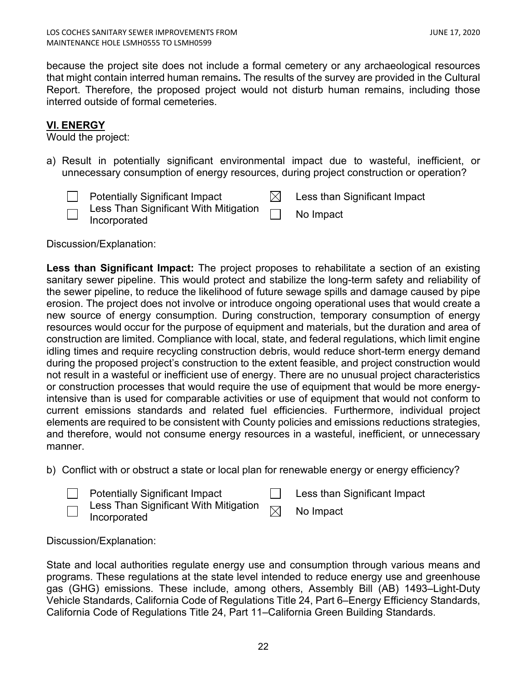because the project site does not include a formal cemetery or any archaeological resources that might contain interred human remains*.* The results of the survey are provided in the Cultural Report. Therefore, the proposed project would not disturb human remains, including those interred outside of formal cemeteries.

# **VI. ENERGY**

Would the project:

a) Result in potentially significant environmental impact due to wasteful, inefficient, or unnecessary consumption of energy resources, during project construction or operation?

|        | <b>Potentially Significant Impact</b>                                       | Less than Significant Impact |
|--------|-----------------------------------------------------------------------------|------------------------------|
| $\Box$ | Less Than Significant With Mitigation $\hskip1cm \bigsqcup$<br>Incorporated | No Impact                    |

Discussion/Explanation:

**Less than Significant Impact:** The project proposes to rehabilitate a section of an existing sanitary sewer pipeline. This would protect and stabilize the long-term safety and reliability of the sewer pipeline, to reduce the likelihood of future sewage spills and damage caused by pipe erosion. The project does not involve or introduce ongoing operational uses that would create a new source of energy consumption. During construction, temporary consumption of energy resources would occur for the purpose of equipment and materials, but the duration and area of construction are limited. Compliance with local, state, and federal regulations, which limit engine idling times and require recycling construction debris, would reduce short-term energy demand during the proposed project's construction to the extent feasible, and project construction would not result in a wasteful or inefficient use of energy. There are no unusual project characteristics or construction processes that would require the use of equipment that would be more energyintensive than is used for comparable activities or use of equipment that would not conform to current emissions standards and related fuel efficiencies. Furthermore, individual project elements are required to be consistent with County policies and emissions reductions strategies, and therefore, would not consume energy resources in a wasteful, inefficient, or unnecessary manner.

b) Conflict with or obstruct a state or local plan for renewable energy or energy efficiency?

| <b>Potentially Significant Impact</b> |  |
|---------------------------------------|--|
|---------------------------------------|--|

Less than Significant Impact

Less Than Significant With Mitigation  $\quad \Join \quad$  No Impact<br>Incorporated

Discussion/Explanation:

State and local authorities regulate energy use and consumption through various means and programs. These regulations at the state level intended to reduce energy use and greenhouse gas (GHG) emissions. These include, among others, Assembly Bill (AB) 1493–Light-Duty Vehicle Standards, California Code of Regulations Title 24, Part 6–Energy Efficiency Standards, California Code of Regulations Title 24, Part 11–California Green Building Standards.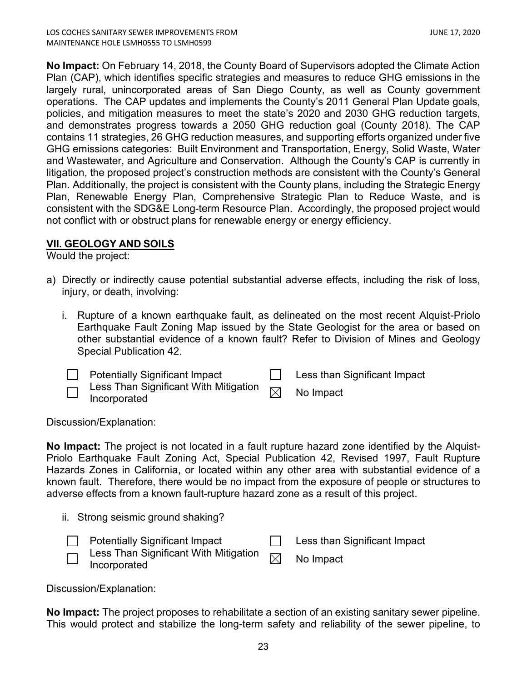**No Impact:** On February 14, 2018, the County Board of Supervisors adopted the Climate Action Plan (CAP), which identifies specific strategies and measures to reduce GHG emissions in the largely rural, unincorporated areas of San Diego County, as well as County government operations. The CAP updates and implements the County's 2011 General Plan Update goals, policies, and mitigation measures to meet the state's 2020 and 2030 GHG reduction targets, and demonstrates progress towards a 2050 GHG reduction goal (County 2018). The CAP contains 11 strategies, 26 GHG reduction measures, and supporting efforts organized under five GHG emissions categories: Built Environment and Transportation, Energy, Solid Waste, Water and Wastewater, and Agriculture and Conservation. Although the County's CAP is currently in litigation, the proposed project's construction methods are consistent with the County's General Plan. Additionally, the project is consistent with the County plans, including the Strategic Energy Plan, Renewable Energy Plan, Comprehensive Strategic Plan to Reduce Waste, and is consistent with the SDG&E Long-term Resource Plan. Accordingly, the proposed project would not conflict with or obstruct plans for renewable energy or energy efficiency.

# **VII. GEOLOGY AND SOILS**

Would the project:

- a) Directly or indirectly cause potential substantial adverse effects, including the risk of loss, injury, or death, involving:
	- i. Rupture of a known earthquake fault, as delineated on the most recent Alquist-Priolo Earthquake Fault Zoning Map issued by the State Geologist for the area or based on other substantial evidence of a known fault? Refer to Division of Mines and Geology Special Publication 42.

|                                                      | <b>Potentially Significant Impact</b>                                        | Less than Significant Impact |
|------------------------------------------------------|------------------------------------------------------------------------------|------------------------------|
| $\overline{\phantom{0}}$<br>$\overline{\phantom{0}}$ | Less Than Significant With Mitigation $\overline{\boxtimes}$<br>Incorporated | No Impact                    |

Discussion/Explanation:

**No Impact:** The project is not located in a fault rupture hazard zone identified by the Alquist-Priolo Earthquake Fault Zoning Act, Special Publication 42, Revised 1997, Fault Rupture Hazards Zones in California, or located within any other area with substantial evidence of a known fault. Therefore, there would be no impact from the exposure of people or structures to adverse effects from a known fault-rupture hazard zone as a result of this project.

|  |  |  |  | ii. Strong seismic ground shaking? |
|--|--|--|--|------------------------------------|
|--|--|--|--|------------------------------------|

|                                                      | <b>Potentially Significant Impact</b>                                          | $\Box$ Less than Significant Impact |
|------------------------------------------------------|--------------------------------------------------------------------------------|-------------------------------------|
| $\overline{\phantom{0}}$<br>$\overline{\phantom{0}}$ | Less Than Significant With Mitigation $\overline{\phantom{a}}$<br>Incorporated | No Impact                           |

Discussion/Explanation:

**No Impact:** The project proposes to rehabilitate a section of an existing sanitary sewer pipeline. This would protect and stabilize the long-term safety and reliability of the sewer pipeline, to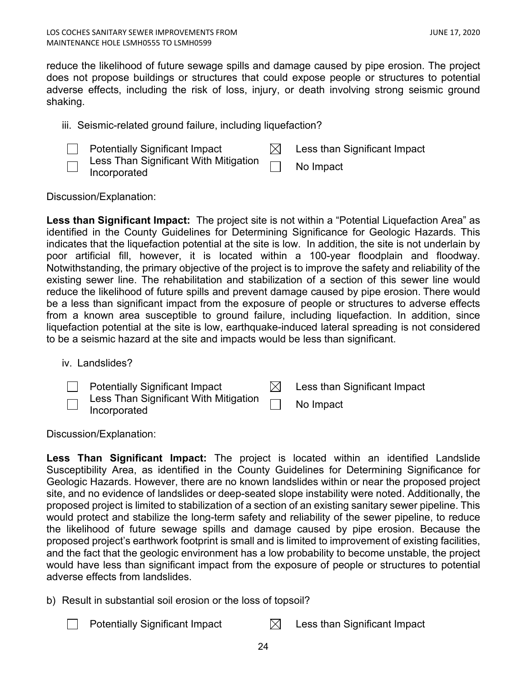reduce the likelihood of future sewage spills and damage caused by pipe erosion. The project does not propose buildings or structures that could expose people or structures to potential adverse effects, including the risk of loss, injury, or death involving strong seismic ground shaking.

iii. Seismic-related ground failure, including liquefaction?



Less Than Significant With Mitigation Incorporated **Incorporated** 

Discussion/Explanation:

**Less than Significant Impact:** The project site is not within a "Potential Liquefaction Area" as identified in the County Guidelines for Determining Significance for Geologic Hazards. This indicates that the liquefaction potential at the site is low. In addition, the site is not underlain by poor artificial fill, however, it is located within a 100-year floodplain and floodway. Notwithstanding, the primary objective of the project is to improve the safety and reliability of the existing sewer line. The rehabilitation and stabilization of a section of this sewer line would reduce the likelihood of future spills and prevent damage caused by pipe erosion. There would be a less than significant impact from the exposure of people or structures to adverse effects from a known area susceptible to ground failure, including liquefaction. In addition, since liquefaction potential at the site is low, earthquake-induced lateral spreading is not considered to be a seismic hazard at the site and impacts would be less than significant.

iv. Landslides?

| <b>Potentially Significant Impact</b>                                            | Less than Significant Impact |
|----------------------------------------------------------------------------------|------------------------------|
| $\bar{\neg}$ Less Than Significant With Mitigation $\Box$<br>$\Box$ Incorporated | No Impact                    |

Discussion/Explanation:

**Less Than Significant Impact:** The project is located within an identified Landslide Susceptibility Area, as identified in the County Guidelines for Determining Significance for Geologic Hazards. However, there are no known landslides within or near the proposed project site, and no evidence of landslides or deep-seated slope instability were noted. Additionally, the proposed project is limited to stabilization of a section of an existing sanitary sewer pipeline. This would protect and stabilize the long-term safety and reliability of the sewer pipeline, to reduce the likelihood of future sewage spills and damage caused by pipe erosion. Because the proposed project's earthwork footprint is small and is limited to improvement of existing facilities, and the fact that the geologic environment has a low probability to become unstable, the project would have less than significant impact from the exposure of people or structures to potential adverse effects from landslides.

- b) Result in substantial soil erosion or the loss of topsoil?
	- Potentially Significant Impact  $\boxtimes$  Less than Significant Impact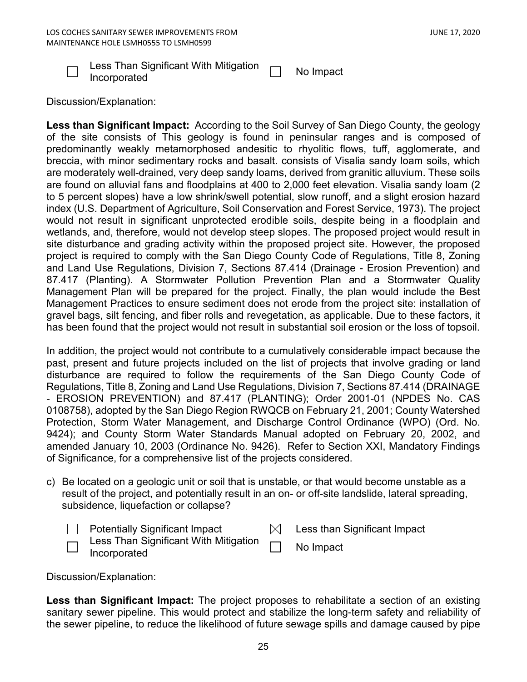

Less Than Significant With Mitigation Incorporated No Impact

Discussion/Explanation:

**Less than Significant Impact:** According to the Soil Survey of San Diego County, the geology of the site consists of This geology is found in peninsular ranges and is composed of predominantly weakly metamorphosed andesitic to rhyolitic flows, tuff, agglomerate, and breccia, with minor sedimentary rocks and basalt. consists of Visalia sandy loam soils, which are moderately well-drained, very deep sandy loams, derived from granitic alluvium. These soils are found on alluvial fans and floodplains at 400 to 2,000 feet elevation. Visalia sandy loam (2 to 5 percent slopes) have a low shrink/swell potential, slow runoff, and a slight erosion hazard index (U.S. Department of Agriculture, Soil Conservation and Forest Service, 1973). The project would not result in significant unprotected erodible soils, despite being in a floodplain and wetlands, and, therefore, would not develop steep slopes. The proposed project would result in site disturbance and grading activity within the proposed project site. However, the proposed project is required to comply with the San Diego County Code of Regulations, Title 8, Zoning and Land Use Regulations, Division 7, Sections 87.414 (Drainage - Erosion Prevention) and 87.417 (Planting). A Stormwater Pollution Prevention Plan and a Stormwater Quality Management Plan will be prepared for the project. Finally, the plan would include the Best Management Practices to ensure sediment does not erode from the project site: installation of gravel bags, silt fencing, and fiber rolls and revegetation, as applicable. Due to these factors, it has been found that the project would not result in substantial soil erosion or the loss of topsoil.

In addition, the project would not contribute to a cumulatively considerable impact because the past, present and future projects included on the list of projects that involve grading or land disturbance are required to follow the requirements of the San Diego County Code of Regulations, Title 8, Zoning and Land Use Regulations, Division 7, Sections 87.414 (DRAINAGE - EROSION PREVENTION) and 87.417 (PLANTING); Order 2001-01 (NPDES No. CAS 0108758), adopted by the San Diego Region RWQCB on February 21, 2001; County Watershed Protection, Storm Water Management, and Discharge Control Ordinance (WPO) (Ord. No. 9424); and County Storm Water Standards Manual adopted on February 20, 2002, and amended January 10, 2003 (Ordinance No. 9426). Refer to Section XXI, Mandatory Findings of Significance, for a comprehensive list of the projects considered.

c) Be located on a geologic unit or soil that is unstable, or that would become unstable as a result of the project, and potentially result in an on- or off-site landslide, lateral spreading, subsidence, liquefaction or collapse?

|                          | <b>Potentially Significant Impact</b>                        | Less than Significant Impact |
|--------------------------|--------------------------------------------------------------|------------------------------|
| $\overline{\phantom{0}}$ | $\Box$ Less Than Significant With Mitigation<br>Incorporated | No Impact                    |

Discussion/Explanation:

**Less than Significant Impact:** The project proposes to rehabilitate a section of an existing sanitary sewer pipeline. This would protect and stabilize the long-term safety and reliability of the sewer pipeline, to reduce the likelihood of future sewage spills and damage caused by pipe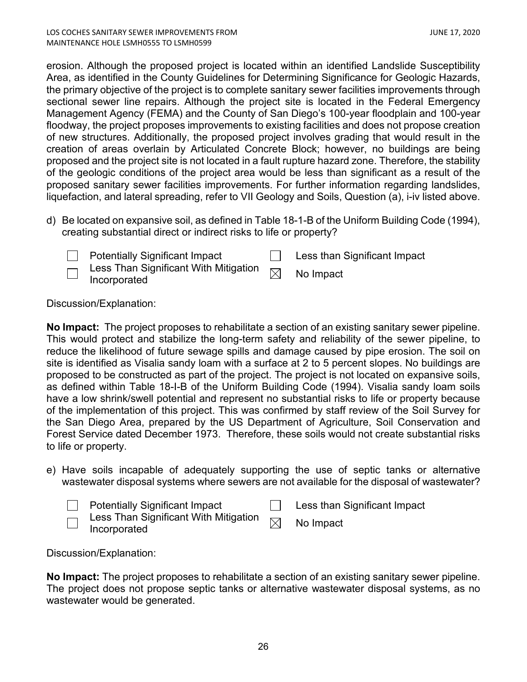erosion. Although the proposed project is located within an identified Landslide Susceptibility Area, as identified in the County Guidelines for Determining Significance for Geologic Hazards, the primary objective of the project is to complete sanitary sewer facilities improvements through sectional sewer line repairs. Although the project site is located in the Federal Emergency Management Agency (FEMA) and the County of San Diego's 100-year floodplain and 100-year floodway, the project proposes improvements to existing facilities and does not propose creation of new structures. Additionally, the proposed project involves grading that would result in the creation of areas overlain by Articulated Concrete Block; however, no buildings are being proposed and the project site is not located in a fault rupture hazard zone. Therefore, the stability of the geologic conditions of the project area would be less than significant as a result of the proposed sanitary sewer facilities improvements. For further information regarding landslides, liquefaction, and lateral spreading, refer to VII Geology and Soils, Question (a), i-iv listed above.

d) Be located on expansive soil, as defined in Table 18-1-B of the Uniform Building Code (1994), creating substantial direct or indirect risks to life or property?



Potentially Significant Impact **Less** than Significant Impact

Less Than Significant With Mitigation

 $\mathsf{Less}$  Trian Significant With Mitigation  $\boxtimes$  No Impact Incorporated

Discussion/Explanation:

**No Impact:** The project proposes to rehabilitate a section of an existing sanitary sewer pipeline. This would protect and stabilize the long-term safety and reliability of the sewer pipeline, to reduce the likelihood of future sewage spills and damage caused by pipe erosion. The soil on site is identified as Visalia sandy loam with a surface at 2 to 5 percent slopes. No buildings are proposed to be constructed as part of the project. The project is not located on expansive soils, as defined within Table 18-I-B of the Uniform Building Code (1994). Visalia sandy loam soils have a low shrink/swell potential and represent no substantial risks to life or property because of the implementation of this project. This was confirmed by staff review of the Soil Survey for the San Diego Area, prepared by the US Department of Agriculture, Soil Conservation and Forest Service dated December 1973. Therefore, these soils would not create substantial risks to life or property.

e) Have soils incapable of adequately supporting the use of septic tanks or alternative wastewater disposal systems where sewers are not available for the disposal of wastewater?

| Potentially Significant Impact                                                                                                            | <b>Example 1 Less than Significant Impact</b> |
|-------------------------------------------------------------------------------------------------------------------------------------------|-----------------------------------------------|
| $\bar{\overline{\phantom{\alpha}}\!}$ Less Than Significant With Mitigation $\hskip 10pt \overline{\phantom{a}}\!$<br>$\Box$ Incorporated | No Impact                                     |

Discussion/Explanation:

**No Impact:** The project proposes to rehabilitate a section of an existing sanitary sewer pipeline. The project does not propose septic tanks or alternative wastewater disposal systems, as no wastewater would be generated.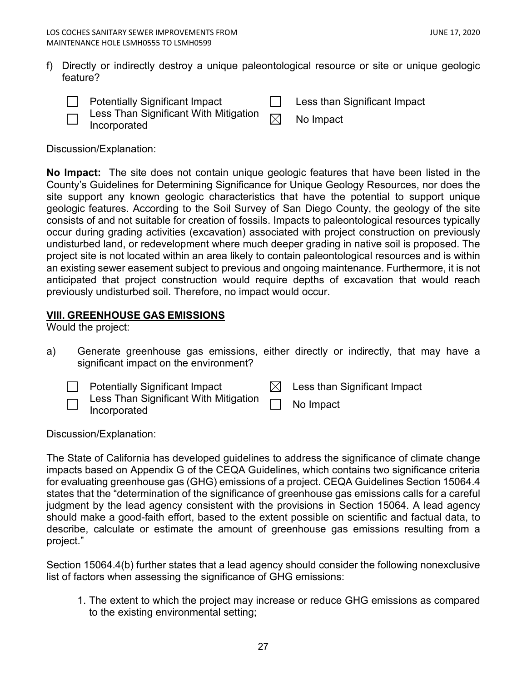f) Directly or indirectly destroy a unique paleontological resource or site or unique geologic feature?

| <b>Potentially Significant Impact</b> |  | Less than Significant Impact |
|---------------------------------------|--|------------------------------|
|---------------------------------------|--|------------------------------|



- Less Than Significant With Mitigation  $\quad \Join \quad$  No Impact<br>Incorporated
	-

Discussion/Explanation:

**No Impact:** The site does not contain unique geologic features that have been listed in the County's Guidelines for Determining Significance for Unique Geology Resources, nor does the site support any known geologic characteristics that have the potential to support unique geologic features. According to the Soil Survey of San Diego County, the geology of the site consists of and not suitable for creation of fossils. Impacts to paleontological resources typically occur during grading activities (excavation) associated with project construction on previously undisturbed land, or redevelopment where much deeper grading in native soil is proposed. The project site is not located within an area likely to contain paleontological resources and is within an existing sewer easement subject to previous and ongoing maintenance. Furthermore, it is not anticipated that project construction would require depths of excavation that would reach previously undisturbed soil. Therefore, no impact would occur.

# <span id="page-26-0"></span>**VIII. GREENHOUSE GAS EMISSIONS**

Would the project:

a) Generate greenhouse gas emissions, either directly or indirectly, that may have a significant impact on the environment?

|      | <b>Potentially Significant Impact</b>                                                                                         | $\boxtimes$ Less than Significant Impact |
|------|-------------------------------------------------------------------------------------------------------------------------------|------------------------------------------|
| ا سا | $\overline{\overline{\phantom{a}}\phantom{a}}$ Less Than Significant With Mitigation $\overline{\phantom{a}}$<br>Incorporated | No Impact                                |

Discussion/Explanation:

The State of California has developed guidelines to address the significance of climate change impacts based on Appendix G of the CEQA Guidelines, which contains two significance criteria for evaluating greenhouse gas (GHG) emissions of a project. CEQA Guidelines Section 15064.4 states that the "determination of the significance of greenhouse gas emissions calls for a careful judgment by the lead agency consistent with the provisions in Section 15064. A lead agency should make a good-faith effort, based to the extent possible on scientific and factual data, to describe, calculate or estimate the amount of greenhouse gas emissions resulting from a project."

Section 15064.4(b) further states that a lead agency should consider the following nonexclusive list of factors when assessing the significance of GHG emissions:

1. The extent to which the project may increase or reduce GHG emissions as compared to the existing environmental setting;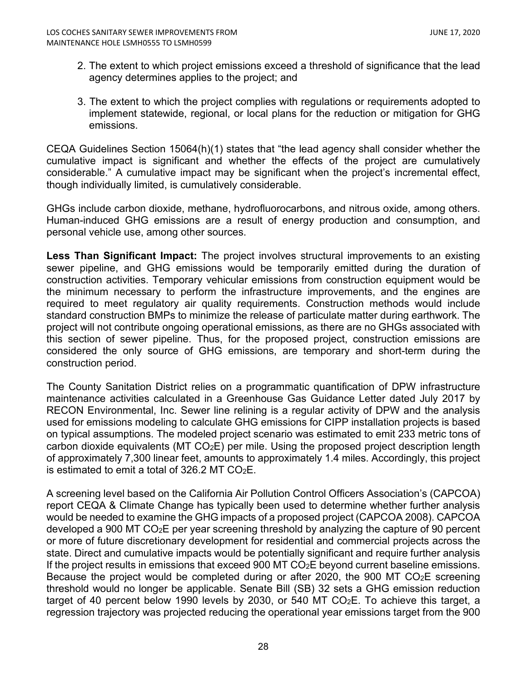- 2. The extent to which project emissions exceed a threshold of significance that the lead agency determines applies to the project; and
- 3. The extent to which the project complies with regulations or requirements adopted to implement statewide, regional, or local plans for the reduction or mitigation for GHG emissions.

CEQA Guidelines Section 15064(h)(1) states that "the lead agency shall consider whether the cumulative impact is significant and whether the effects of the project are cumulatively considerable." A cumulative impact may be significant when the project's incremental effect, though individually limited, is cumulatively considerable.

GHGs include carbon dioxide, methane, hydrofluorocarbons, and nitrous oxide, among others. Human-induced GHG emissions are a result of energy production and consumption, and personal vehicle use, among other sources.

**Less Than Significant Impact:** The project involves structural improvements to an existing sewer pipeline, and GHG emissions would be temporarily emitted during the duration of construction activities. Temporary vehicular emissions from construction equipment would be the minimum necessary to perform the infrastructure improvements, and the engines are required to meet regulatory air quality requirements. Construction methods would include standard construction BMPs to minimize the release of particulate matter during earthwork. The project will not contribute ongoing operational emissions, as there are no GHGs associated with this section of sewer pipeline. Thus, for the proposed project, construction emissions are considered the only source of GHG emissions, are temporary and short-term during the construction period.

The County Sanitation District relies on a programmatic quantification of DPW infrastructure maintenance activities calculated in a Greenhouse Gas Guidance Letter dated July 2017 by RECON Environmental, Inc. Sewer line relining is a regular activity of DPW and the analysis used for emissions modeling to calculate GHG emissions for CIPP installation projects is based on typical assumptions. The modeled project scenario was estimated to emit 233 metric tons of carbon dioxide equivalents (MT  $CO<sub>2</sub>E$ ) per mile. Using the proposed project description length of approximately 7,300 linear feet, amounts to approximately 1.4 miles. Accordingly, this project is estimated to emit a total of  $326.2$  MT CO<sub>2</sub>E.

A screening level based on the California Air Pollution Control Officers Association's (CAPCOA) report CEQA & Climate Change has typically been used to determine whether further analysis would be needed to examine the GHG impacts of a proposed project (CAPCOA 2008). CAPCOA developed a 900 MT CO2E per year screening threshold by analyzing the capture of 90 percent or more of future discretionary development for residential and commercial projects across the state. Direct and cumulative impacts would be potentially significant and require further analysis If the project results in emissions that exceed 900 MT  $CO<sub>2</sub>E$  beyond current baseline emissions. Because the project would be completed during or after 2020, the 900 MT CO<sub>2</sub>E screening threshold would no longer be applicable. Senate Bill (SB) 32 sets a GHG emission reduction target of 40 percent below 1990 levels by 2030, or 540 MT CO $_2$ E. To achieve this target, a regression trajectory was projected reducing the operational year emissions target from the 900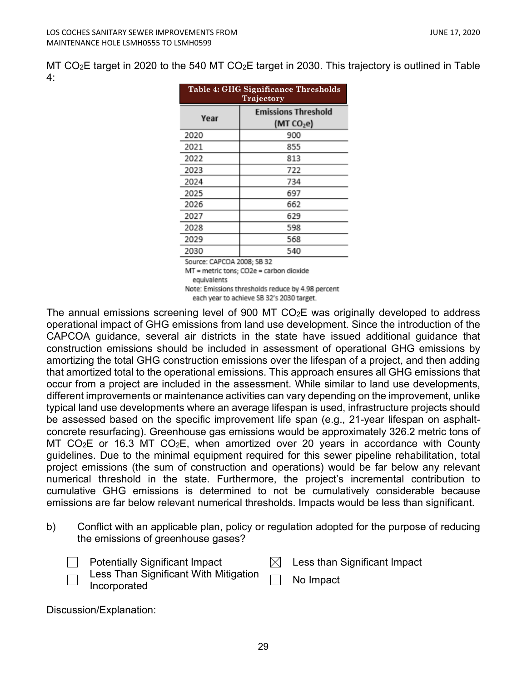MT CO<sub>2</sub>E target in 2020 to the 540 MT CO<sub>2</sub>E target in 2030. This trajectory is outlined in Table 4:

| Table 4: GHG Significance Thresholds<br>Trajectory |                            |  |
|----------------------------------------------------|----------------------------|--|
| Year                                               | <b>Emissions Threshold</b> |  |
|                                                    | (MT CO <sub>2</sub> e)     |  |
| 2020                                               | 900                        |  |
| 2021                                               | 855                        |  |
| 2022                                               | 813                        |  |
| 2023                                               | 722                        |  |
| 2024                                               | 734                        |  |
| 2025                                               | 697                        |  |
| 2026                                               | 662                        |  |
| 2027                                               | 629                        |  |
| 2028                                               | 598                        |  |
| 2029                                               | 568                        |  |
| 2030                                               | 540                        |  |
| Source: CAPCOA 2008; SB 32                         |                            |  |

MT = metric tons; CO2e = carbon dioxide equivalents

Note: Emissions thresholds reduce by 4.98 percent

each year to achieve SB 32's 2030 target.

The annual emissions screening level of 900 MT CO2E was originally developed to address operational impact of GHG emissions from land use development. Since the introduction of the CAPCOA guidance, several air districts in the state have issued additional guidance that construction emissions should be included in assessment of operational GHG emissions by amortizing the total GHG construction emissions over the lifespan of a project, and then adding that amortized total to the operational emissions. This approach ensures all GHG emissions that occur from a project are included in the assessment. While similar to land use developments, different improvements or maintenance activities can vary depending on the improvement, unlike typical land use developments where an average lifespan is used, infrastructure projects should be assessed based on the specific improvement life span (e.g., 21-year lifespan on asphaltconcrete resurfacing). Greenhouse gas emissions would be approximately 326.2 metric tons of MT CO<sub>2</sub>E or 16.3 MT CO<sub>2</sub>E, when amortized over 20 years in accordance with County guidelines. Due to the minimal equipment required for this sewer pipeline rehabilitation, total project emissions (the sum of construction and operations) would be far below any relevant numerical threshold in the state. Furthermore, the project's incremental contribution to cumulative GHG emissions is determined to not be cumulatively considerable because emissions are far below relevant numerical thresholds. Impacts would be less than significant.

b) Conflict with an applicable plan, policy or regulation adopted for the purpose of reducing the emissions of greenhouse gases?

| <b>Potentially Significant Impact</b> |  | $\boxtimes$ Less than Significant Impact |
|---------------------------------------|--|------------------------------------------|
|---------------------------------------|--|------------------------------------------|

Less Than Significant With Mitigation Less Than Significant With Mitigation [15] No Impact

Discussion/Explanation: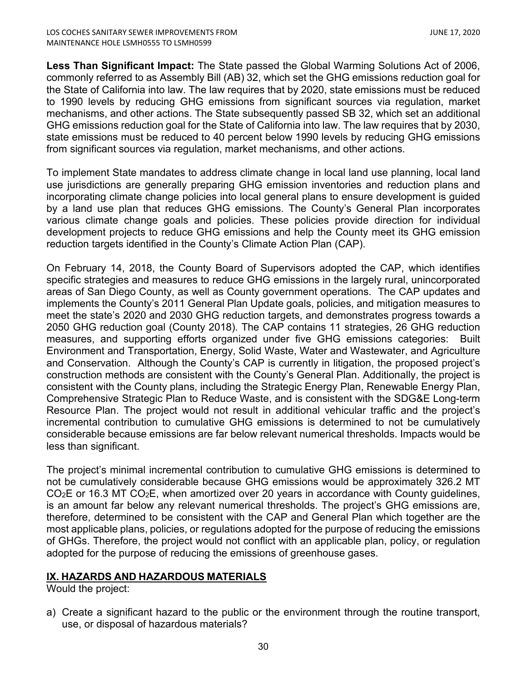**Less Than Significant Impact:** The State passed the Global Warming Solutions Act of 2006, commonly referred to as Assembly Bill (AB) 32, which set the GHG emissions reduction goal for the State of California into law. The law requires that by 2020, state emissions must be reduced to 1990 levels by reducing GHG emissions from significant sources via regulation, market mechanisms, and other actions. The State subsequently passed SB 32, which set an additional GHG emissions reduction goal for the State of California into law. The law requires that by 2030, state emissions must be reduced to 40 percent below 1990 levels by reducing GHG emissions from significant sources via regulation, market mechanisms, and other actions.

To implement State mandates to address climate change in local land use planning, local land use jurisdictions are generally preparing GHG emission inventories and reduction plans and incorporating climate change policies into local general plans to ensure development is guided by a land use plan that reduces GHG emissions. The County's General Plan incorporates various climate change goals and policies. These policies provide direction for individual development projects to reduce GHG emissions and help the County meet its GHG emission reduction targets identified in the County's Climate Action Plan (CAP).

On February 14, 2018, the County Board of Supervisors adopted the CAP, which identifies specific strategies and measures to reduce GHG emissions in the largely rural, unincorporated areas of San Diego County, as well as County government operations. The CAP updates and implements the County's 2011 General Plan Update goals, policies, and mitigation measures to meet the state's 2020 and 2030 GHG reduction targets, and demonstrates progress towards a 2050 GHG reduction goal (County 2018). The CAP contains 11 strategies, 26 GHG reduction measures, and supporting efforts organized under five GHG emissions categories: Built Environment and Transportation, Energy, Solid Waste, Water and Wastewater, and Agriculture and Conservation. Although the County's CAP is currently in litigation, the proposed project's construction methods are consistent with the County's General Plan. Additionally, the project is consistent with the County plans, including the Strategic Energy Plan, Renewable Energy Plan, Comprehensive Strategic Plan to Reduce Waste, and is consistent with the SDG&E Long-term Resource Plan. The project would not result in additional vehicular traffic and the project's incremental contribution to cumulative GHG emissions is determined to not be cumulatively considerable because emissions are far below relevant numerical thresholds. Impacts would be less than significant.

The project's minimal incremental contribution to cumulative GHG emissions is determined to not be cumulatively considerable because GHG emissions would be approximately 326.2 MT  $CO<sub>2</sub>E$  or 16.3 MT  $CO<sub>2</sub>E$ , when amortized over 20 years in accordance with County quidelines, is an amount far below any relevant numerical thresholds. The project's GHG emissions are, therefore, determined to be consistent with the CAP and General Plan which together are the most applicable plans, policies, or regulations adopted for the purpose of reducing the emissions of GHGs. Therefore, the project would not conflict with an applicable plan, policy, or regulation adopted for the purpose of reducing the emissions of greenhouse gases.

# **IX. HAZARDS AND HAZARDOUS MATERIALS**

Would the project:

a) Create a significant hazard to the public or the environment through the routine transport, use, or disposal of hazardous materials?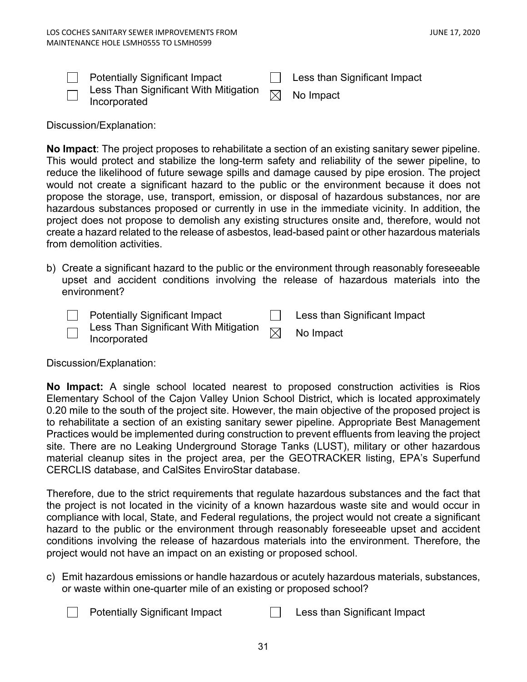| <b>Potentially Significant Impact</b>                                                                                                        | $\Box$ Less than Significant Impact |
|----------------------------------------------------------------------------------------------------------------------------------------------|-------------------------------------|
| $\overline{\hspace{0.1cm}}$ Less Than Significant With Mitigation $\hspace{0.15cm}\boxtimes\hspace{0.15cm}$ No Impact<br>$\Box$ Incorporated |                                     |

Discussion/Explanation:

**No Impact**: The project proposes to rehabilitate a section of an existing sanitary sewer pipeline. This would protect and stabilize the long-term safety and reliability of the sewer pipeline, to reduce the likelihood of future sewage spills and damage caused by pipe erosion. The project would not create a significant hazard to the public or the environment because it does not propose the storage, use, transport, emission, or disposal of hazardous substances, nor are hazardous substances proposed or currently in use in the immediate vicinity. In addition, the project does not propose to demolish any existing structures onsite and, therefore, would not create a hazard related to the release of asbestos, lead-based paint or other hazardous materials from demolition activities.

b) Create a significant hazard to the public or the environment through reasonably foreseeable upset and accident conditions involving the release of hazardous materials into the environment?

| <b>Potentially Significant Impact</b>                                                                                                                                  | Less than Significant Impact |
|------------------------------------------------------------------------------------------------------------------------------------------------------------------------|------------------------------|
| $\overline{\hspace{0.2cm}\cap\hspace{0.2cm}}$ Less Than Significant With Mitigation $\hspace{0.2cm}\not\hspace{0.2cm}\overline{\hspace{0.2cm}}$<br>$\Box$ Incorporated | No Impact                    |

Discussion/Explanation:

**No Impact:** A single school located nearest to proposed construction activities is Rios Elementary School of the Cajon Valley Union School District, which is located approximately 0.20 mile to the south of the project site. However, the main objective of the proposed project is to rehabilitate a section of an existing sanitary sewer pipeline. Appropriate Best Management Practices would be implemented during construction to prevent effluents from leaving the project site. There are no Leaking Underground Storage Tanks (LUST), military or other hazardous material cleanup sites in the project area, per the GEOTRACKER listing, EPA's Superfund CERCLIS database, and CalSites EnviroStar database.

Therefore, due to the strict requirements that regulate hazardous substances and the fact that the project is not located in the vicinity of a known hazardous waste site and would occur in compliance with local, State, and Federal regulations, the project would not create a significant hazard to the public or the environment through reasonably foreseeable upset and accident conditions involving the release of hazardous materials into the environment. Therefore, the project would not have an impact on an existing or proposed school.

c) Emit hazardous emissions or handle hazardous or acutely hazardous materials, substances, or waste within one-quarter mile of an existing or proposed school?

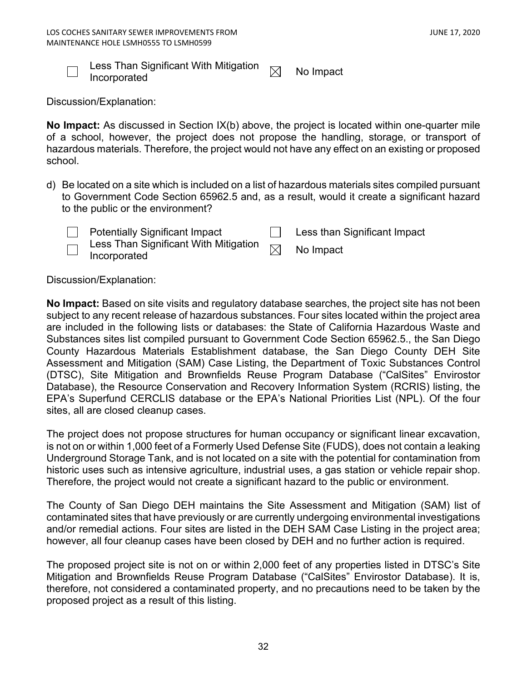

Less Than Significant With Mitigation  $\quad \Join \quad$  No Impact<br>Incorporated

Discussion/Explanation:

**No Impact:** As discussed in Section IX(b) above, the project is located within one-quarter mile of a school, however, the project does not propose the handling, storage, or transport of hazardous materials. Therefore, the project would not have any effect on an existing or proposed school.

d) Be located on a site which is included on a list of hazardous materials sites compiled pursuant to Government Code Section 65962.5 and, as a result, would it create a significant hazard to the public or the environment?



Potentially Significant Impact **Less than Significant Impact** 

Less Than Significant With Mitigation  $\textsf{Less}$  Trian Significant with Mitigation  $\boxtimes$  No Impact Incorporated

Discussion/Explanation:

**No Impact:** Based on site visits and regulatory database searches, the project site has not been subject to any recent release of hazardous substances. Four sites located within the project area are included in the following lists or databases: the State of California Hazardous Waste and Substances sites list compiled pursuant to Government Code Section 65962.5., the San Diego County Hazardous Materials Establishment database, the San Diego County DEH Site Assessment and Mitigation (SAM) Case Listing, the Department of Toxic Substances Control (DTSC), Site Mitigation and Brownfields Reuse Program Database ("CalSites" Envirostor Database), the Resource Conservation and Recovery Information System (RCRIS) listing, the EPA's Superfund CERCLIS database or the EPA's National Priorities List (NPL). Of the four sites, all are closed cleanup cases.

The project does not propose structures for human occupancy or significant linear excavation, is not on or within 1,000 feet of a Formerly Used Defense Site (FUDS), does not contain a leaking Underground Storage Tank, and is not located on a site with the potential for contamination from historic uses such as intensive agriculture, industrial uses, a gas station or vehicle repair shop. Therefore, the project would not create a significant hazard to the public or environment.

The County of San Diego DEH maintains the Site Assessment and Mitigation (SAM) list of contaminated sites that have previously or are currently undergoing environmental investigations and/or remedial actions. Four sites are listed in the DEH SAM Case Listing in the project area; however, all four cleanup cases have been closed by DEH and no further action is required.

The proposed project site is not on or within 2,000 feet of any properties listed in DTSC's Site Mitigation and Brownfields Reuse Program Database ("CalSites" Envirostor Database). It is, therefore, not considered a contaminated property, and no precautions need to be taken by the proposed project as a result of this listing.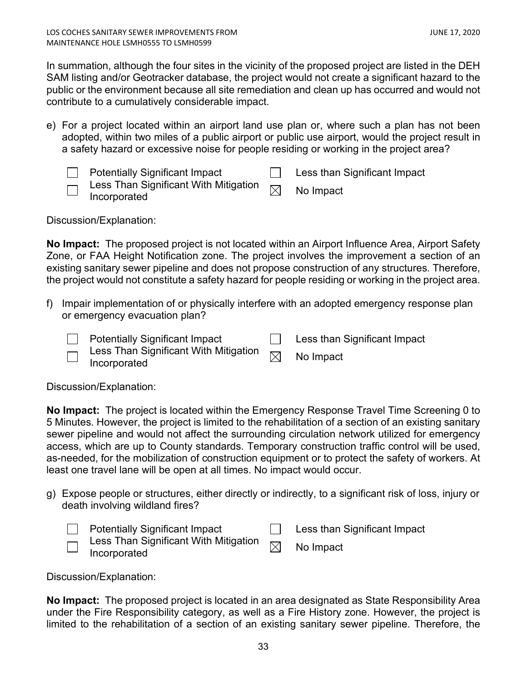In summation, although the four sites in the vicinity of the proposed project are listed in the DEH SAM listing and/or Geotracker database, the project would not create a significant hazard to the public or the environment because all site remediation and clean up has occurred and would not contribute to a cumulatively considerable impact.

e) For a project located within an airport land use plan or, where such a plan has not been adopted, within two miles of a public airport or public use airport, would the project result in a safety hazard or excessive noise for people residing or working in the project area?



Discussion/Explanation:

**No Impact:** The proposed project is not located within an Airport Influence Area, Airport Safety Zone, or FAA Height Notification zone. The project involves the improvement a section of an existing sanitary sewer pipeline and does not propose construction of any structures. Therefore, the project would not constitute a safety hazard for people residing or working in the project area.

f) Impair implementation of or physically interfere with an adopted emergency response plan or emergency evacuation plan?

| <b>Potentially Significant Impact</b> | Less than Significant Impact |
|---------------------------------------|------------------------------|
| $\Box$ Incorporated                   | No Impact                    |

Discussion/Explanation:

**No Impact:** The project is located within the Emergency Response Travel Time Screening 0 to 5 Minutes. However, the project is limited to the rehabilitation of a section of an existing sanitary sewer pipeline and would not affect the surrounding circulation network utilized for emergency access, which are up to County standards. Temporary construction traffic control will be used, as-needed, for the mobilization of construction equipment or to protect the safety of workers. At least one travel lane will be open at all times. No impact would occur.

g) Expose people or structures, either directly or indirectly, to a significant risk of loss, injury or death involving wildland fires?

| <b>Potentially Significant Impact</b>                               | Less than Significant Impact |
|---------------------------------------------------------------------|------------------------------|
| $\Box$ Less Than Significant With Mitigation<br>$\Box$ Incorporated | No Impact                    |

Discussion/Explanation:

**No Impact:** The proposed project is located in an area designated as State Responsibility Area under the Fire Responsibility category, as well as a Fire History zone. However, the project is limited to the rehabilitation of a section of an existing sanitary sewer pipeline. Therefore, the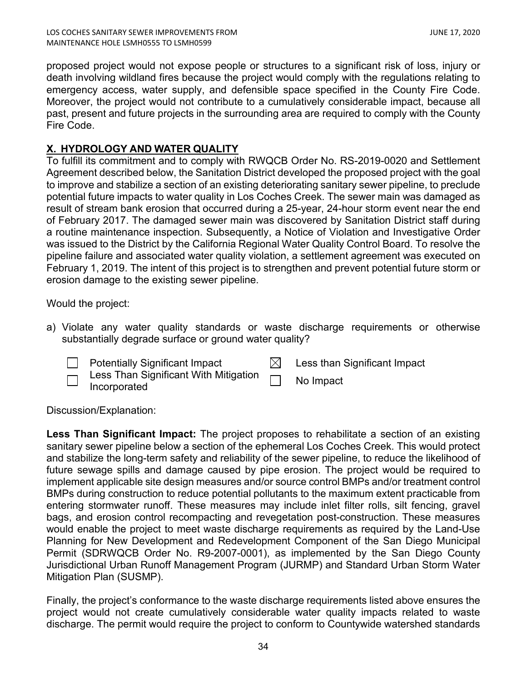proposed project would not expose people or structures to a significant risk of loss, injury or death involving wildland fires because the project would comply with the regulations relating to emergency access, water supply, and defensible space specified in the County Fire Code. Moreover, the project would not contribute to a cumulatively considerable impact, because all past, present and future projects in the surrounding area are required to comply with the County Fire Code.

# **X. HYDROLOGY AND WATER QUALITY**

To fulfill its commitment and to comply with RWQCB Order No. RS-2019-0020 and Settlement Agreement described below, the Sanitation District developed the proposed project with the goal to improve and stabilize a section of an existing deteriorating sanitary sewer pipeline, to preclude potential future impacts to water quality in Los Coches Creek. The sewer main was damaged as result of stream bank erosion that occurred during a 25-year, 24-hour storm event near the end of February 2017. The damaged sewer main was discovered by Sanitation District staff during a routine maintenance inspection. Subsequently, a Notice of Violation and Investigative Order was issued to the District by the California Regional Water Quality Control Board. To resolve the pipeline failure and associated water quality violation, a settlement agreement was executed on February 1, 2019. The intent of this project is to strengthen and prevent potential future storm or erosion damage to the existing sewer pipeline.

Would the project:

a) Violate any water quality standards or waste discharge requirements or otherwise substantially degrade surface or ground water quality?



Potentially Significant Impact  $\Box$  Less than Significant Impact



 Less Than Significant With Mitigation Less Than Significant With Mitigation [11] No Impact

Discussion/Explanation:

**Less Than Significant Impact:** The project proposes to rehabilitate a section of an existing sanitary sewer pipeline below a section of the ephemeral Los Coches Creek. This would protect and stabilize the long-term safety and reliability of the sewer pipeline, to reduce the likelihood of future sewage spills and damage caused by pipe erosion. The project would be required to implement applicable site design measures and/or source control BMPs and/or treatment control BMPs during construction to reduce potential pollutants to the maximum extent practicable from entering stormwater runoff. These measures may include inlet filter rolls, silt fencing, gravel bags, and erosion control recompacting and revegetation post-construction. These measures would enable the project to meet waste discharge requirements as required by the Land-Use Planning for New Development and Redevelopment Component of the San Diego Municipal Permit (SDRWQCB Order No. R9-2007-0001), as implemented by the San Diego County Jurisdictional Urban Runoff Management Program (JURMP) and Standard Urban Storm Water Mitigation Plan (SUSMP).

Finally, the project's conformance to the waste discharge requirements listed above ensures the project would not create cumulatively considerable water quality impacts related to waste discharge. The permit would require the project to conform to Countywide watershed standards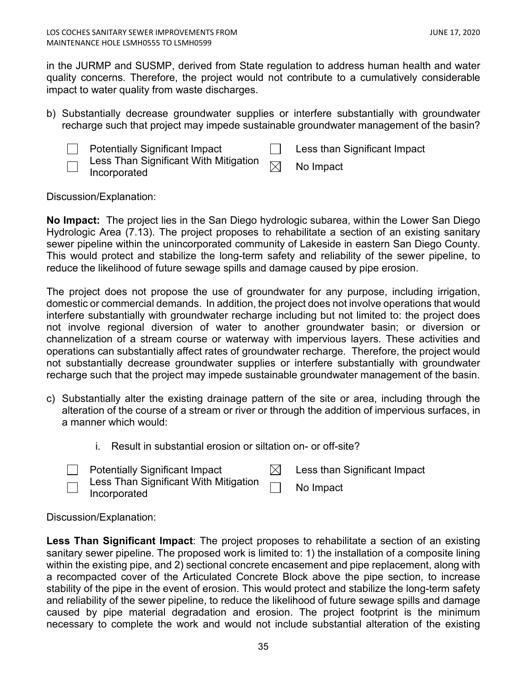in the JURMP and SUSMP, derived from State regulation to address human health and water quality concerns. Therefore, the project would not contribute to a cumulatively considerable impact to water quality from waste discharges.

b) Substantially decrease groundwater supplies or interfere substantially with groundwater recharge such that project may impede sustainable groundwater management of the basin?



Potentially Significant Impact **Less than Significant Impact** 

 Less Than Significant With Mitigation  $L$  ess Trian Significant With Mitigation  $\boxtimes$  No Impact Incorporated

Discussion/Explanation:

**No Impact:** The project lies in the San Diego hydrologic subarea, within the Lower San Diego Hydrologic Area (7.13). The project proposes to rehabilitate a section of an existing sanitary sewer pipeline within the unincorporated community of Lakeside in eastern San Diego County. This would protect and stabilize the long-term safety and reliability of the sewer pipeline, to reduce the likelihood of future sewage spills and damage caused by pipe erosion.

The project does not propose the use of groundwater for any purpose, including irrigation, domestic or commercial demands. In addition, the project does not involve operations that would interfere substantially with groundwater recharge including but not limited to: the project does not involve regional diversion of water to another groundwater basin; or diversion or channelization of a stream course or waterway with impervious layers. These activities and operations can substantially affect rates of groundwater recharge. Therefore, the project would not substantially decrease groundwater supplies or interfere substantially with groundwater recharge such that the project may impede sustainable groundwater management of the basin.

- c) Substantially alter the existing drainage pattern of the site or area, including through the alteration of the course of a stream or river or through the addition of impervious surfaces, in a manner which would:
	- i. Result in substantial erosion or siltation on- or off-site?
	- Potentially Significant Impact  $\boxtimes$  Less than Significant Impact
	- Less Than Significant With Mitigation Incorporated **Incorporated**

Discussion/Explanation:

**Less Than Significant Impact**: The project proposes to rehabilitate a section of an existing sanitary sewer pipeline. The proposed work is limited to: 1) the installation of a composite lining within the existing pipe, and 2) sectional concrete encasement and pipe replacement, along with a recompacted cover of the Articulated Concrete Block above the pipe section, to increase stability of the pipe in the event of erosion. This would protect and stabilize the long-term safety and reliability of the sewer pipeline, to reduce the likelihood of future sewage spills and damage caused by pipe material degradation and erosion. The project footprint is the minimum necessary to complete the work and would not include substantial alteration of the existing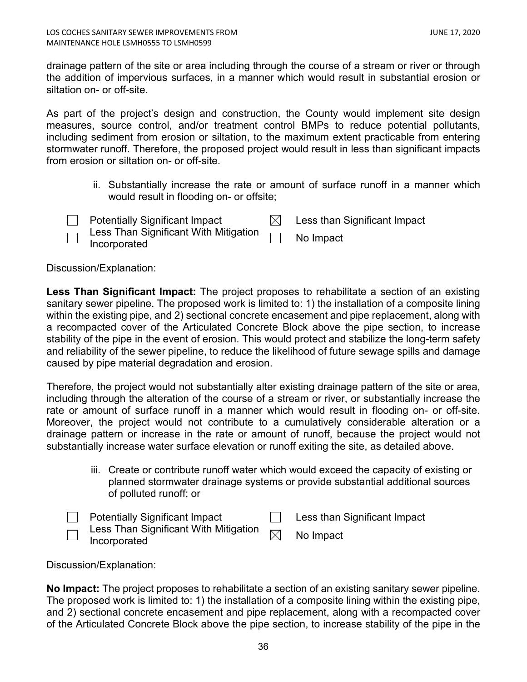drainage pattern of the site or area including through the course of a stream or river or through the addition of impervious surfaces, in a manner which would result in substantial erosion or siltation on- or off-site.

As part of the project's design and construction, the County would implement site design measures, source control, and/or treatment control BMPs to reduce potential pollutants, including sediment from erosion or siltation, to the maximum extent practicable from entering stormwater runoff. Therefore, the proposed project would result in less than significant impacts from erosion or siltation on- or off-site.

> ii. Substantially increase the rate or amount of surface runoff in a manner which would result in flooding on- or offsite;



Potentially Significant Impact  $\mathbb{N}$  Less than Significant Impact Less Than Significant With Mitigation Less Than Significant With Mitigation [11] No Impact

Discussion/Explanation:

**Less Than Significant Impact:** The project proposes to rehabilitate a section of an existing sanitary sewer pipeline. The proposed work is limited to: 1) the installation of a composite lining within the existing pipe, and 2) sectional concrete encasement and pipe replacement, along with a recompacted cover of the Articulated Concrete Block above the pipe section, to increase stability of the pipe in the event of erosion. This would protect and stabilize the long-term safety and reliability of the sewer pipeline, to reduce the likelihood of future sewage spills and damage caused by pipe material degradation and erosion.

Therefore, the project would not substantially alter existing drainage pattern of the site or area, including through the alteration of the course of a stream or river, or substantially increase the rate or amount of surface runoff in a manner which would result in flooding on- or off-site. Moreover, the project would not contribute to a cumulatively considerable alteration or a drainage pattern or increase in the rate or amount of runoff, because the project would not substantially increase water surface elevation or runoff exiting the site, as detailed above.

> iii. Create or contribute runoff water which would exceed the capacity of existing or planned stormwater drainage systems or provide substantial additional sources of polluted runoff; or

| <b>Potentially Significant Impact</b>                                                                          | Less than Significant Impact |
|----------------------------------------------------------------------------------------------------------------|------------------------------|
| $\overline{\phantom{a}}$ Less Than Significant With Mitigation $\overline{\phantom{a}}$<br>$\Box$ Incorporated | No Impact                    |

Discussion/Explanation:

**No Impact:** The project proposes to rehabilitate a section of an existing sanitary sewer pipeline. The proposed work is limited to: 1) the installation of a composite lining within the existing pipe, and 2) sectional concrete encasement and pipe replacement, along with a recompacted cover of the Articulated Concrete Block above the pipe section, to increase stability of the pipe in the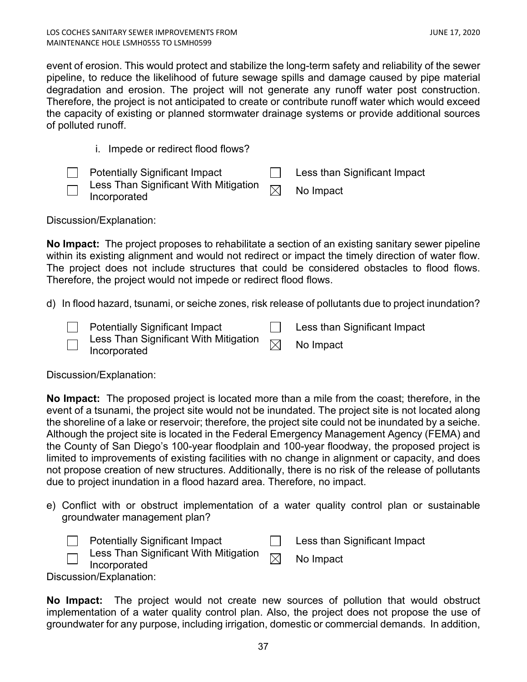event of erosion. This would protect and stabilize the long-term safety and reliability of the sewer pipeline, to reduce the likelihood of future sewage spills and damage caused by pipe material degradation and erosion. The project will not generate any runoff water post construction. Therefore, the project is not anticipated to create or contribute runoff water which would exceed the capacity of existing or planned stormwater drainage systems or provide additional sources of polluted runoff.

i. Impede or redirect flood flows?

|   | <b>Potentially Significant Impact</b>                                                                  | Less than Significant Impact |
|---|--------------------------------------------------------------------------------------------------------|------------------------------|
| — | $\overline{\mathcal{A}}$ Less Than Significant With Mitigation $\overline{\mathbb{M}}$<br>Incorporated | No Impact                    |

Discussion/Explanation:

**No Impact:** The project proposes to rehabilitate a section of an existing sanitary sewer pipeline within its existing alignment and would not redirect or impact the timely direction of water flow. The project does not include structures that could be considered obstacles to flood flows. Therefore, the project would not impede or redirect flood flows.

d) In flood hazard, tsunami, or seiche zones, risk release of pollutants due to project inundation?

| <b>Potentially Significant Impact</b>                                                                        | Less than Significant Impact |
|--------------------------------------------------------------------------------------------------------------|------------------------------|
| $\overline{\mathcal{A}}$ Less Than Significant With Mitigation $\overline{\boxtimes}$<br>$\Box$ Incorporated | No Impact                    |

Discussion/Explanation:

**No Impact:** The proposed project is located more than a mile from the coast; therefore, in the event of a tsunami, the project site would not be inundated. The project site is not located along the shoreline of a lake or reservoir; therefore, the project site could not be inundated by a seiche. Although the project site is located in the Federal Emergency Management Agency (FEMA) and the County of San Diego's 100-year floodplain and 100-year floodway, the proposed project is limited to improvements of existing facilities with no change in alignment or capacity, and does not propose creation of new structures. Additionally, there is no risk of the release of pollutants due to project inundation in a flood hazard area. Therefore, no impact.

e) Conflict with or obstruct implementation of a water quality control plan or sustainable groundwater management plan?

|                          | <b>Potentially Significant Impact</b>                        | Less than Significant Impact |
|--------------------------|--------------------------------------------------------------|------------------------------|
| $\overline{\phantom{0}}$ | Less Than Significant With Mitigation<br>$\Box$ Incorporated | No Impact                    |
|                          | usoion/Evplopotion:                                          |                              |

Discussion/Explanation:

**No Impact:** The project would not create new sources of pollution that would obstruct implementation of a water quality control plan. Also, the project does not propose the use of groundwater for any purpose, including irrigation, domestic or commercial demands. In addition,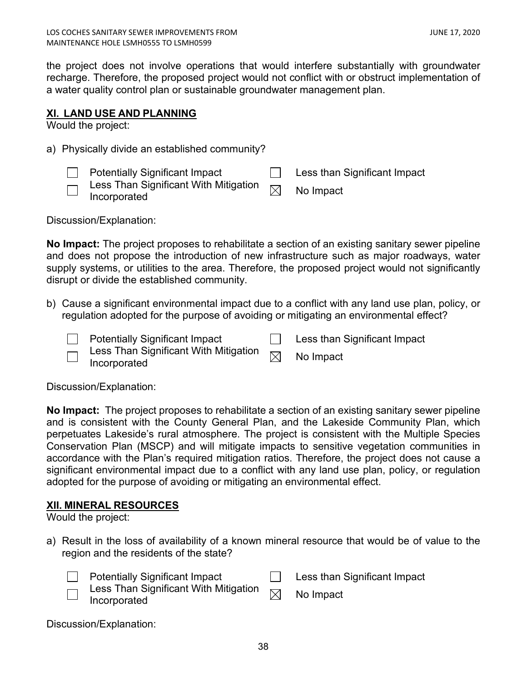the project does not involve operations that would interfere substantially with groundwater recharge. Therefore, the proposed project would not conflict with or obstruct implementation of a water quality control plan or sustainable groundwater management plan.

# <span id="page-37-0"></span>**XI. LAND USE AND PLANNING**

Would the project:

a) Physically divide an established community?

|                                    | <b>Potentially Significant Impact</b>                                        | Less than Significant Impact |
|------------------------------------|------------------------------------------------------------------------------|------------------------------|
| $\Box$<br>$\overline{\phantom{0}}$ | Less Than Significant With Mitigation $\overline{\boxtimes}$<br>Incorporated | No Impact                    |

Discussion/Explanation:

**No Impact:** The project proposes to rehabilitate a section of an existing sanitary sewer pipeline and does not propose the introduction of new infrastructure such as major roadways, water supply systems, or utilities to the area. Therefore, the proposed project would not significantly disrupt or divide the established community.

b) Cause a significant environmental impact due to a conflict with any land use plan, policy, or regulation adopted for the purpose of avoiding or mitigating an environmental effect?

Potentially Significant Impact **Less than Significant Impact** Less Than Significant With Mitigation  $L$ ess Than Significant with Mitigation  $\boxtimes$  No Impact Incorporated

Discussion/Explanation:

**No Impact:** The project proposes to rehabilitate a section of an existing sanitary sewer pipeline and is consistent with the County General Plan, and the Lakeside Community Plan, which perpetuates Lakeside's rural atmosphere. The project is consistent with the Multiple Species Conservation Plan (MSCP) and will mitigate impacts to sensitive vegetation communities in accordance with the Plan's required mitigation ratios. Therefore, the project does not cause a significant environmental impact due to a conflict with any land use plan, policy, or regulation adopted for the purpose of avoiding or mitigating an environmental effect.

# <span id="page-37-1"></span>**XII. MINERAL RESOURCES**

Would the project:

a) Result in the loss of availability of a known mineral resource that would be of value to the region and the residents of the state?



Potentially Significant Impact **Less than Significant Impact** 

Less Than Significant With Mitigation  $\mathsf{Less}$  Trian Significant With Mitigation  $\boxtimes$  No Impact Incorporated

Discussion/Explanation: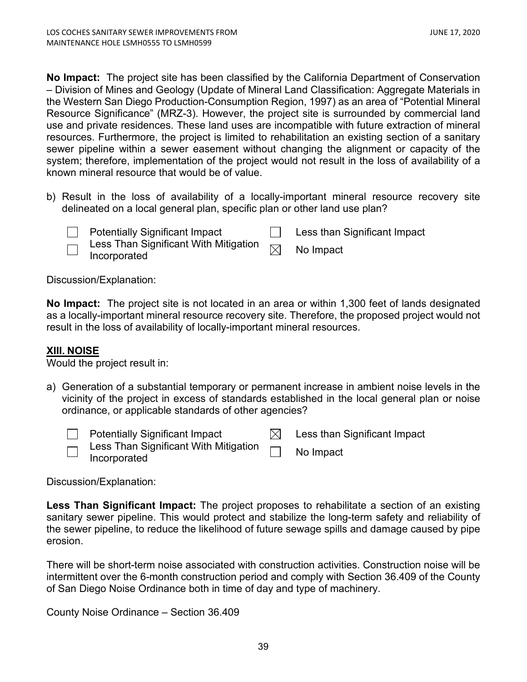**No Impact:** The project site has been classified by the California Department of Conservation – Division of Mines and Geology (Update of Mineral Land Classification: Aggregate Materials in the Western San Diego Production-Consumption Region, 1997) as an area of "Potential Mineral Resource Significance" (MRZ-3). However, the project site is surrounded by commercial land use and private residences. These land uses are incompatible with future extraction of mineral resources. Furthermore, the project is limited to rehabilitation an existing section of a sanitary sewer pipeline within a sewer easement without changing the alignment or capacity of the system; therefore, implementation of the project would not result in the loss of availability of a known mineral resource that would be of value.

b) Result in the loss of availability of a locally-important mineral resource recovery site delineated on a local general plan, specific plan or other land use plan?



Potentially Significant Impact **Less than Significant Impact** 

Less Than Significant With Mitigation  $\textsf{Less}$  Trian Significant with Mitigation  $\boxtimes$  No Impact Incorporated

Discussion/Explanation:

**No Impact:** The project site is not located in an area or within 1,300 feet of lands designated as a locally-important mineral resource recovery site. Therefore, the proposed project would not result in the loss of availability of locally-important mineral resources.

# <span id="page-38-0"></span>**XIII. NOISE**

Would the project result in:

a) Generation of a substantial temporary or permanent increase in ambient noise levels in the vicinity of the project in excess of standards established in the local general plan or noise ordinance, or applicable standards of other agencies?



Potentially Significant Impact  $\underline{\bowtie}$  Less than Significant Impact Less Than Significant With Mitigation

Less Than Significant With Mitigation [11] No Impact

Discussion/Explanation:

**Less Than Significant Impact:** The project proposes to rehabilitate a section of an existing sanitary sewer pipeline. This would protect and stabilize the long-term safety and reliability of the sewer pipeline, to reduce the likelihood of future sewage spills and damage caused by pipe erosion.

There will be short-term noise associated with construction activities. Construction noise will be intermittent over the 6-month construction period and comply with Section 36.409 of the County of San Diego Noise Ordinance both in time of day and type of machinery.

County Noise Ordinance – Section 36.409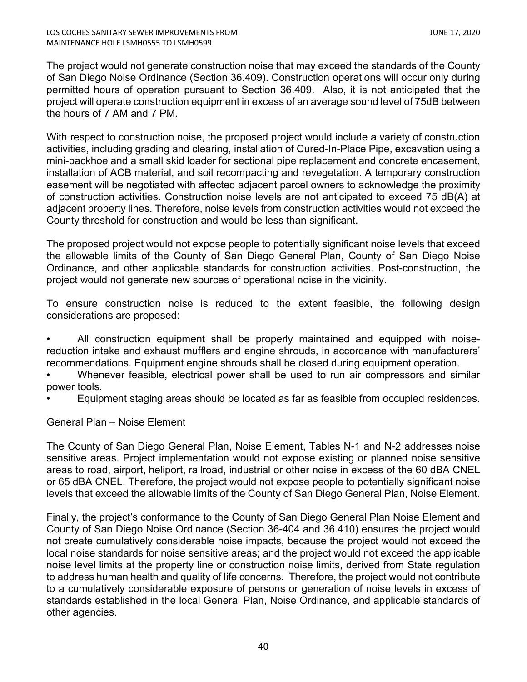The project would not generate construction noise that may exceed the standards of the County of San Diego Noise Ordinance (Section 36.409). Construction operations will occur only during permitted hours of operation pursuant to Section 36.409. Also, it is not anticipated that the project will operate construction equipment in excess of an average sound level of 75dB between the hours of 7 AM and 7 PM.

With respect to construction noise, the proposed project would include a variety of construction activities, including grading and clearing, installation of Cured-In-Place Pipe, excavation using a mini-backhoe and a small skid loader for sectional pipe replacement and concrete encasement, installation of ACB material, and soil recompacting and revegetation. A temporary construction easement will be negotiated with affected adjacent parcel owners to acknowledge the proximity of construction activities. Construction noise levels are not anticipated to exceed 75 dB(A) at adjacent property lines. Therefore, noise levels from construction activities would not exceed the County threshold for construction and would be less than significant.

The proposed project would not expose people to potentially significant noise levels that exceed the allowable limits of the County of San Diego General Plan, County of San Diego Noise Ordinance, and other applicable standards for construction activities. Post-construction, the project would not generate new sources of operational noise in the vicinity.

To ensure construction noise is reduced to the extent feasible, the following design considerations are proposed:

• All construction equipment shall be properly maintained and equipped with noisereduction intake and exhaust mufflers and engine shrouds, in accordance with manufacturers' recommendations. Equipment engine shrouds shall be closed during equipment operation.

• Whenever feasible, electrical power shall be used to run air compressors and similar power tools.

• Equipment staging areas should be located as far as feasible from occupied residences.

# General Plan – Noise Element

The County of San Diego General Plan, Noise Element, Tables N-1 and N-2 addresses noise sensitive areas. Project implementation would not expose existing or planned noise sensitive areas to road, airport, heliport, railroad, industrial or other noise in excess of the 60 dBA CNEL or 65 dBA CNEL. Therefore, the project would not expose people to potentially significant noise levels that exceed the allowable limits of the County of San Diego General Plan, Noise Element.

Finally, the project's conformance to the County of San Diego General Plan Noise Element and County of San Diego Noise Ordinance (Section 36-404 and 36.410) ensures the project would not create cumulatively considerable noise impacts, because the project would not exceed the local noise standards for noise sensitive areas; and the project would not exceed the applicable noise level limits at the property line or construction noise limits, derived from State regulation to address human health and quality of life concerns. Therefore, the project would not contribute to a cumulatively considerable exposure of persons or generation of noise levels in excess of standards established in the local General Plan, Noise Ordinance, and applicable standards of other agencies.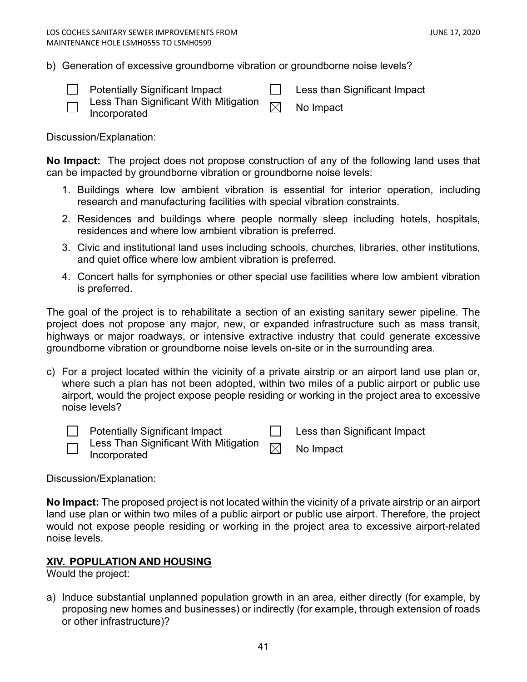b) Generation of excessive groundborne vibration or groundborne noise levels?



Potentially Significant Impact **Less than Significant Impact** 

- Less Than Significant With Mitigation Less Trian Significant with Mitigation  $\boxtimes$  No Impact Incorporated
	-

Discussion/Explanation:

**No Impact:** The project does not propose construction of any of the following land uses that can be impacted by groundborne vibration or groundborne noise levels:

- 1. Buildings where low ambient vibration is essential for interior operation, including research and manufacturing facilities with special vibration constraints.
- 2. Residences and buildings where people normally sleep including hotels, hospitals, residences and where low ambient vibration is preferred.
- 3. Civic and institutional land uses including schools, churches, libraries, other institutions, and quiet office where low ambient vibration is preferred.
- 4. Concert halls for symphonies or other special use facilities where low ambient vibration is preferred.

The goal of the project is to rehabilitate a section of an existing sanitary sewer pipeline. The project does not propose any major, new, or expanded infrastructure such as mass transit, highways or major roadways, or intensive extractive industry that could generate excessive groundborne vibration or groundborne noise levels on-site or in the surrounding area.

c) For a project located within the vicinity of a private airstrip or an airport land use plan or, where such a plan has not been adopted, within two miles of a public airport or public use airport, would the project expose people residing or working in the project area to excessive noise levels?



Potentially Significant Impact  $\Box$  Less than Significant Impact

| Less Than Significant With Mitigation $\hphantom{a}\smash{\overline{\mathcal{M}}}$ | No Impact |
|------------------------------------------------------------------------------------|-----------|
| Incorporated                                                                       |           |

Discussion/Explanation:

**No Impact:** The proposed project is not located within the vicinity of a private airstrip or an airport land use plan or within two miles of a public airport or public use airport. Therefore, the project would not expose people residing or working in the project area to excessive airport-related noise levels.

# <span id="page-40-0"></span>**XIV. POPULATION AND HOUSING**

Would the project:

a) Induce substantial unplanned population growth in an area, either directly (for example, by proposing new homes and businesses) or indirectly (for example, through extension of roads or other infrastructure)?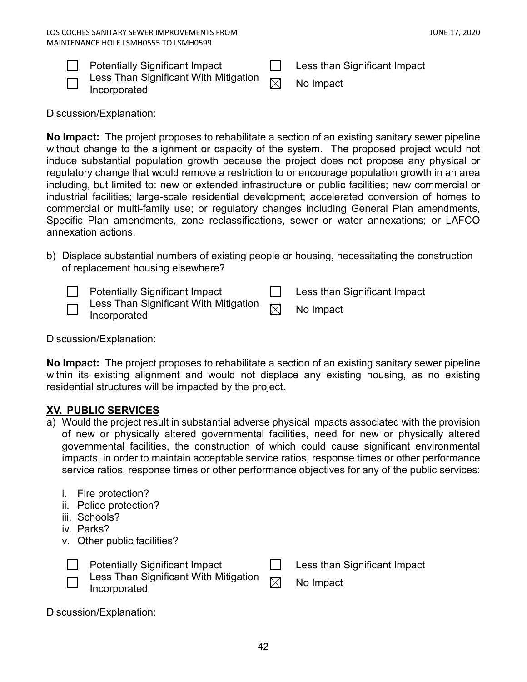| <b>Potentially Significant Impact</b>                                                                                                                                                                                                                                                                                                                                                                                                                                                      | Less than Significant Impact |
|--------------------------------------------------------------------------------------------------------------------------------------------------------------------------------------------------------------------------------------------------------------------------------------------------------------------------------------------------------------------------------------------------------------------------------------------------------------------------------------------|------------------------------|
| $\blacksquare$ $\blacksquare$ $\blacksquare$ $\blacksquare$ $\blacksquare$ $\blacksquare$ $\blacksquare$ $\blacksquare$ $\blacksquare$ $\blacksquare$ $\blacksquare$ $\blacksquare$ $\blacksquare$ $\blacksquare$ $\blacksquare$ $\blacksquare$ $\blacksquare$ $\blacksquare$ $\blacksquare$ $\blacksquare$ $\blacksquare$ $\blacksquare$ $\blacksquare$ $\blacksquare$ $\blacksquare$ $\blacksquare$ $\blacksquare$ $\blacksquare$ $\blacksquare$ $\blacksquare$ $\blacksquare$ $\blacks$ |                              |



| r otomaan, organicam impact                                  | ווטווי טטשם |
|--------------------------------------------------------------|-------------|
| Less Than Significant With Mitigation $\overline{\boxtimes}$ | No Impact   |
| Incorporated                                                 |             |

Discussion/Explanation:

**No Impact:** The project proposes to rehabilitate a section of an existing sanitary sewer pipeline without change to the alignment or capacity of the system. The proposed project would not induce substantial population growth because the project does not propose any physical or regulatory change that would remove a restriction to or encourage population growth in an area including, but limited to: new or extended infrastructure or public facilities; new commercial or industrial facilities; large-scale residential development; accelerated conversion of homes to commercial or multi-family use; or regulatory changes including General Plan amendments, Specific Plan amendments, zone reclassifications, sewer or water annexations; or LAFCO annexation actions.

b) Displace substantial numbers of existing people or housing, necessitating the construction of replacement housing elsewhere?

| <b>Potentially Significant Impact</b>                                                                                                                                                                                                                                                                                                                                                                                                                                                                                   | Less than Significant Impact |
|-------------------------------------------------------------------------------------------------------------------------------------------------------------------------------------------------------------------------------------------------------------------------------------------------------------------------------------------------------------------------------------------------------------------------------------------------------------------------------------------------------------------------|------------------------------|
| $\overline{\phantom{a}}$ Less Than Significant With Mitigation $\phantom{a}\smash{\overline{\phantom{a}}}\smash{\overline{\phantom{a}}}\smash{\overline{\phantom{a}}}\smash{\overline{\phantom{a}}}\smash{\overline{\phantom{a}}}\smash{\overline{\phantom{a}}}\smash{\overline{\phantom{a}}}\smash{\overline{\phantom{a}}}\smash{\overline{\phantom{a}}}\smash{\phantom{a}}\smash{\overline{\phantom{a}}}\smash{\overline{\phantom{a}}}\smash{\phantom{a}}\smash{\overline{\phantom{a}}}\smash$<br>$\Box$ Incorporated | No Impact                    |

Discussion/Explanation:

**No Impact:** The project proposes to rehabilitate a section of an existing sanitary sewer pipeline within its existing alignment and would not displace any existing housing, as no existing residential structures will be impacted by the project.

# <span id="page-41-0"></span>**XV. PUBLIC SERVICES**

- a) Would the project result in substantial adverse physical impacts associated with the provision of new or physically altered governmental facilities, need for new or physically altered governmental facilities, the construction of which could cause significant environmental impacts, in order to maintain acceptable service ratios, response times or other performance service ratios, response times or other performance objectives for any of the public services:
	- i. Fire protection?
	- ii. Police protection?
	- iii. Schools?
	- iv. Parks?
	- v. Other public facilities?



Potentially Significant Impact **Less than Significant Impact** Less Than Significant With Mitigation  $\mathsf{Less}$  Trian Significant With Mitigation  $\boxtimes$  No Impact Incorporated

Discussion/Explanation: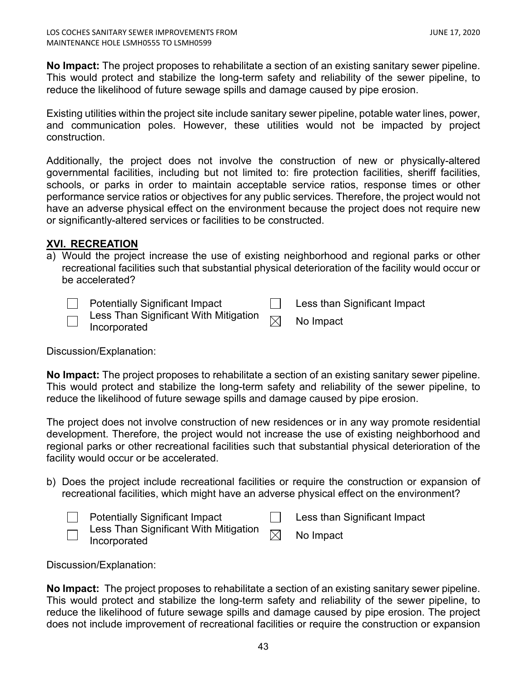**No Impact:** The project proposes to rehabilitate a section of an existing sanitary sewer pipeline. This would protect and stabilize the long-term safety and reliability of the sewer pipeline, to reduce the likelihood of future sewage spills and damage caused by pipe erosion.

Existing utilities within the project site include sanitary sewer pipeline, potable water lines, power, and communication poles. However, these utilities would not be impacted by project construction.

Additionally, the project does not involve the construction of new or physically-altered governmental facilities, including but not limited to: fire protection facilities, sheriff facilities, schools, or parks in order to maintain acceptable service ratios, response times or other performance service ratios or objectives for any public services. Therefore, the project would not have an adverse physical effect on the environment because the project does not require new or significantly-altered services or facilities to be constructed.

# <span id="page-42-0"></span>**XVI. RECREATION**

a) Would the project increase the use of existing neighborhood and regional parks or other recreational facilities such that substantial physical deterioration of the facility would occur or be accelerated?

Potentially Significant Impact  $\Box$  Less than Significant Impact

| ∟ess Than Significant With Mitigation $\mathop{\boxtimes}$ .<br>Incorporated | No Impact |
|------------------------------------------------------------------------------|-----------|
|                                                                              |           |

Discussion/Explanation:

**No Impact:** The project proposes to rehabilitate a section of an existing sanitary sewer pipeline. This would protect and stabilize the long-term safety and reliability of the sewer pipeline, to reduce the likelihood of future sewage spills and damage caused by pipe erosion.

The project does not involve construction of new residences or in any way promote residential development. Therefore, the project would not increase the use of existing neighborhood and regional parks or other recreational facilities such that substantial physical deterioration of the facility would occur or be accelerated.

b) Does the project include recreational facilities or require the construction or expansion of recreational facilities, which might have an adverse physical effect on the environment?

| <b>Potentially Significant Impact</b>                                                                                 | Less than Significant Impact |
|-----------------------------------------------------------------------------------------------------------------------|------------------------------|
| $\bar{\hspace{6pt}}$ Less Than Significant With Mitigation $\hspace{6pt}$ $\bar{\hspace{6pt}}$<br>$\Box$ Incorporated | No Impact                    |

Discussion/Explanation:

**No Impact:** The project proposes to rehabilitate a section of an existing sanitary sewer pipeline. This would protect and stabilize the long-term safety and reliability of the sewer pipeline, to reduce the likelihood of future sewage spills and damage caused by pipe erosion. The project does not include improvement of recreational facilities or require the construction or expansion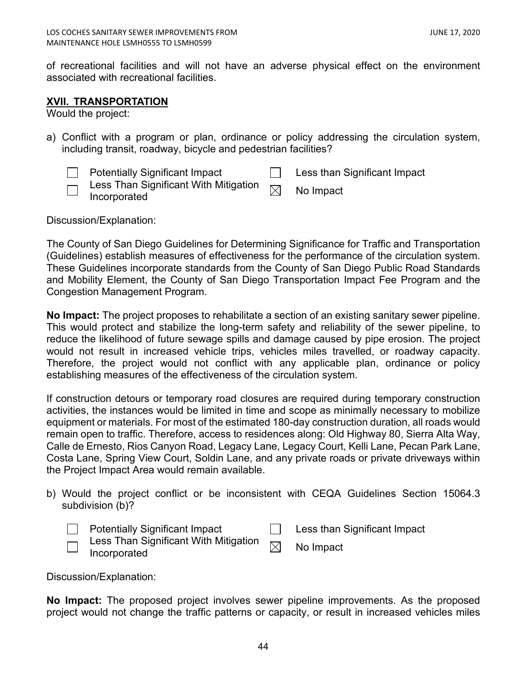of recreational facilities and will not have an adverse physical effect on the environment associated with recreational facilities.

## <span id="page-43-0"></span>**XVII. TRANSPORTATION**

Would the project:

a) Conflict with a program or plan, ordinance or policy addressing the circulation system, including transit, roadway, bicycle and pedestrian facilities?

|        | <b>Potentially Significant Impact</b> | Less than Significant Impact |
|--------|---------------------------------------|------------------------------|
| ا استا | Incorporated                          |                              |

Discussion/Explanation:

The County of San Diego Guidelines for Determining Significance for Traffic and Transportation (Guidelines) establish measures of effectiveness for the performance of the circulation system. These Guidelines incorporate standards from the County of San Diego Public Road Standards and Mobility Element, the County of San Diego Transportation Impact Fee Program and the Congestion Management Program.

**No Impact:** The project proposes to rehabilitate a section of an existing sanitary sewer pipeline. This would protect and stabilize the long-term safety and reliability of the sewer pipeline, to reduce the likelihood of future sewage spills and damage caused by pipe erosion. The project would not result in increased vehicle trips, vehicles miles travelled, or roadway capacity. Therefore, the project would not conflict with any applicable plan, ordinance or policy establishing measures of the effectiveness of the circulation system.

If construction detours or temporary road closures are required during temporary construction activities, the instances would be limited in time and scope as minimally necessary to mobilize equipment or materials. For most of the estimated 180-day construction duration, all roads would remain open to traffic. Therefore, access to residences along: Old Highway 80, Sierra Alta Way, Calle de Ernesto, Rios Canyon Road, Legacy Lane, Legacy Court, Kelli Lane, Pecan Park Lane, Costa Lane, Spring View Court, Soldin Lane, and any private roads or private driveways within the Project Impact Area would remain available.

b) Would the project conflict or be inconsistent with CEQA Guidelines Section 15064.3 subdivision (b)?

|                          | <b>Potentially Significant Impact</b>                                                                                                                                | Less than Significant Impact |
|--------------------------|----------------------------------------------------------------------------------------------------------------------------------------------------------------------|------------------------------|
| $\overline{\phantom{0}}$ | $\overline{\hspace{0.2cm}\cap\hspace{0.2cm}}$ Less Than Significant With Mitigation $\hspace{0.2cm}\overline{\hspace{0.2cm}\boxtimes\hspace{0.2cm}}$<br>Incorporated | No Impact                    |

Discussion/Explanation:

**No Impact:** The proposed project involves sewer pipeline improvements. As the proposed project would not change the traffic patterns or capacity, or result in increased vehicles miles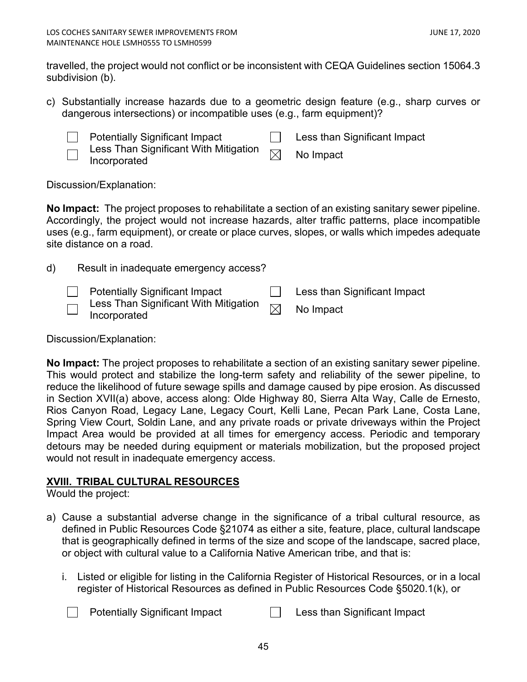travelled, the project would not conflict or be inconsistent with CEQA Guidelines section 15064.3 subdivision (b).

c) Substantially increase hazards due to a geometric design feature (e.g., sharp curves or dangerous intersections) or incompatible uses (e.g., farm equipment)?



Potentially Significant Impact **Less than Significant Impact** Less Than Significant With Mitigation

 $\textsf{Less}$  Trian Significant with Mitigation  $\boxtimes$  No Impact Incorporated

Discussion/Explanation:

**No Impact:** The project proposes to rehabilitate a section of an existing sanitary sewer pipeline. Accordingly, the project would not increase hazards, alter traffic patterns, place incompatible uses (e.g., farm equipment), or create or place curves, slopes, or walls which impedes adequate site distance on a road.

| d) | Result in inadequate emergency access?                                                                         |                                               |
|----|----------------------------------------------------------------------------------------------------------------|-----------------------------------------------|
|    | <b>Potentially Significant Impact</b><br>□ Less Than Significant With Mitigation $□$ No Impact<br>Incorporated | <b>Example 1 Less than Significant Impact</b> |

Discussion/Explanation:

**No Impact:** The project proposes to rehabilitate a section of an existing sanitary sewer pipeline. This would protect and stabilize the long-term safety and reliability of the sewer pipeline, to reduce the likelihood of future sewage spills and damage caused by pipe erosion. As discussed in Section XVII(a) above, access along: Olde Highway 80, Sierra Alta Way, Calle de Ernesto, Rios Canyon Road, Legacy Lane, Legacy Court, Kelli Lane, Pecan Park Lane, Costa Lane, Spring View Court, Soldin Lane, and any private roads or private driveways within the Project Impact Area would be provided at all times for emergency access. Periodic and temporary detours may be needed during equipment or materials mobilization, but the proposed project would not result in inadequate emergency access.

# <span id="page-44-0"></span>**XVIII. TRIBAL CULTURAL RESOURCES**

Would the project:

- a) Cause a substantial adverse change in the significance of a tribal cultural resource, as defined in Public Resources Code §21074 as either a site, feature, place, cultural landscape that is geographically defined in terms of the size and scope of the landscape, sacred place, or object with cultural value to a California Native American tribe, and that is:
	- i. Listed or eligible for listing in the California Register of Historical Resources, or in a local register of Historical Resources as defined in Public Resources Code §5020.1(k), or

Potentially Significant Impact **Less** than Significant Impact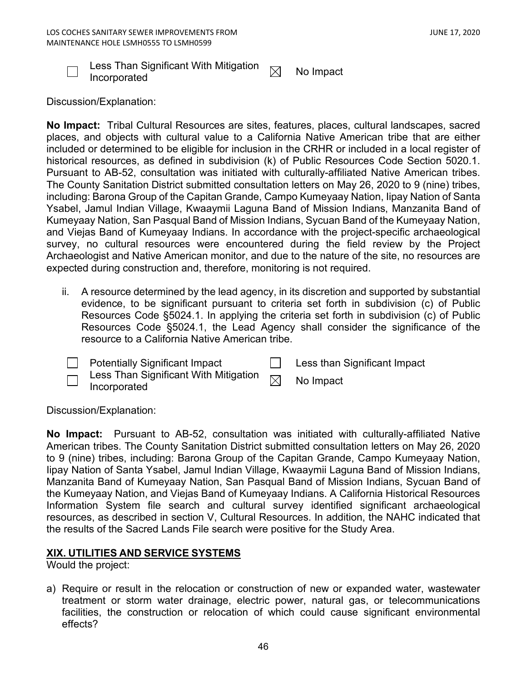

Less Than Significant With Mitigation  $\quad \Join \quad$  No Impact<br>Incorporated

Discussion/Explanation:

**No Impact:** Tribal Cultural Resources are sites, features, places, cultural landscapes, sacred places, and objects with cultural value to a California Native American tribe that are either included or determined to be eligible for inclusion in the CRHR or included in a local register of historical resources, as defined in subdivision (k) of Public Resources Code Section 5020.1. Pursuant to AB-52, consultation was initiated with culturally-affiliated Native American tribes. The County Sanitation District submitted consultation letters on May 26, 2020 to 9 (nine) tribes, including: Barona Group of the Capitan Grande, Campo Kumeyaay Nation, Iipay Nation of Santa Ysabel, Jamul Indian Village, Kwaaymii Laguna Band of Mission Indians, Manzanita Band of Kumeyaay Nation, San Pasqual Band of Mission Indians, Sycuan Band of the Kumeyaay Nation, and Viejas Band of Kumeyaay Indians. In accordance with the project-specific archaeological survey, no cultural resources were encountered during the field review by the Project Archaeologist and Native American monitor, and due to the nature of the site, no resources are expected during construction and, therefore, monitoring is not required.

- ii. A resource determined by the lead agency, in its discretion and supported by substantial evidence, to be significant pursuant to criteria set forth in subdivision (c) of Public Resources Code §5024.1. In applying the criteria set forth in subdivision (c) of Public Resources Code §5024.1, the Lead Agency shall consider the significance of the resource to a California Native American tribe.
- $\mathbf{1}$ Potentially Significant Impact Less than Significant Impact Less Than Significant With Mitigation
	- $\mathsf{Less}$  Trian Significant With Mitigation  $\boxtimes$  No Impact Incorporated

Discussion/Explanation:

**No Impact:** Pursuant to AB-52, consultation was initiated with culturally-affiliated Native American tribes. The County Sanitation District submitted consultation letters on May 26, 2020 to 9 (nine) tribes, including: Barona Group of the Capitan Grande, Campo Kumeyaay Nation, Iipay Nation of Santa Ysabel, Jamul Indian Village, Kwaaymii Laguna Band of Mission Indians, Manzanita Band of Kumeyaay Nation, San Pasqual Band of Mission Indians, Sycuan Band of the Kumeyaay Nation, and Viejas Band of Kumeyaay Indians. A California Historical Resources Information System file search and cultural survey identified significant archaeological resources, as described in section V, Cultural Resources. In addition, the NAHC indicated that the results of the Sacred Lands File search were positive for the Study Area.

# <span id="page-45-0"></span>**XIX. UTILITIES AND SERVICE SYSTEMS**

Would the project:

a) Require or result in the relocation or construction of new or expanded water, wastewater treatment or storm water drainage, electric power, natural gas, or telecommunications facilities, the construction or relocation of which could cause significant environmental effects?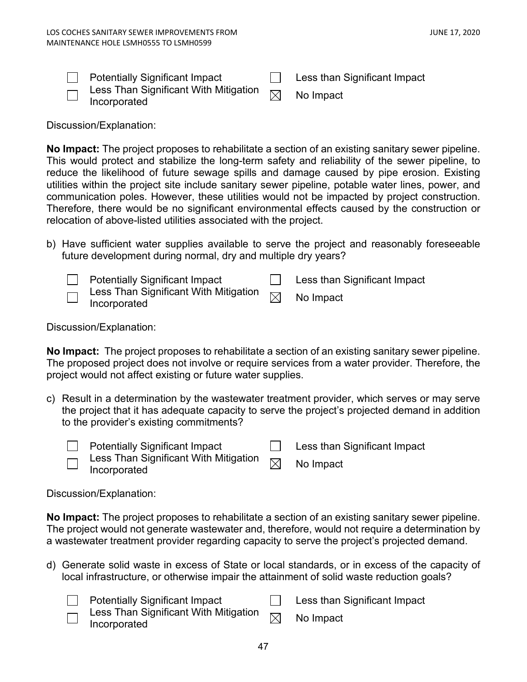| <b>Potentially Significant Impact</b>                                          | Less than Significant Impact |
|--------------------------------------------------------------------------------|------------------------------|
| Less Than Significant With Mitigation $\overline{\boxtimes}$ .<br>Incorporated | No Impact                    |

Discussion/Explanation:

**No Impact:** The project proposes to rehabilitate a section of an existing sanitary sewer pipeline. This would protect and stabilize the long-term safety and reliability of the sewer pipeline, to reduce the likelihood of future sewage spills and damage caused by pipe erosion. Existing utilities within the project site include sanitary sewer pipeline, potable water lines, power, and communication poles. However, these utilities would not be impacted by project construction. Therefore, there would be no significant environmental effects caused by the construction or relocation of above-listed utilities associated with the project.

b) Have sufficient water supplies available to serve the project and reasonably foreseeable future development during normal, dry and multiple dry years?



Discussion/Explanation:

**No Impact:** The project proposes to rehabilitate a section of an existing sanitary sewer pipeline. The proposed project does not involve or require services from a water provider. Therefore, the project would not affect existing or future water supplies.

c) Result in a determination by the wastewater treatment provider, which serves or may serve the project that it has adequate capacity to serve the project's projected demand in addition to the provider's existing commitments?



 $\Box$  Potentially Significant Impact  $\Box$  Less than Significant Impact

Less Than Significant With Mitigation Less Trian Significant with Mitigation  $\boxtimes$  No Impact Incorporated

Discussion/Explanation:

**No Impact:** The project proposes to rehabilitate a section of an existing sanitary sewer pipeline. The project would not generate wastewater and, therefore, would not require a determination by a wastewater treatment provider regarding capacity to serve the project's projected demand.

- d) Generate solid waste in excess of State or local standards, or in excess of the capacity of local infrastructure, or otherwise impair the attainment of solid waste reduction goals?
	-

Potentially Significant Impact **Less than Significant Impact** 



Less Than Significant With Mitigation  $\mathsf{Less}$  Trian Significant With Mitigation  $\boxtimes$  No Impact Incorporated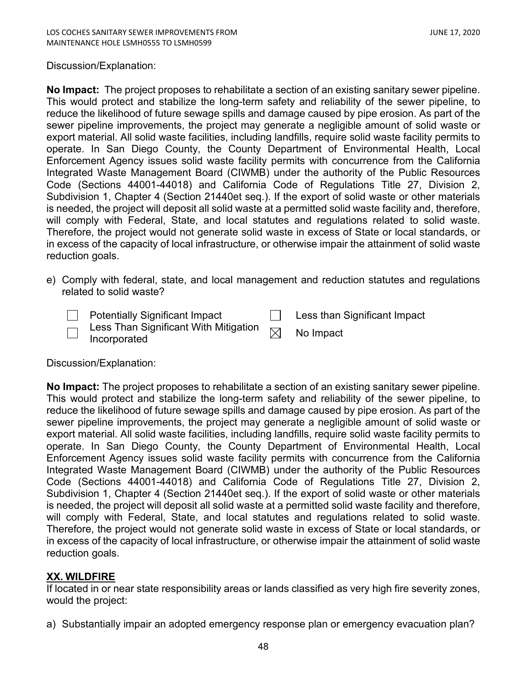## Discussion/Explanation:

**No Impact:** The project proposes to rehabilitate a section of an existing sanitary sewer pipeline. This would protect and stabilize the long-term safety and reliability of the sewer pipeline, to reduce the likelihood of future sewage spills and damage caused by pipe erosion. As part of the sewer pipeline improvements, the project may generate a negligible amount of solid waste or export material. All solid waste facilities, including landfills, require solid waste facility permits to operate. In San Diego County, the County Department of Environmental Health, Local Enforcement Agency issues solid waste facility permits with concurrence from the California Integrated Waste Management Board (CIWMB) under the authority of the Public Resources Code (Sections 44001-44018) and California Code of Regulations Title 27, Division 2, Subdivision 1, Chapter 4 (Section 21440et seq.). If the export of solid waste or other materials is needed, the project will deposit all solid waste at a permitted solid waste facility and, therefore, will comply with Federal, State, and local statutes and regulations related to solid waste. Therefore, the project would not generate solid waste in excess of State or local standards, or in excess of the capacity of local infrastructure, or otherwise impair the attainment of solid waste reduction goals.

e) Comply with federal, state, and local management and reduction statutes and regulations related to solid waste?

| $\Box$ Potentially Significant Impact | Less than Significant Impact |
|---------------------------------------|------------------------------|
| $\Box$ Incorporated                   |                              |

Discussion/Explanation:

<span id="page-47-0"></span>**No Impact:** The project proposes to rehabilitate a section of an existing sanitary sewer pipeline. This would protect and stabilize the long-term safety and reliability of the sewer pipeline, to reduce the likelihood of future sewage spills and damage caused by pipe erosion. As part of the sewer pipeline improvements, the project may generate a negligible amount of solid waste or export material. All solid waste facilities, including landfills, require solid waste facility permits to operate. In San Diego County, the County Department of Environmental Health, Local Enforcement Agency issues solid waste facility permits with concurrence from the California Integrated Waste Management Board (CIWMB) under the authority of the Public Resources Code (Sections 44001-44018) and California Code of Regulations Title 27, Division 2, Subdivision 1, Chapter 4 (Section 21440et seq.). If the export of solid waste or other materials is needed, the project will deposit all solid waste at a permitted solid waste facility and therefore, will comply with Federal, State, and local statutes and regulations related to solid waste. Therefore, the project would not generate solid waste in excess of State or local standards, or in excess of the capacity of local infrastructure, or otherwise impair the attainment of solid waste reduction goals.

# **XX. WILDFIRE**

If located in or near state responsibility areas or lands classified as very high fire severity zones, would the project:

a) Substantially impair an adopted emergency response plan or emergency evacuation plan?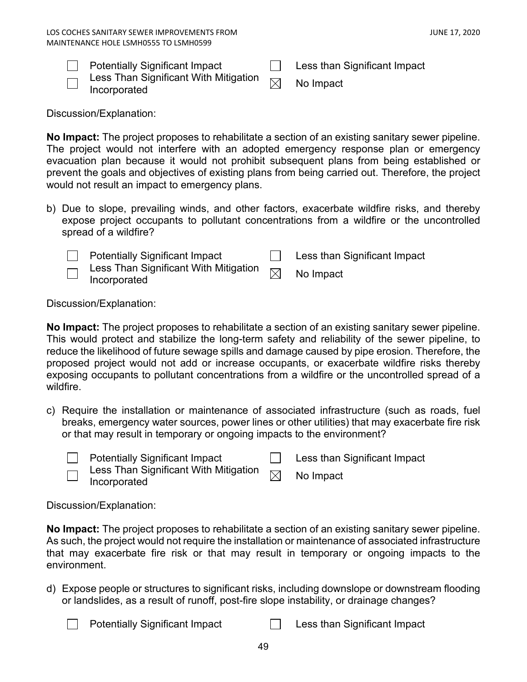| <b>Potentially Significant Impact</b> | Less than Significant Impact |
|---------------------------------------|------------------------------|
|                                       |                              |



Less Than Significant With Mitigation  $\quad \Join \quad$  No Impact<br>Incorporated

Discussion/Explanation:

**No Impact:** The project proposes to rehabilitate a section of an existing sanitary sewer pipeline. The project would not interfere with an adopted emergency response plan or emergency evacuation plan because it would not prohibit subsequent plans from being established or prevent the goals and objectives of existing plans from being carried out. Therefore, the project would not result an impact to emergency plans.

b) Due to slope, prevailing winds, and other factors, exacerbate wildfire risks, and thereby expose project occupants to pollutant concentrations from a wildfire or the uncontrolled spread of a wildfire?

| <b>Potentially Significant Impact</b>                 |          | Less than Significant Impact |
|-------------------------------------------------------|----------|------------------------------|
| Less Than Significant With Mitigation<br>Incorporated | $\times$ | No Impact                    |

Discussion/Explanation:

**No Impact:** The project proposes to rehabilitate a section of an existing sanitary sewer pipeline. This would protect and stabilize the long-term safety and reliability of the sewer pipeline, to reduce the likelihood of future sewage spills and damage caused by pipe erosion. Therefore, the proposed project would not add or increase occupants, or exacerbate wildfire risks thereby exposing occupants to pollutant concentrations from a wildfire or the uncontrolled spread of a wildfire.

c) Require the installation or maintenance of associated infrastructure (such as roads, fuel breaks, emergency water sources, power lines or other utilities) that may exacerbate fire risk or that may result in temporary or ongoing impacts to the environment?

Potentially Significant Impact **Less than Significant Impact** 

Less Than Significant With Mitigation Less Than Significant With Miligation  $\boxtimes$  No Impact<br>Incorporated

Discussion/Explanation:

**No Impact:** The project proposes to rehabilitate a section of an existing sanitary sewer pipeline. As such, the project would not require the installation or maintenance of associated infrastructure that may exacerbate fire risk or that may result in temporary or ongoing impacts to the environment.

d) Expose people or structures to significant risks, including downslope or downstream flooding or landslides, as a result of runoff, post-fire slope instability, or drainage changes?

| <b>Potentially Significant Impact</b> | Less than Significant Impact |
|---------------------------------------|------------------------------|
|---------------------------------------|------------------------------|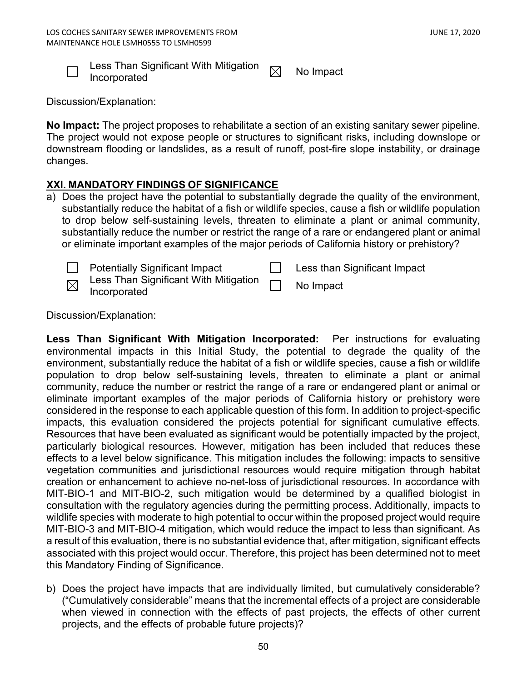

Less Than Significant With Mitigation  $\quad \Join \quad$  No Impact<br>Incorporated

Discussion/Explanation:

**No Impact:** The project proposes to rehabilitate a section of an existing sanitary sewer pipeline. The project would not expose people or structures to significant risks, including downslope or downstream flooding or landslides, as a result of runoff, post-fire slope instability, or drainage changes.

# **XXI. MANDATORY FINDINGS OF SIGNIFICANCE**

a) Does the project have the potential to substantially degrade the quality of the environment, substantially reduce the habitat of a fish or wildlife species, cause a fish or wildlife population to drop below self-sustaining levels, threaten to eliminate a plant or animal community, substantially reduce the number or restrict the range of a rare or endangered plant or animal or eliminate important examples of the major periods of California history or prehistory?

| ١ |
|---|

Potentially Significant Impact **Less than Significant Impact** 

Less Than Significant With Mitigation Less Than Significant With Mitigation **No Impact**<br>Incorporated

Discussion/Explanation:

**Less Than Significant With Mitigation Incorporated:** Per instructions for evaluating environmental impacts in this Initial Study, the potential to degrade the quality of the environment, substantially reduce the habitat of a fish or wildlife species, cause a fish or wildlife population to drop below self-sustaining levels, threaten to eliminate a plant or animal community, reduce the number or restrict the range of a rare or endangered plant or animal or eliminate important examples of the major periods of California history or prehistory were considered in the response to each applicable question of this form. In addition to project-specific impacts, this evaluation considered the projects potential for significant cumulative effects. Resources that have been evaluated as significant would be potentially impacted by the project, particularly biological resources. However, mitigation has been included that reduces these effects to a level below significance. This mitigation includes the following: impacts to sensitive vegetation communities and jurisdictional resources would require mitigation through habitat creation or enhancement to achieve no-net-loss of jurisdictional resources. In accordance with MIT-BIO-1 and MIT-BIO-2, such mitigation would be determined by a qualified biologist in consultation with the regulatory agencies during the permitting process. Additionally, impacts to wildlife species with moderate to high potential to occur within the proposed project would require MIT-BIO-3 and MIT-BIO-4 mitigation, which would reduce the impact to less than significant. As a result of this evaluation, there is no substantial evidence that, after mitigation, significant effects associated with this project would occur. Therefore, this project has been determined not to meet this Mandatory Finding of Significance.

b) Does the project have impacts that are individually limited, but cumulatively considerable? ("Cumulatively considerable" means that the incremental effects of a project are considerable when viewed in connection with the effects of past projects, the effects of other current projects, and the effects of probable future projects)?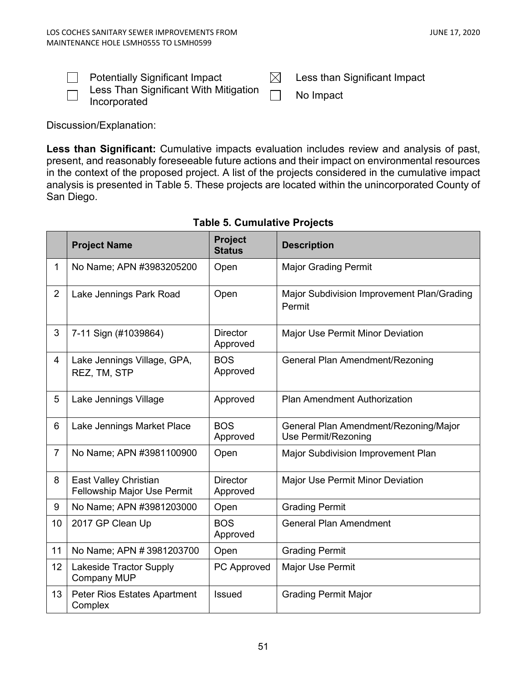┓

| <b>Potentially Significant Impact</b>                               | Less than Significant Impact |
|---------------------------------------------------------------------|------------------------------|
| $\Box$ Less Than Significant With Mitigation $\Box$<br>Incorporated | No Impact                    |

Discussion/Explanation:

the company of the company of

**Less than Significant:** Cumulative impacts evaluation includes review and analysis of past, present, and reasonably foreseeable future actions and their impact on environmental resources in the context of the proposed project. A list of the projects considered in the cumulative impact analysis is presented in Table 5. These projects are located within the unincorporated County of San Diego.

|                | <b>Project Name</b>                                         | <b>Project</b><br><b>Status</b> | <b>Description</b>                                           |
|----------------|-------------------------------------------------------------|---------------------------------|--------------------------------------------------------------|
| $\mathbf{1}$   | No Name; APN #3983205200                                    | Open                            | <b>Major Grading Permit</b>                                  |
| $\overline{2}$ | Lake Jennings Park Road                                     | Open                            | Major Subdivision Improvement Plan/Grading<br>Permit         |
| 3              | 7-11 Sign (#1039864)                                        | <b>Director</b><br>Approved     | Major Use Permit Minor Deviation                             |
| 4              | Lake Jennings Village, GPA,<br>REZ, TM, STP                 | <b>BOS</b><br>Approved          | General Plan Amendment/Rezoning                              |
| 5              | Lake Jennings Village                                       | Approved                        | <b>Plan Amendment Authorization</b>                          |
| 6              | Lake Jennings Market Place                                  | <b>BOS</b><br>Approved          | General Plan Amendment/Rezoning/Major<br>Use Permit/Rezoning |
| $\overline{7}$ | No Name; APN #3981100900                                    | Open                            | Major Subdivision Improvement Plan                           |
| 8              | East Valley Christian<br><b>Fellowship Major Use Permit</b> | <b>Director</b><br>Approved     | <b>Major Use Permit Minor Deviation</b>                      |
| 9              | No Name; APN #3981203000                                    | Open                            | <b>Grading Permit</b>                                        |
| 10             | 2017 GP Clean Up                                            | <b>BOS</b><br>Approved          | <b>General Plan Amendment</b>                                |
| 11             | No Name; APN #3981203700                                    | Open                            | <b>Grading Permit</b>                                        |
| 12             | Lakeside Tractor Supply<br><b>Company MUP</b>               | PC Approved                     | Major Use Permit                                             |
| 13             | Peter Rios Estates Apartment<br>Complex                     | <b>Issued</b>                   | <b>Grading Permit Major</b>                                  |

# **Table 5. Cumulative Projects**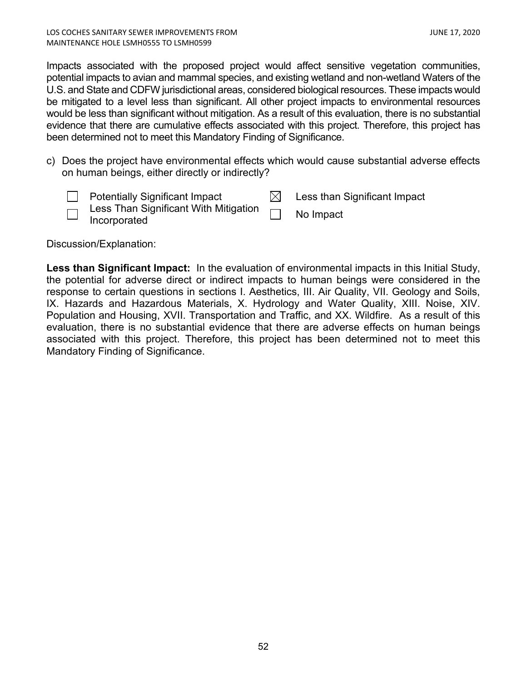Impacts associated with the proposed project would affect sensitive vegetation communities, potential impacts to avian and mammal species, and existing wetland and non-wetland Waters of the U.S. and State and CDFW jurisdictional areas, considered biological resources. These impacts would be mitigated to a level less than significant. All other project impacts to environmental resources would be less than significant without mitigation. As a result of this evaluation, there is no substantial evidence that there are cumulative effects associated with this project. Therefore, this project has been determined not to meet this Mandatory Finding of Significance.

c) Does the project have environmental effects which would cause substantial adverse effects on human beings, either directly or indirectly?

| <b>Potentially Significant Impact</b>                        | Less than Significant Impact |
|--------------------------------------------------------------|------------------------------|
| $\Box$ Less Than Significant With Mitigation<br>Incorporated | No Impact                    |

Discussion/Explanation:

**Less than Significant Impact:** In the evaluation of environmental impacts in this Initial Study, the potential for adverse direct or indirect impacts to human beings were considered in the response to certain questions in sections I. Aesthetics, III. Air Quality, VII. Geology and Soils, IX. Hazards and Hazardous Materials, X. Hydrology and Water Quality, XIII. Noise, XIV. Population and Housing, XVII. Transportation and Traffic, and XX. Wildfire. As a result of this evaluation, there is no substantial evidence that there are adverse effects on human beings associated with this project. Therefore, this project has been determined not to meet this Mandatory Finding of Significance.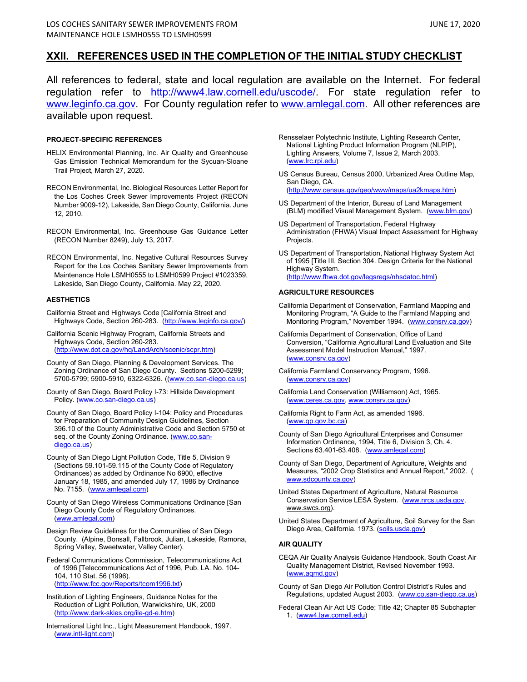### **XXII. REFERENCES USED IN THE COMPLETION OF THE INITIAL STUDY CHECKLIST**

All references to federal, state and local regulation are available on the Internet. For federal regulation refer to [http://www4.law.cornell.edu/uscode/.](http://www4.law.cornell.edu/uscode/) For state regulation refer to [www.leginfo.ca.gov.](http://www.leginfo.ca.gov/) For County regulation refer to [www.amlegal.com.](http://www.amlegal.com/) All other references are available upon request.

### **PROJECT-SPECIFIC REFERENCES**

- HELIX Environmental Planning, Inc. Air Quality and Greenhouse Gas Emission Technical Memorandum for the Sycuan-Sloane Trail Project, March 27, 2020.
- RECON Environmental, Inc. Biological Resources Letter Report for the Los Coches Creek Sewer Improvements Project (RECON Number 9009-12), Lakeside, San Diego County, California. June 12, 2010.
- RECON Environmental, Inc. Greenhouse Gas Guidance Letter (RECON Number 8249), July 13, 2017.
- RECON Environmental, Inc. Negative Cultural Resources Survey Report for the Los Coches Sanitary Sewer Improvements from Maintenance Hole LSMH0555 to LSMH0599 Project #1023359, Lakeside, San Diego County, California. May 22, 2020.

#### **AESTHETICS**

- California Street and Highways Code [California Street and Highways Code, Section 260-283. [\(http://www.leginfo.ca.gov/\)](http://www.leginfo.ca.gov/)
- California Scenic Highway Program, California Streets and Highways Code, Section 260-283. [\(http://www.dot.ca.gov/hq/LandArch/scenic/scpr.htm\)](http://www.dot.ca.gov/hq/LandArch/scenic/scpr.htm)
- County of San Diego, Planning & Development Services. The Zoning Ordinance of San Diego County. Sections 5200-5299; 5700-5799; 5900-5910, 6322-6326. [\(\(www.co.san-diego.ca.us\)](http://www.co.san-diego.ca.us/)
- County of San Diego, Board Policy I-73: Hillside Development Policy. [\(www.co.san-diego.ca.us\)](http://www.co.san-diego.ca.us/cnty/cntydepts/general/cob/policy/I-104.html)
- County of San Diego, Board Policy I-104: Policy and Procedures for Preparation of Community Design Guidelines, Section 396.10 of the County Administrative Code and Section 5750 et seq. of the County Zoning Ordinance[. \(www.co.san](http://www.co.san-diego.ca.us/cnty/cntydepts/general/cob/policy/I-104.html)[diego.ca.us\)](http://www.co.san-diego.ca.us/cnty/cntydepts/general/cob/policy/I-104.html)
- County of San Diego Light Pollution Code, Title 5, Division 9 (Sections 59.101-59.115 of the County Code of Regulatory Ordinances) as added by Ordinance No 6900, effective January 18, 1985, and amended July 17, 1986 by Ordinance No. 7155. [\(www.amlegal.com\)](http://www.amlegal.com/)
- County of San Diego Wireless Communications Ordinance [San Diego County Code of Regulatory Ordinances. [\(www.amlegal.com\)](http://www.amlegal.com/sandiego_county_ca)
- Design Review Guidelines for the Communities of San Diego County. (Alpine, Bonsall, Fallbrook, Julian, Lakeside, Ramona, Spring Valley, Sweetwater, Valley Center).
- Federal Communications Commission, Telecommunications Act of 1996 [Telecommunications Act of 1996, Pub. LA. No. 104- 104, 110 Stat. 56 (1996). [\(http://www.fcc.gov/Reports/tcom1996.txt\)](http://www.fcc.gov/Reports/tcom1996.txt)
- Institution of Lighting Engineers, Guidance Notes for the Reduction of Light Pollution, Warwickshire, UK, 2000 [\(http://www.dark-skies.org/ile-gd-e.htm\)](http://www.dark-skies.org/ile-gd-e.htm)
- International Light Inc., Light Measurement Handbook, 1997. [\(www.intl-light.com\)](http://www.intl-light.com/)
- Rensselaer Polytechnic Institute, Lighting Research Center, National Lighting Product Information Program (NLPIP), Lighting Answers, Volume 7, Issue 2, March 2003. [\(www.lrc.rpi.edu\)](http://www.lrc.rpi.edu/)
- US Census Bureau, Census 2000, Urbanized Area Outline Map, San Diego, CA. [\(http://www.census.gov/geo/www/maps/ua2kmaps.htm\)](http://www.census.gov/geo/www/maps/ua2kmaps.htm)
- US Department of the Interior, Bureau of Land Management (BLM) modified Visual Management System. [\(www.blm.gov\)](http://www.blm.gov/)
- US Department of Transportation, Federal Highway Administration (FHWA) Visual Impact Assessment for Highway Projects.
- US Department of Transportation, National Highway System Act of 1995 [Title III, Section 304. Design Criteria for the National Highway System. [\(http://www.fhwa.dot.gov/legsregs/nhsdatoc.html\)](http://www.fhwa.dot.gov/legsregs/nhsdatoc.html)

#### **AGRICULTURE RESOURCES**

- California Department of Conservation, Farmland Mapping and Monitoring Program, "A Guide to the Farmland Mapping and Monitoring Program," November 1994. [\(www.consrv.ca.gov\)](http://www.consrv.ca.gov/)
- California Department of Conservation, Office of Land Conversion, "California Agricultural Land Evaluation and Site Assessment Model Instruction Manual," 1997. [\(www.consrv.ca.gov\)](http://www.consrv.ca.gov/)
- California Farmland Conservancy Program, 1996. [\(www.consrv.ca.gov\)](http://www.consrv.ca.gov/)
- California Land Conservation (Williamson) Act, 1965. [\(www.ceres.ca.gov,](http://www.ceres.ca.gov/) [www.consrv.ca.gov\)](http://www.consrv.ca.gov/)
- California Right to Farm Act, as amended 1996. [\(www.qp.gov.bc.ca\)](http://www.qp.gov.bc.ca/)
- County of San Diego Agricultural Enterprises and Consumer Information Ordinance, 1994, Title 6, Division 3, Ch. 4. Sections 63.401-63.408. [\(www.amlegal.com\)](http://www.amlegal.com/)
- County of San Diego, Department of Agriculture, Weights and Measures, "2002 Crop Statistics and Annual Report," 2002. ( [www.sdcounty.ca.gov\)](http://www.sdcounty.ca.gov/)
- United States Department of Agriculture, Natural Resource Conservation Service LESA System. [\(www.nrcs.usda.gov,](http://www.nrcs.usda.gov/)  www.swcs.org).
- United States Department of Agriculture, Soil Survey for the San Diego Area, California. 1973. [\(soils.usda.gov\)](http://soils.usda.gov/)

#### **AIR QUALITY**

- CEQA Air Quality Analysis Guidance Handbook, South Coast Air Quality Management District, Revised November 1993. [\(www.aqmd.gov\)](http://www.aqmd.gov/)
- County of San Diego Air Pollution Control District's Rules and Regulations, updated August 2003. [\(www.co.san-diego.ca.us\)](http://www.co.san-diego.ca.us/)
- Federal Clean Air Act US Code; Title 42; Chapter 85 Subchapter 1. [\(www4.law.cornell.edu\)](http://www4.law.cornell.edu/)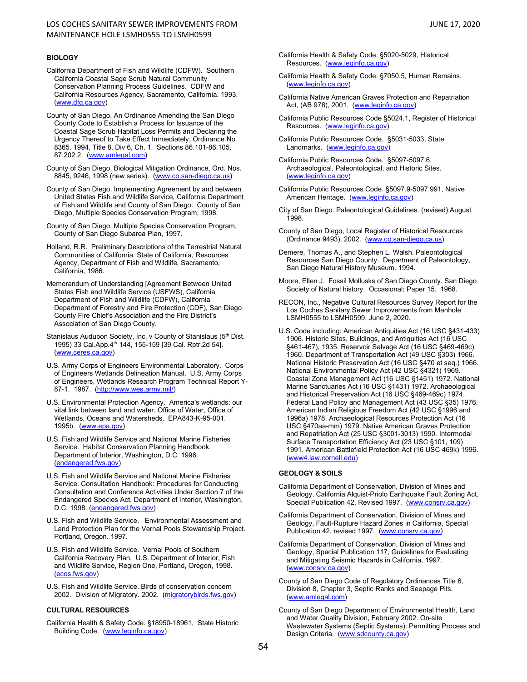### LOS COCHES SANITARY SEWER IMPROVEMENTS FROM JUNE 17, 2020 MAINTENANCE HOLE LSMH0555 TO LSMH0599

- California Department of Fish and Wildlife (CDFW). Southern California Coastal Sage Scrub Natural Community Conservation Planning Process Guidelines. CDFW and California Resources Agency, Sacramento, California. 1993. [\(www.dfg.ca.gov\)](http://www.dfg.ca.gov/)
- County of San Diego, An Ordinance Amending the San Diego County Code to Establish a Process for Issuance of the Coastal Sage Scrub Habitat Loss Permits and Declaring the Urgency Thereof to Take Effect Immediately, Ordinance No. 8365. 1994, Title 8, Div 6, Ch. 1. Sections 86.101-86.105, 87.202.2. [\(www.amlegal.com\)](http://www.amlegal.com/)
- County of San Diego, Biological Mitigation Ordinance, Ord. Nos. 8845, 9246, 1998 (new series). [\(www.co.san-diego.ca.us\)](http://www.amlegal.com/)
- County of San Diego, Implementing Agreement by and between United States Fish and Wildlife Service, California Department of Fish and Wildlife and County of San Diego. County of San Diego, Multiple Species Conservation Program, 1998.
- County of San Diego, Multiple Species Conservation Program, County of San Diego Subarea Plan, 1997.
- Holland, R.R. Preliminary Descriptions of the Terrestrial Natural Communities of California. State of California, Resources Agency, Department of Fish and Wildlife, Sacramento, California, 1986.
- Memorandum of Understanding [Agreement Between United States Fish and Wildlife Service (USFWS), California Department of Fish and Wildlife (CDFW), California Department of Forestry and Fire Protection (CDF), San Diego County Fire Chief's Association and the Fire District's Association of San Diego County.
- Stanislaus Audubon Society, Inc. v County of Stanislaus (5th Dist. 1995) 33 Cal.App.4th 144, 155-159 [39 Cal. Rptr.2d 54]. [\(www.ceres.ca.gov\)](http://www.ceres.ca.gov/)
- U.S. Army Corps of Engineers Environmental Laboratory. Corps of Engineers Wetlands Delineation Manual. U.S. Army Corps of Engineers, Wetlands Research Program Technical Report Y-87-1. 1987. [\(http://www.wes.army.mil/\)](http://www.wes.army.mil/)
- U.S. Environmental Protection Agency. America's wetlands: our vital link between land and water. Office of Water, Office of Wetlands, Oceans and Watersheds. EPA843-K-95-001. 1995b. [\(www.epa.gov\)](http://www.epa.gov/)
- U.S. Fish and Wildlife Service and National Marine Fisheries Service. Habitat Conservation Planning Handbook. Department of Interior, Washington, D.C. 1996. [\(endangered.fws.gov\)](http://endangered.fws.gov/)
- U.S. Fish and Wildlife Service and National Marine Fisheries Service. Consultation Handbook: Procedures for Conducting Consultation and Conference Activities Under Section 7 of the Endangered Species Act. Department of Interior, Washington, D.C. 1998. [\(endangered.fws.gov\)](http://endangered.fws.gov/)
- U.S. Fish and Wildlife Service. Environmental Assessment and Land Protection Plan for the Vernal Pools Stewardship Project. Portland, Oregon. 1997.
- U.S. Fish and Wildlife Service. Vernal Pools of Southern California Recovery Plan. U.S. Department of Interior, Fish and Wildlife Service, Region One, Portland, Oregon, 1998. [\(ecos.fws.gov\)](file://COSDI328/Users328C/LUEG/DPLU/dbeddow/Documentum/ecos.fws.gov)
- U.S. Fish and Wildlife Service. Birds of conservation concern 2002. Division of Migratory. 2002. [\(migratorybirds.fws.gov\)](file://COSDI328/Users328C/LUEG/DPLU/dbeddow/Documentum/migratorybird.fws.gov)

### **CULTURAL RESOURCES**

California Health & Safety Code. §18950-18961, State Historic Building Code. [\(www.leginfo.ca.gov\)](http://www.leginfo.ca.gov/)

- California Health & Safety Code. §5020-5029, Historical Resources. [\(www.leginfo.ca.gov\)](http://www.leginfo.ca.gov/)
- California Health & Safety Code. §7050.5, Human Remains. [\(www.leginfo.ca.gov\)](http://www.leginfo.ca.gov/)
- California Native American Graves Protection and Repatriation Act, (AB 978), 2001. [\(www.leginfo.ca.gov\)](http://www.leginfo.ca.gov/)
- California Public Resources Code §5024.1, Register of Historical Resources. [\(www.leginfo.ca.gov\)](http://www.leginfo.ca.gov/)
- California Public Resources Code. §5031-5033, State Landmarks. [\(www.leginfo.ca.gov\)](http://www.leginfo.ca.gov/)
- California Public Resources Code. §5097-5097.6, Archaeological, Paleontological, and Historic Sites. [\(www.leginfo.ca.gov\)](http://www.leginfo.ca.gov/)
- California Public Resources Code. §5097.9-5097.991, Native American Heritage. [\(www.leginfo.ca.gov\)](http://www.leginfo.ca.gov/)
- City of San Diego. Paleontological Guidelines. (revised) August 1998.
- County of San Diego, Local Register of Historical Resources (Ordinance 9493), 2002. [\(www.co.san-diego.ca.us\)](http://www.co.san-diego.ca.us/)
- Demere, Thomas A., and Stephen L. Walsh. Paleontological Resources San Diego County. Department of Paleontology, San Diego Natural History Museum. 1994.
- Moore, Ellen J. Fossil Mollusks of San Diego County. San Diego Society of Natural history. Occasional; Paper 15. 1968.
- RECON, Inc., Negative Cultural Resources Survey Report for the Los Coches Sanitary Sewer Improvements from Manhole LSMH0555 to LSMH0599, June 2, 2020.
- U.S. Code including: American Antiquities Act (16 USC §431-433) 1906. Historic Sites, Buildings, and Antiquities Act (16 USC §461-467), 1935. Reservoir Salvage Act (16 USC §469-469c) 1960. Department of Transportation Act (49 USC §303) 1966. National Historic Preservation Act (16 USC §470 et seq.) 1966. National Environmental Policy Act (42 USC §4321) 1969. Coastal Zone Management Act (16 USC §1451) 1972. National Marine Sanctuaries Act (16 USC §1431) 1972. Archaeological and Historical Preservation Act (16 USC §469-469c) 1974. Federal Land Policy and Management Act (43 USC §35) 1976. American Indian Religious Freedom Act (42 USC §1996 and 1996a) 1978. Archaeological Resources Protection Act (16 USC §470aa-mm) 1979. Native American Graves Protection and Repatriation Act (25 USC §3001-3013) 1990. Intermodal Surface Transportation Efficiency Act (23 USC §101, 109) 1991. American Battlefield Protection Act (16 USC 469k) 1996. [\(www4.law.cornell.edu\)](http://www4.law.cornell.edu/)

### **GEOLOGY & SOILS**

- California Department of Conservation, Division of Mines and Geology, California Alquist-Priolo Earthquake Fault Zoning Act, Special Publication 42, Revised 1997. [\(www.consrv.ca.gov\)](http://www.consrv.ca.gov/)
- California Department of Conservation, Division of Mines and Geology, Fault-Rupture Hazard Zones in California, Special Publication 42, revised 1997. [\(www.consrv.ca.gov\)](http://www.consrv.ca.gov/)
- California Department of Conservation, Division of Mines and Geology, Special Publication 117, Guidelines for Evaluating and Mitigating Seismic Hazards in California, 1997. [\(www.consrv.ca.gov\)](http://www.consrv.ca.gov/)
- County of San Diego Code of Regulatory Ordinances Title 6, Division 8, Chapter 3, Septic Ranks and Seepage Pits. [\(www.amlegal.com\)](http://www.amlegal.com/)
- County of San Diego Department of Environmental Health, Land and Water Quality Division, February 2002. On-site Wastewater Systems (Septic Systems): Permitting Process and Design Criteria. [\(www.sdcounty.ca.gov\)](http://www.sdcounty.ca.gov/)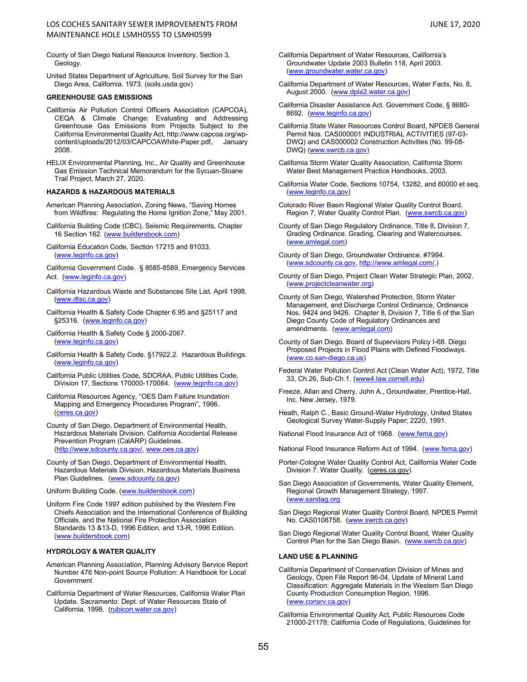- County of San Diego Natural Resource Inventory, Section 3, Geology.
- United States Department of Agriculture, Soil Survey for the San Diego Area, California. 1973. (soils.usda.gov)

#### **GREENHOUSE GAS EMISSIONS**

- California Air Pollution Control Officers Association (CAPCOA), CEQA & Climate Change: Evaluating and Addressing Greenhouse Gas Emissions from Projects Subject to the California Environmental Quality Act, http://www.capcoa.org/wpcontent/uploads/2012/03/CAPCOAWhite-Paper.pdf, January 2008.
- HELIX Environmental Planning, Inc., Air Quality and Greenhouse Gas Emission Technical Memorandum for the Sycuan-Sloane Trail Project, March 27, 2020.

#### **HAZARDS & HAZARDOUS MATERIALS**

- American Planning Association, Zoning News, "Saving Homes from Wildfires: Regulating the Home Ignition Zone," May 2001.
- California Building Code (CBC), Seismic Requirements, Chapter 16 Section 162. [\(www.buildersbook.com\)](http://www.buildersbook.com/)
- California Education Code, Section 17215 and 81033. [\(www.leginfo.ca.gov\)](http://www.leginfo.ca.gov/)

California Government Code. § 8585-8589, Emergency Services Act. [\(www.leginfo.ca.gov\)](http://www.leginfo.ca.gov/)

- California Hazardous Waste and Substances Site List. April 1998. [\(www.dtsc.ca.gov\)](http://www.dtsc.ca.gov/)
- California Health & Safety Code Chapter 6.95 and §25117 and §25316. [\(www.leginfo.ca.gov\)](http://www.leginfo.ca.gov/)
- California Health & Safety Code § 2000-2067. [\(www.leginfo.ca.gov\)](http://www.leginfo.ca.gov/)
- California Health & Safety Code. §17922.2. Hazardous Buildings. [\(www.leginfo.ca.gov\)](http://www.leginfo.ca.gov/)
- California Public Utilities Code, SDCRAA. Public Utilities Code, Division 17, Sections 170000-170084. [\(www.leginfo.ca.gov\)](http://www.leginfo.ca.gov/)
- California Resources Agency, "OES Dam Failure Inundation Mapping and Emergency Procedures Program", 1996. [\(ceres.ca.gov\)](file://COSDI328/Users328C/LUEG/DPLU/dbeddow/Documentum/ceres.ca.gov)
- County of San Diego, Department of Environmental Health, Hazardous Materials Division. California Accidental Release Prevention Program (CalARP) Guidelines. [\(http://www.sdcounty.ca.gov/,](http://www.sdcounty.ca.gov/) [www.oes.ca.gov\)](http://www.oes.ca.gov/)
- County of San Diego, Department of Environmental Health, Hazardous Materials Division. Hazardous Materials Business Plan Guidelines. [\(www.sdcounty.ca.gov\)](http://www.sdcounty.ca.gov/)

Uniform Building Code. [\(www.buildersbook.com\)](http://www.buildersbook.com/)

Uniform Fire Code 1997 edition published by the Western Fire Chiefs Association and the International Conference of Building Officials, and the National Fire Protection Association Standards 13 &13-D, 1996 Edition, and 13-R, 1996 Edition. [\(www.buildersbook.com\)](http://www.buildersbook.com/)

#### **HYDROLOGY & WATER QUALITY**

- American Planning Association, Planning Advisory Service Report Number 476 Non-point Source Pollution: A Handbook for Local Government
- California Department of Water Resources, California Water Plan Update. Sacramento: Dept. of Water Resources State of California. 1998. [\(rubicon.water.ca.gov\)](http://rubicon.water.ca.gov/)
- California Department of Water Resources, California's Groundwater Update 2003 Bulletin 118, April 2003. [\(www.groundwater.water.ca.gov\)](http://www.groundwater.water.ca.gov/)
- California Department of Water Resources, Water Facts, No. 8, August 2000. [\(www.dpla2.water.ca.gov\)](http://www.dpla2.water.ca.gov/)
- California Disaster Assistance Act. Government Code, § 8680- 8692. [\(www.leginfo.ca.gov\)](http://www.leginfo.ca.gov/)
- California State Water Resources Control Board, NPDES General Permit Nos. CAS000001 INDUSTRIAL ACTIVITIES (97-03- DWQ) and CAS000002 Construction Activities (No. 99-08- DWQ) [\(www.swrcb.ca.gov\)](http://www.swrcb.ca.gov/)
- California Storm Water Quality Association, California Storm Water Best Management Practice Handbooks, 2003.
- California Water Code, Sections 10754, 13282, and 60000 et seq. [\(www.leginfo.ca.gov\)](http://www.leginfo.ca.gov/)
- Colorado River Basin Regional Water Quality Control Board, Region 7, Water Quality Control Plan. [\(www.swrcb.ca.gov\)](http://www.swrcb.ca.gov/)
- County of San Diego Regulatory Ordinance, Title 8, Division 7, Grading Ordinance. Grading, Clearing and Watercourses. [\(www.amlegal.com\)](http://www.amlegal.com/)
- County of San Diego, Groundwater Ordinance. #7994. [\(www.sdcounty.ca.gov,](http://www.sdcounty.ca.gov/) [http://www.amlegal.com/,](http://www.amlegal.com/))
- County of San Diego, Project Clean Water Strategic Plan, 2002. [\(www.projectcleanwater.org\)](http://www.projectcleanwater.org/)
- County of San Diego, Watershed Protection, Storm Water Management, and Discharge Control Ordinance, Ordinance Nos. 9424 and 9426. Chapter 8, Division 7, Title 6 of the San Diego County Code of Regulatory Ordinances and amendments. [\(www.amlegal.com\)](http://www.amlegal.com/)
- County of San Diego. Board of Supervisors Policy I-68. Diego Proposed Projects in Flood Plains with Defined Floodways. [\(www.co.san-diego.ca.us\)](http://www.co.san-diego.ca.us/)
- Federal Water Pollution Control Act (Clean Water Act), 1972, Title 33, Ch.26, Sub-Ch.1. [\(www4.law.cornell.edu\)](http://www4.law.cornell.edu/)
- Freeze, Allan and Cherry, John A., Groundwater, Prentice-Hall, Inc. New Jersey, 1979.
- Heath, Ralph C., Basic Ground-Water Hydrology, United States Geological Survey Water-Supply Paper; 2220, 1991.
- National Flood Insurance Act of 1968. [\(www.fema.gov\)](http://www.fema.gov/)

National Flood Insurance Reform Act of 1994. [\(www.fema.gov\)](http://www.fema.gov/)

- Porter-Cologne Water Quality Control Act, California Water Code Division 7. Water Quality. (ceres.ca.gov)
- San Diego Association of Governments, Water Quality Element, Regional Growth Management Strategy, 1997. [\(www.sandag.org](http://www.sandag.org/)
- San Diego Regional Water Quality Control Board, NPDES Permit No. CAS0108758. [\(www.swrcb.ca.gov\)](http://www.swrcb.ca.gov/)
- San Diego Regional Water Quality Control Board, Water Quality Control Plan for the San Diego Basin. [\(www.swrcb.ca.gov\)](http://www.swrcb.ca.gov/)

#### **LAND USE & PLANNING**

- California Department of Conservation Division of Mines and Geology, Open File Report 96-04, Update of Mineral Land Classification: Aggregate Materials in the Western San Diego County Production Consumption Region, 1996. [\(www.consrv.ca.gov\)](http://www.consrv.ca.gov/)
- California Environmental Quality Act, Public Resources Code 21000-21178; California Code of Regulations, Guidelines for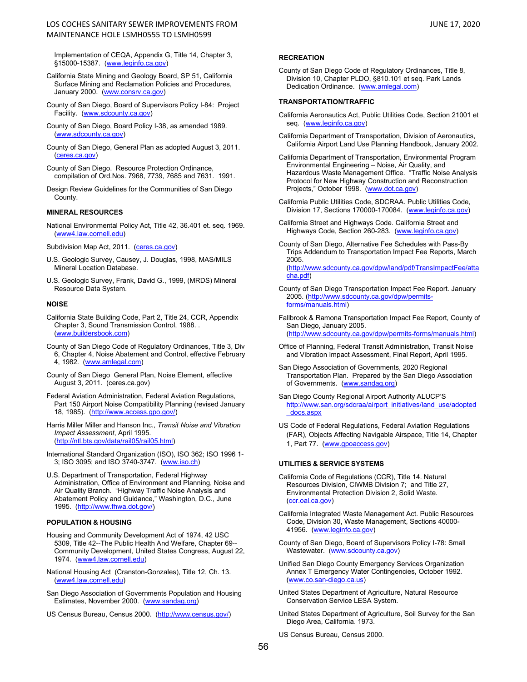### LOS COCHES SANITARY SEWER IMPROVEMENTS FROM JUNE 17, 2020 MAINTENANCE HOLE LSMH0555 TO LSMH0599

Implementation of CEQA, Appendix G, Title 14, Chapter 3, §15000-15387. [\(www.leginfo.ca.gov\)](http://www.leginfo.ca.gov/)

- California State Mining and Geology Board, SP 51, California Surface Mining and Reclamation Policies and Procedures, January 2000. [\(www.consrv.ca.gov\)](http://www.consrv.ca.gov/)
- County of San Diego, Board of Supervisors Policy I-84: Project Facility. [\(www.sdcounty.ca.gov\)](http://www.sdcounty.ca.gov/)
- County of San Diego, Board Policy I-38, as amended 1989. [\(www.sdcounty.ca.gov\)](http://www.sdcounty.ca.gov/)
- County of San Diego, General Plan as adopted August 3, 2011. [\(ceres.ca.gov\)](http://ceres.ca.gov/)
- County of San Diego. Resource Protection Ordinance, compilation of Ord.Nos. 7968, 7739, 7685 and 7631. 1991.
- Design Review Guidelines for the Communities of San Diego County.

### **MINERAL RESOURCES**

National Environmental Policy Act, Title 42, 36.401 et. seq. 1969. [\(www4.law.cornell.edu\)](http://www4.law.cornell.edu/)

Subdivision Map Act, 2011. [\(ceres.ca.gov\)](http://ceres.ca.gov/)

- U.S. Geologic Survey, Causey, J. Douglas, 1998, MAS/MILS Mineral Location Database.
- U.S. Geologic Survey, Frank, David G., 1999, (MRDS) Mineral Resource Data System.

#### **NOISE**

- California State Building Code, Part 2, Title 24, CCR, Appendix Chapter 3, Sound Transmission Control, 1988. . [\(www.buildersbook.com\)](http://www.buildersbook.com/)
- County of San Diego Code of Regulatory Ordinances, Title 3, Div 6, Chapter 4, Noise Abatement and Control, effective February 4, 1982. [\(www.amlegal.com\)](http://www.amlegal.com/)
- County of San Diego General Plan, Noise Element, effective August 3, 2011. (ceres.ca.gov)
- Federal Aviation Administration, Federal Aviation Regulations, Part 150 Airport Noise Compatibility Planning (revised January 18, 1985). [\(http://www.access.gpo.gov/\)](http://www.access.gpo.gov/)
- Harris Miller Miller and Hanson Inc., *Transit Noise and Vibration Impact Assessment*, April 1995. [\(http://ntl.bts.gov/data/rail05/rail05.html\)](http://ntl.bts.gov/data/rail05/rail05.html)
- International Standard Organization (ISO), ISO 362; ISO 1996 1- 3; ISO 3095; and ISO 3740-3747. [\(www.iso.ch\)](http://www.iso.ch/)
- U.S. Department of Transportation, Federal Highway Administration, Office of Environment and Planning, Noise and Air Quality Branch. "Highway Traffic Noise Analysis and Abatement Policy and Guidance," Washington, D.C., June 1995. [\(http://www.fhwa.dot.gov/\)](http://www.fhwa.dot.gov/)

### **POPULATION & HOUSING**

- Housing and Community Development Act of 1974, 42 USC 5309, Title 42--The Public Health And Welfare, Chapter 69-- Community Development, United States Congress, August 22, 1974. [\(www4.law.cornell.edu\)](http://www4.law.cornell.edu/)
- National Housing Act (Cranston-Gonzales), Title 12, Ch. 13. [\(www4.law.cornell.edu\)](http://www4.law.cornell.edu/)
- San Diego Association of Governments Population and Housing Estimates, November 2000. [\(www.sandag.org\)](http://www.sandag.org/)
- US Census Bureau, Census 2000. [\(http://www.census.gov/\)](http://www.census.gov/)

### **RECREATION**

County of San Diego Code of Regulatory Ordinances, Title 8, Division 10, Chapter PLDO, §810.101 et seq. Park Lands Dedication Ordinance. [\(www.amlegal.com\)](http://www.amlegal.com/)

#### **TRANSPORTATION/TRAFFIC**

- California Aeronautics Act, Public Utilities Code, Section 21001 et seq. [\(www.leginfo.ca.gov\)](http://www.leginfo.ca.gov/)
- California Department of Transportation, Division of Aeronautics, California Airport Land Use Planning Handbook, January 2002.
- California Department of Transportation, Environmental Program Environmental Engineering – Noise, Air Quality, and Hazardous Waste Management Office. "Traffic Noise Analysis Protocol for New Highway Construction and Reconstruction Projects," October 1998. [\(www.dot.ca.gov\)](http://www.dot.ca.gov/)
- California Public Utilities Code, SDCRAA. Public Utilities Code, Division 17, Sections 170000-170084. [\(www.leginfo.ca.gov\)](http://www.leginfo.ca.gov/)
- California Street and Highways Code. California Street and Highways Code, Section 260-283. [\(www.leginfo.ca.gov\)](http://www.leginfo.ca.gov/)
- County of San Diego, Alternative Fee Schedules with Pass-By Trips Addendum to Transportation Impact Fee Reports, March 2005. [\(http://www.sdcounty.ca.gov/dpw/land/pdf/TransImpactFee/atta](http://www.sdcounty.ca.gov/dpw/land/pdf/TransImpactFee/attacha.pdf)

[cha.pdf\)](http://www.sdcounty.ca.gov/dpw/land/pdf/TransImpactFee/attacha.pdf)

- County of San Diego Transportation Impact Fee Report. January 2005. [\(http://www.sdcounty.ca.gov/dpw/permits](http://www.sdcounty.ca.gov/dpw/permits-forms/manuals.html)[forms/manuals.html\)](http://www.sdcounty.ca.gov/dpw/permits-forms/manuals.html)
- Fallbrook & Ramona Transportation Impact Fee Report, County of San Diego, January 2005. [\(http://www.sdcounty.ca.gov/dpw/permits-forms/manuals.html\)](http://www.sdcounty.ca.gov/dpw/permits-forms/manuals.html)
- Office of Planning, Federal Transit Administration, Transit Noise and Vibration Impact Assessment, Final Report, April 1995.
- San Diego Association of Governments, 2020 Regional Transportation Plan. Prepared by the San Diego Association of Governments. [\(www.sandag.org\)](http://www.sandag.org/)
- San Diego County Regional Airport Authority ALUCP'S [http://www.san.org/sdcraa/airport\\_initiatives/land\\_use/adopted](http://www.san.org/sdcraa/airport_initiatives/land_use/adopted_docs.aspx) [\\_docs.aspx](http://www.san.org/sdcraa/airport_initiatives/land_use/adopted_docs.aspx)
- US Code of Federal Regulations, Federal Aviation Regulations (FAR), Objects Affecting Navigable Airspace, Title 14, Chapter 1, Part 77. [\(www.gpoaccess.gov\)](http://www.gpoaccess.gov/)

### **UTILITIES & SERVICE SYSTEMS**

- California Code of Regulations (CCR), Title 14. Natural Resources Division, CIWMB Division 7; and Title 27, Environmental Protection Division 2, Solid Waste. [\(ccr.oal.ca.gov\)](http://www.ccr.oal.ca.gov/)
- California Integrated Waste Management Act. Public Resources Code, Division 30, Waste Management, Sections 40000- 41956. [\(www.leginfo.ca.gov\)](http://www.leginfo.ca.gov/)
- County of San Diego, Board of Supervisors Policy I-78: Small Wastewater. [\(www.sdcounty.ca.gov\)](http://www.sdcounty.ca.gov/)
- Unified San Diego County Emergency Services Organization Annex T Emergency Water Contingencies, October 1992. [\(www.co.san-diego.ca.us\)](http://www.co.san-diego.ca.us/)
- United States Department of Agriculture, Natural Resource Conservation Service LESA System.
- United States Department of Agriculture, Soil Survey for the San Diego Area, California. 1973.

US Census Bureau, Census 2000.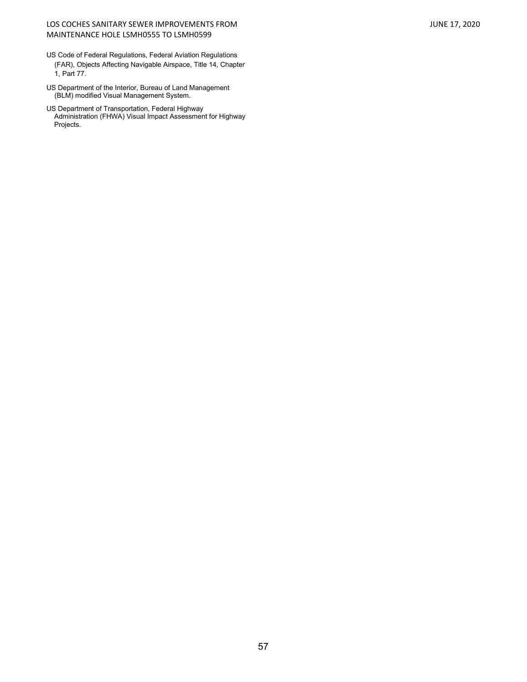### LOS COCHES SANITARY SEWER IMPROVEMENTS FROM JUNE 17, 2020 MAINTENANCE HOLE LSMH0555 TO LSMH0599

- US Code of Federal Regulations, Federal Aviation Regulations (FAR), Objects Affecting Navigable Airspace, Title 14, Chapter 1, Part 77.
- US Department of the Interior, Bureau of Land Management (BLM) modified Visual Management System.
- US Department of Transportation, Federal Highway Administration (FHWA) Visual Impact Assessment for Highway Projects.